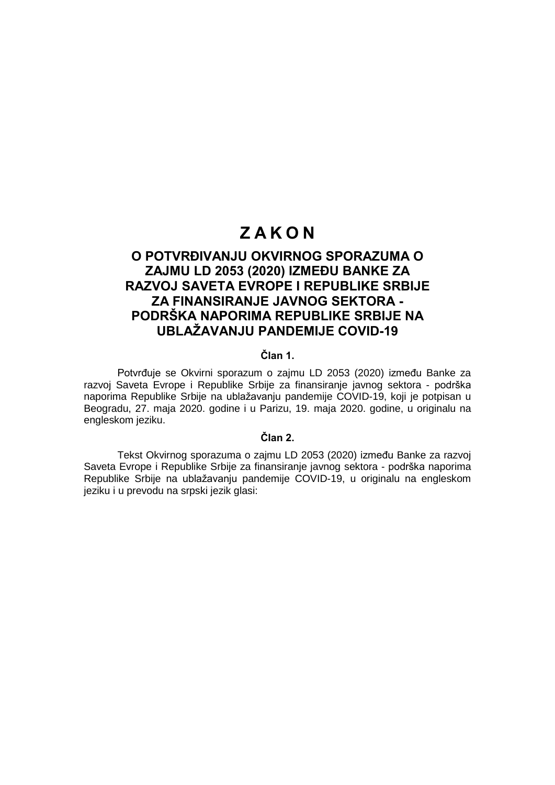# **Z A K O N**

# **O POTVRĐIVANJU OKVIRNOG SPORAZUMA O ZAJMU LD 2053 (2020) IZMEĐU BANKE ZA RAZVOJ SAVETA EVROPE I REPUBLIKE SRBIJE ZA FINANSIRANJE JAVNOG SEKTORA - PODRŠKA NAPORIMA REPUBLIKE SRBIJE NA UBLAŽAVANJU PANDEMIJE COVID-19**

# **Član 1.**

Potvrđuje se Okvirni sporazum o zajmu LD 2053 (2020) između Banke za razvoj Saveta Evrope i Republike Srbije za finansiranje javnog sektora - podrška naporima Republike Srbije na ublažavanju pandemije COVID-19, koji je potpisan u Beogradu, 27. maja 2020. godine i u Parizu, 19. maja 2020. godine, u originalu na engleskom jeziku.

#### **Član 2.**

Tekst Okvirnog sporazuma o zajmu LD 2053 (2020) između Banke za razvoj Saveta Evrope i Republike Srbije za finansiranje javnog sektora - podrška naporima Republike Srbije na ublažavanju pandemije COVID-19, u originalu na engleskom jeziku i u prevodu na srpski jezik glasi: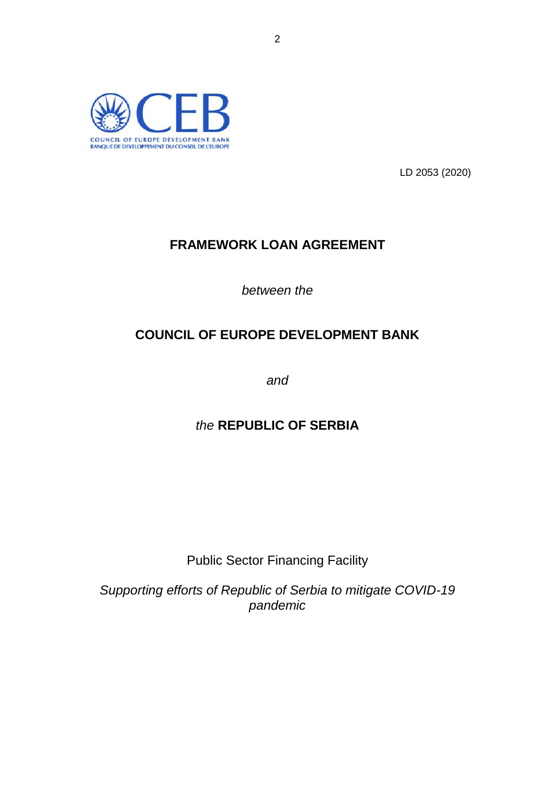

LD 2053 (2020)

# **FRAMEWORK LOAN AGREEMENT**

*between the*

# **COUNCIL OF EUROPE DEVELOPMENT BANK**

*and* 

# *the* **REPUBLIC OF SERBIA**

Public Sector Financing Facility

*Supporting efforts of Republic of Serbia to mitigate COVID-19 pandemic*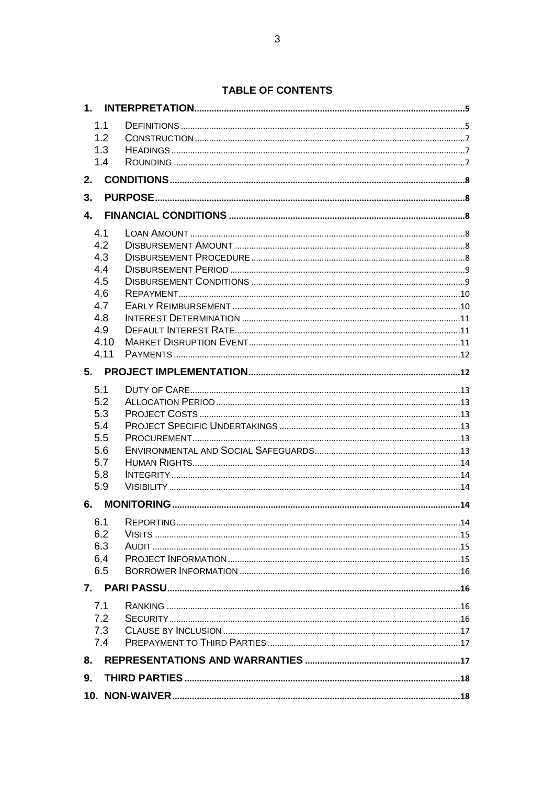|            | 1.1  |  |
|------------|------|--|
|            | 1.2  |  |
|            | 1.3  |  |
|            | 1.4  |  |
| 2.         |      |  |
| 3.         |      |  |
|            |      |  |
| 4.1        |      |  |
| 4.2        |      |  |
| 4.3        |      |  |
| 4.4        |      |  |
| 4.5        |      |  |
| 4.6        |      |  |
| 4.7<br>4.8 |      |  |
| 4.9        |      |  |
|            | 4.10 |  |
|            | 4.11 |  |
|            |      |  |
|            |      |  |
| 5.1        |      |  |
| 5.2<br>5.3 |      |  |
| 5.4        |      |  |
| 5.5        |      |  |
| 5.6        |      |  |
| 5.7        |      |  |
| 5.8        |      |  |
| 5.9        |      |  |
| 6.         |      |  |
|            |      |  |
| 6.2        |      |  |
| 6.3        |      |  |
| 6.4        |      |  |
| 6.5        |      |  |
|            |      |  |
| 7.1        |      |  |
|            | 7.2  |  |
|            | 7.3  |  |
|            | 7.4  |  |
|            |      |  |
| 9.         |      |  |
|            |      |  |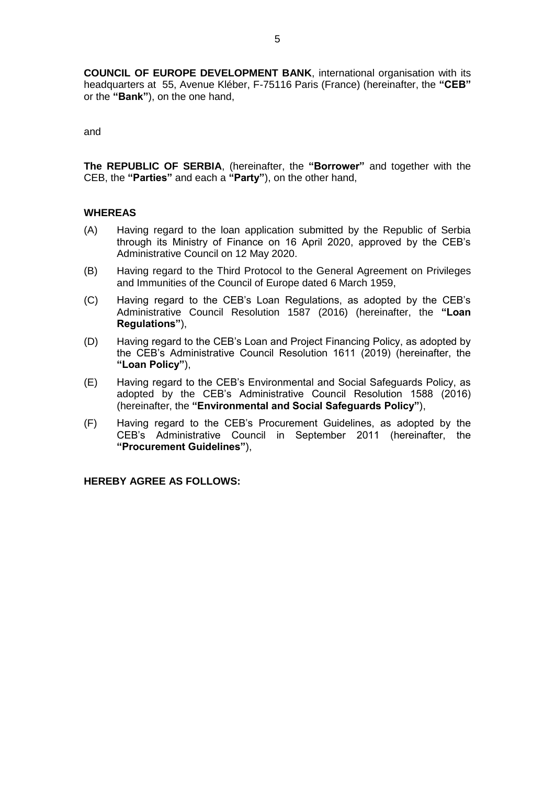**COUNCIL OF EUROPE DEVELOPMENT BANK**, international organisation with its headquarters at 55, Avenue Kléber, F-75116 Paris (France) (hereinafter, the **"CEB"**  or the **"Bank"**), on the one hand,

and

**The REPUBLIC OF SERBIA**, (hereinafter, the **"Borrower"** and together with the CEB, the **"Parties"** and each a **"Party"**), on the other hand,

#### **WHEREAS**

- (A) Having regard to the loan application submitted by the Republic of Serbia through its Ministry of Finance on 16 April 2020, approved by the CEB's Administrative Council on 12 May 2020.
- (B) Having regard to the Third Protocol to the General Agreement on Privileges and Immunities of the Council of Europe dated 6 March 1959,
- (C) Having regard to the CEB's Loan Regulations, as adopted by the CEB's Administrative Council Resolution 1587 (2016) (hereinafter, the **"Loan Regulations"**),
- (D) Having regard to the CEB's Loan and Project Financing Policy, as adopted by the CEB's Administrative Council Resolution 1611 (2019) (hereinafter, the **"Loan Policy"**),
- (E) Having regard to the CEB's Environmental and Social Safeguards Policy, as adopted by the CEB's Administrative Council Resolution 1588 (2016) (hereinafter, the **"Environmental and Social Safeguards Policy"**),
- (F) Having regard to the CEB's Procurement Guidelines, as adopted by the CEB's Administrative Council in September 2011 (hereinafter, the **"Procurement Guidelines"**),

**HEREBY AGREE AS FOLLOWS:**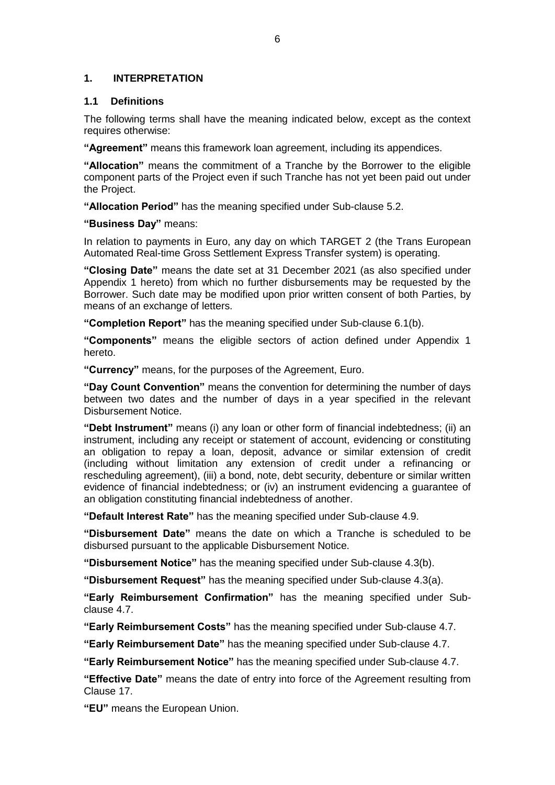# <span id="page-5-0"></span>**1. INTERPRETATION**

# <span id="page-5-1"></span>**1.1 Definitions**

The following terms shall have the meaning indicated below, except as the context requires otherwise:

**"Agreement"** means this framework loan agreement, including its appendices.

**"Allocation"** means the commitment of a Tranche by the Borrower to the eligible component parts of the Project even if such Tranche has not yet been paid out under the Project.

**"Allocation Period"** has the meaning specified under Sub-clause 5.2.

**"Business Day"** means:

In relation to payments in Euro, any day on which TARGET 2 (the Trans European Automated Real-time Gross Settlement Express Transfer system) is operating.

**"Closing Date"** means the date set at 31 December 2021 (as also specified under Appendix 1 hereto) from which no further disbursements may be requested by the Borrower. Such date may be modified upon prior written consent of both Parties, by means of an exchange of letters.

**"Completion Report"** has the meaning specified under Sub-clause 6.1(b).

**"Components"** means the eligible sectors of action defined under Appendix 1 hereto.

**"Currency"** means, for the purposes of the Agreement, Euro.

**"Day Count Convention"** means the convention for determining the number of days between two dates and the number of days in a year specified in the relevant Disbursement Notice.

**"Debt Instrument"** means (i) any loan or other form of financial indebtedness; (ii) an instrument, including any receipt or statement of account, evidencing or constituting an obligation to repay a loan, deposit, advance or similar extension of credit (including without limitation any extension of credit under a refinancing or rescheduling agreement), (iii) a bond, note, debt security, debenture or similar written evidence of financial indebtedness; or (iv) an instrument evidencing a guarantee of an obligation constituting financial indebtedness of another.

**"Default Interest Rate"** has the meaning specified under Sub-clause 4.9.

**"Disbursement Date"** means the date on which a Tranche is scheduled to be disbursed pursuant to the applicable Disbursement Notice.

**"Disbursement Notice"** has the meaning specified under Sub-clause 4.3(b).

**"Disbursement Request"** has the meaning specified under Sub-clause 4.3(a).

**"Early Reimbursement Confirmation"** has the meaning specified under Subclause 4.7.

**"Early Reimbursement Costs"** has the meaning specified under Sub-clause 4.7.

**"Early Reimbursement Date"** has the meaning specified under Sub-clause 4.7.

**"Early Reimbursement Notice"** has the meaning specified under Sub-clause 4.7.

**"Effective Date"** means the date of entry into force of the Agreement resulting from Clause 17.

**"EU"** means the European Union.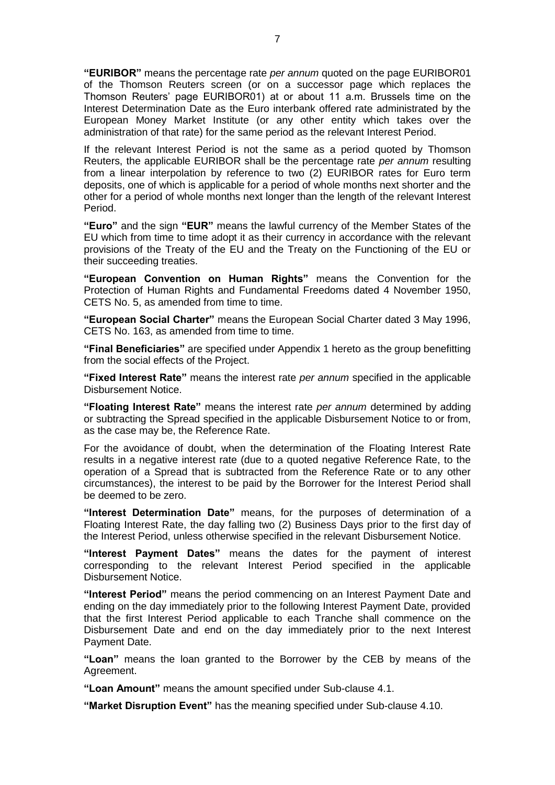**"EURIBOR"** means the percentage rate *per annum* quoted on the page EURIBOR01 of the Thomson Reuters screen (or on a successor page which replaces the Thomson Reuters' page EURIBOR01) at or about 11 a.m. Brussels time on the Interest Determination Date as the Euro interbank offered rate administrated by the European Money Market Institute (or any other entity which takes over the administration of that rate) for the same period as the relevant Interest Period.

If the relevant Interest Period is not the same as a period quoted by Thomson Reuters, the applicable EURIBOR shall be the percentage rate *per annum* resulting from a linear interpolation by reference to two (2) EURIBOR rates for Euro term deposits, one of which is applicable for a period of whole months next shorter and the other for a period of whole months next longer than the length of the relevant Interest Period.

**"Euro"** and the sign **"EUR"** means the lawful currency of the Member States of the EU which from time to time adopt it as their currency in accordance with the relevant provisions of the Treaty of the EU and the Treaty on the Functioning of the EU or their succeeding treaties.

**"European Convention on Human Rights"** means the Convention for the Protection of Human Rights and Fundamental Freedoms dated 4 November 1950, CETS No. 5, as amended from time to time.

**"European Social Charter"** means the European Social Charter dated 3 May 1996, CETS No. 163, as amended from time to time.

**"Final Beneficiaries"** are specified under Appendix 1 hereto as the group benefitting from the social effects of the Project.

**"Fixed Interest Rate"** means the interest rate *per annum* specified in the applicable Disbursement Notice.

**"Floating Interest Rate"** means the interest rate *per annum* determined by adding or subtracting the Spread specified in the applicable Disbursement Notice to or from, as the case may be, the Reference Rate.

For the avoidance of doubt, when the determination of the Floating Interest Rate results in a negative interest rate (due to a quoted negative Reference Rate, to the operation of a Spread that is subtracted from the Reference Rate or to any other circumstances), the interest to be paid by the Borrower for the Interest Period shall be deemed to be zero.

**"Interest Determination Date"** means, for the purposes of determination of a Floating Interest Rate, the day falling two (2) Business Days prior to the first day of the Interest Period, unless otherwise specified in the relevant Disbursement Notice.

**"Interest Payment Dates"** means the dates for the payment of interest corresponding to the relevant Interest Period specified in the applicable Disbursement Notice.

**"Interest Period"** means the period commencing on an Interest Payment Date and ending on the day immediately prior to the following Interest Payment Date, provided that the first Interest Period applicable to each Tranche shall commence on the Disbursement Date and end on the day immediately prior to the next Interest Payment Date.

**"Loan"** means the loan granted to the Borrower by the CEB by means of the Agreement.

**"Loan Amount"** means the amount specified under Sub-clause 4.1.

**"Market Disruption Event"** has the meaning specified under Sub-clause 4.10.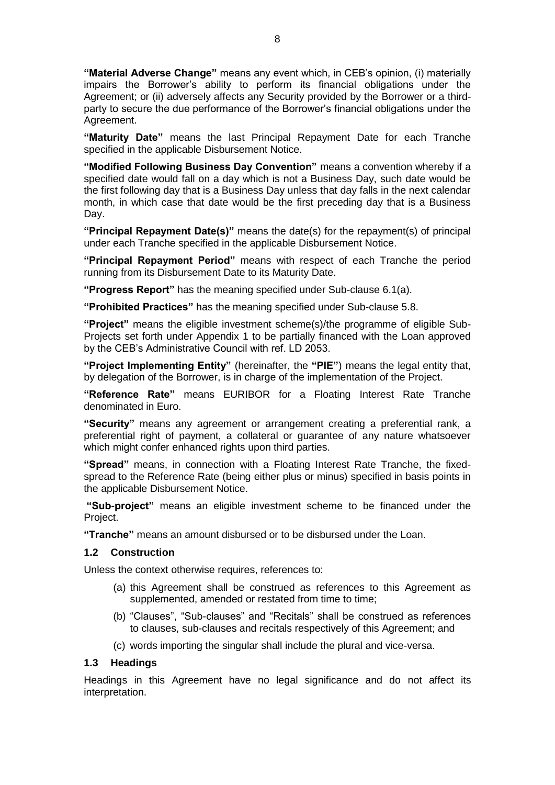**"Material Adverse Change"** means any event which, in CEB's opinion, (i) materially impairs the Borrower's ability to perform its financial obligations under the Agreement; or (ii) adversely affects any Security provided by the Borrower or a thirdparty to secure the due performance of the Borrower's financial obligations under the Agreement.

**"Maturity Date"** means the last Principal Repayment Date for each Tranche specified in the applicable Disbursement Notice.

**"Modified Following Business Day Convention"** means a convention whereby if a specified date would fall on a day which is not a Business Day, such date would be the first following day that is a Business Day unless that day falls in the next calendar month, in which case that date would be the first preceding day that is a Business Day.

**"Principal Repayment Date(s)"** means the date(s) for the repayment(s) of principal under each Tranche specified in the applicable Disbursement Notice.

**"Principal Repayment Period"** means with respect of each Tranche the period running from its Disbursement Date to its Maturity Date.

**"Progress Report"** has the meaning specified under Sub-clause 6.1(a).

**"Prohibited Practices"** has the meaning specified under Sub-clause 5.8.

**"Project"** means the eligible investment scheme(s)/the programme of eligible Sub-Projects set forth under Appendix 1 to be partially financed with the Loan approved by the CEB's Administrative Council with ref. LD 2053.

**"Project Implementing Entity"** (hereinafter, the **"PIE"**) means the legal entity that, by delegation of the Borrower, is in charge of the implementation of the Project.

**"Reference Rate"** means EURIBOR for a Floating Interest Rate Tranche denominated in Euro.

**"Security"** means any agreement or arrangement creating a preferential rank, a preferential right of payment, a collateral or guarantee of any nature whatsoever which might confer enhanced rights upon third parties.

**"Spread"** means, in connection with a Floating Interest Rate Tranche, the fixedspread to the Reference Rate (being either plus or minus) specified in basis points in the applicable Disbursement Notice.

**"Sub-project"** means an eligible investment scheme to be financed under the Project.

**"Tranche"** means an amount disbursed or to be disbursed under the Loan.

#### <span id="page-7-0"></span>**1.2 Construction**

Unless the context otherwise requires, references to:

- (a) this Agreement shall be construed as references to this Agreement as supplemented, amended or restated from time to time;
- (b) "Clauses", "Sub-clauses" and "Recitals" shall be construed as references to clauses, sub-clauses and recitals respectively of this Agreement; and
- (c) words importing the singular shall include the plural and vice-versa.

#### <span id="page-7-1"></span>**1.3 Headings**

Headings in this Agreement have no legal significance and do not affect its interpretation.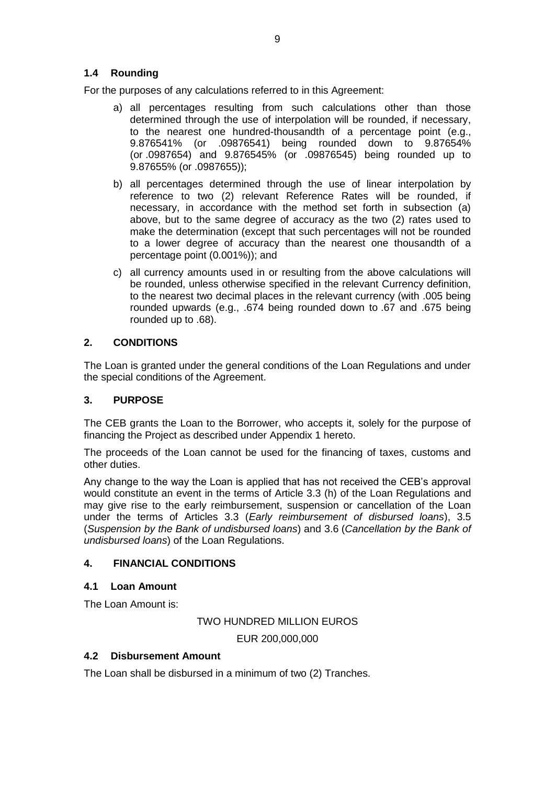# <span id="page-8-0"></span>**1.4 Rounding**

For the purposes of any calculations referred to in this Agreement:

- a) all percentages resulting from such calculations other than those determined through the use of interpolation will be rounded, if necessary, to the nearest one hundred-thousandth of a percentage point (e.g., 9.876541% (or .09876541) being rounded down to 9.87654% (or .0987654) and 9.876545% (or .09876545) being rounded up to 9.87655% (or .0987655));
- b) all percentages determined through the use of linear interpolation by reference to two (2) relevant Reference Rates will be rounded, if necessary, in accordance with the method set forth in subsection (a) above, but to the same degree of accuracy as the two (2) rates used to make the determination (except that such percentages will not be rounded to a lower degree of accuracy than the nearest one thousandth of a percentage point (0.001%)); and
- c) all currency amounts used in or resulting from the above calculations will be rounded, unless otherwise specified in the relevant Currency definition, to the nearest two decimal places in the relevant currency (with .005 being rounded upwards (e.g., .674 being rounded down to .67 and .675 being rounded up to .68).

# <span id="page-8-1"></span>**2. CONDITIONS**

The Loan is granted under the general conditions of the Loan Regulations and under the special conditions of the Agreement.

#### <span id="page-8-2"></span>**3. PURPOSE**

The CEB grants the Loan to the Borrower, who accepts it, solely for the purpose of financing the Project as described under Appendix 1 hereto.

The proceeds of the Loan cannot be used for the financing of taxes, customs and other duties.

Any change to the way the Loan is applied that has not received the CEB's approval would constitute an event in the terms of Article 3.3 (h) of the Loan Regulations and may give rise to the early reimbursement, suspension or cancellation of the Loan under the terms of Articles 3.3 (*Early reimbursement of disbursed loans*), 3.5 (*Suspension by the Bank of undisbursed loans*) and 3.6 (*Cancellation by the Bank of undisbursed loans*) of the Loan Regulations.

## <span id="page-8-3"></span>**4. FINANCIAL CONDITIONS**

#### <span id="page-8-4"></span>**4.1 Loan Amount**

The Loan Amount is:

TWO HUNDRED MILLION EUROS

EUR 200,000,000

#### <span id="page-8-5"></span>**4.2 Disbursement Amount**

The Loan shall be disbursed in a minimum of two (2) Tranches.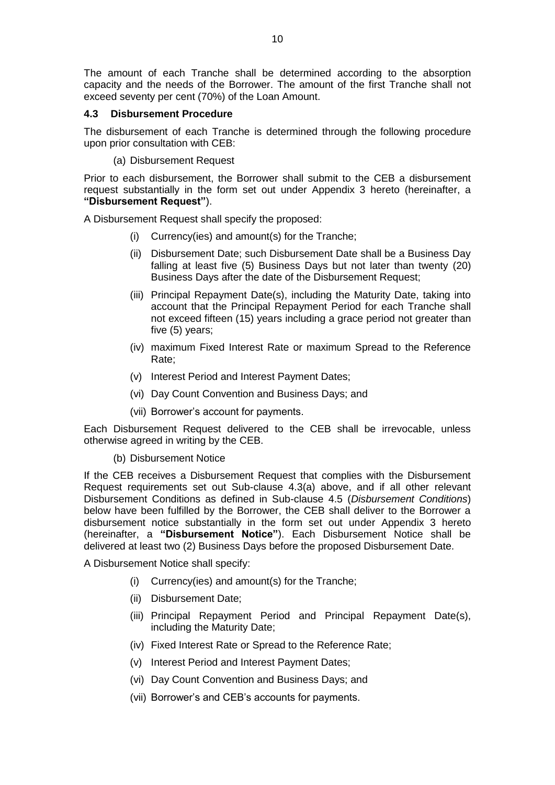The amount of each Tranche shall be determined according to the absorption capacity and the needs of the Borrower. The amount of the first Tranche shall not exceed seventy per cent (70%) of the Loan Amount.

#### <span id="page-9-0"></span>**4.3 Disbursement Procedure**

The disbursement of each Tranche is determined through the following procedure upon prior consultation with CEB:

(a) Disbursement Request

Prior to each disbursement, the Borrower shall submit to the CEB a disbursement request substantially in the form set out under Appendix 3 hereto (hereinafter, a **"Disbursement Request"**).

A Disbursement Request shall specify the proposed:

- (i) Currency(ies) and amount(s) for the Tranche;
- (ii) Disbursement Date; such Disbursement Date shall be a Business Day falling at least five (5) Business Days but not later than twenty (20) Business Days after the date of the Disbursement Request;
- (iii) Principal Repayment Date(s), including the Maturity Date, taking into account that the Principal Repayment Period for each Tranche shall not exceed fifteen (15) years including a grace period not greater than five (5) years;
- (iv) maximum Fixed Interest Rate or maximum Spread to the Reference Rate;
- (v) Interest Period and Interest Payment Dates;
- (vi) Day Count Convention and Business Days; and
- (vii) Borrower's account for payments.

Each Disbursement Request delivered to the CEB shall be irrevocable, unless otherwise agreed in writing by the CEB.

(b) Disbursement Notice

If the CEB receives a Disbursement Request that complies with the Disbursement Request requirements set out Sub-clause 4.3(a) above, and if all other relevant Disbursement Conditions as defined in Sub-clause 4.5 (*Disbursement Conditions*) below have been fulfilled by the Borrower, the CEB shall deliver to the Borrower a disbursement notice substantially in the form set out under Appendix 3 hereto (hereinafter, a **"Disbursement Notice"**). Each Disbursement Notice shall be delivered at least two (2) Business Days before the proposed Disbursement Date.

A Disbursement Notice shall specify:

- (i) Currency(ies) and amount(s) for the Tranche;
- (ii) Disbursement Date;
- (iii) Principal Repayment Period and Principal Repayment Date(s), including the Maturity Date;
- (iv) Fixed Interest Rate or Spread to the Reference Rate;
- (v) Interest Period and Interest Payment Dates;
- (vi) Day Count Convention and Business Days; and
- (vii) Borrower's and CEB's accounts for payments.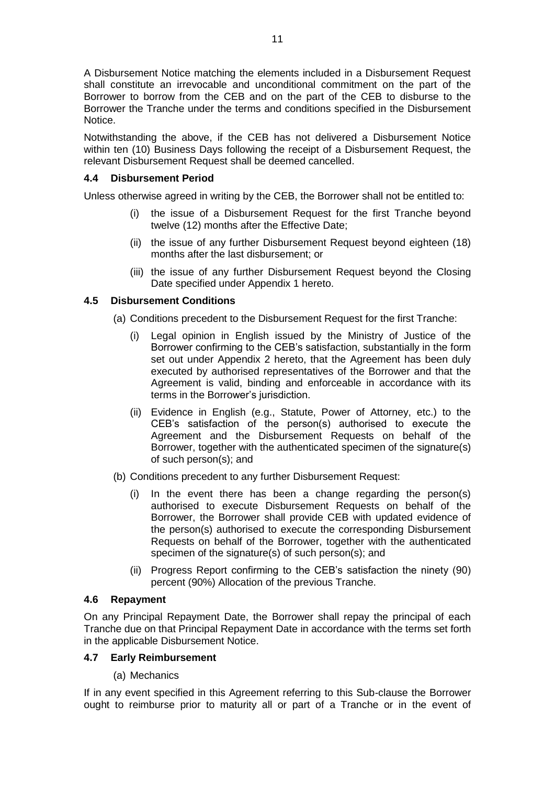A Disbursement Notice matching the elements included in a Disbursement Request shall constitute an irrevocable and unconditional commitment on the part of the Borrower to borrow from the CEB and on the part of the CEB to disburse to the Borrower the Tranche under the terms and conditions specified in the Disbursement Notice.

Notwithstanding the above, if the CEB has not delivered a Disbursement Notice within ten (10) Business Days following the receipt of a Disbursement Request, the relevant Disbursement Request shall be deemed cancelled.

# <span id="page-10-0"></span>**4.4 Disbursement Period**

Unless otherwise agreed in writing by the CEB, the Borrower shall not be entitled to:

- (i) the issue of a Disbursement Request for the first Tranche beyond twelve (12) months after the Effective Date;
- (ii) the issue of any further Disbursement Request beyond eighteen (18) months after the last disbursement; or
- (iii) the issue of any further Disbursement Request beyond the Closing Date specified under Appendix 1 hereto.

# <span id="page-10-1"></span>**4.5 Disbursement Conditions**

- (a) Conditions precedent to the Disbursement Request for the first Tranche:
	- (i) Legal opinion in English issued by the Ministry of Justice of the Borrower confirming to the CEB's satisfaction, substantially in the form set out under Appendix 2 hereto, that the Agreement has been duly executed by authorised representatives of the Borrower and that the Agreement is valid, binding and enforceable in accordance with its terms in the Borrower's jurisdiction.
	- (ii) Evidence in English (e.g., Statute, Power of Attorney, etc.) to the CEB's satisfaction of the person(s) authorised to execute the Agreement and the Disbursement Requests on behalf of the Borrower, together with the authenticated specimen of the signature(s) of such person(s); and
- (b) Conditions precedent to any further Disbursement Request:
	- In the event there has been a change regarding the person(s) authorised to execute Disbursement Requests on behalf of the Borrower, the Borrower shall provide CEB with updated evidence of the person(s) authorised to execute the corresponding Disbursement Requests on behalf of the Borrower, together with the authenticated specimen of the signature(s) of such person(s); and
	- (ii) Progress Report confirming to the CEB's satisfaction the ninety (90) percent (90%) Allocation of the previous Tranche.

## <span id="page-10-2"></span>**4.6 Repayment**

On any Principal Repayment Date, the Borrower shall repay the principal of each Tranche due on that Principal Repayment Date in accordance with the terms set forth in the applicable Disbursement Notice.

# <span id="page-10-3"></span>**4.7 Early Reimbursement**

(a) Mechanics

If in any event specified in this Agreement referring to this Sub-clause the Borrower ought to reimburse prior to maturity all or part of a Tranche or in the event of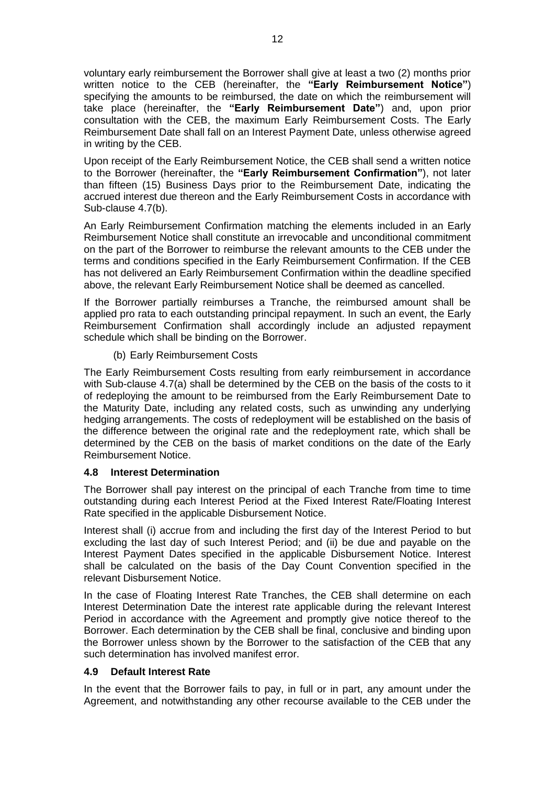voluntary early reimbursement the Borrower shall give at least a two (2) months prior written notice to the CEB (hereinafter, the **"Early Reimbursement Notice"**) specifying the amounts to be reimbursed, the date on which the reimbursement will take place (hereinafter, the **"Early Reimbursement Date"**) and, upon prior consultation with the CEB, the maximum Early Reimbursement Costs. The Early Reimbursement Date shall fall on an Interest Payment Date, unless otherwise agreed in writing by the CEB.

Upon receipt of the Early Reimbursement Notice, the CEB shall send a written notice to the Borrower (hereinafter, the **"Early Reimbursement Confirmation"**), not later than fifteen (15) Business Days prior to the Reimbursement Date, indicating the accrued interest due thereon and the Early Reimbursement Costs in accordance with Sub-clause 4.7(b).

An Early Reimbursement Confirmation matching the elements included in an Early Reimbursement Notice shall constitute an irrevocable and unconditional commitment on the part of the Borrower to reimburse the relevant amounts to the CEB under the terms and conditions specified in the Early Reimbursement Confirmation. If the CEB has not delivered an Early Reimbursement Confirmation within the deadline specified above, the relevant Early Reimbursement Notice shall be deemed as cancelled.

If the Borrower partially reimburses a Tranche, the reimbursed amount shall be applied pro rata to each outstanding principal repayment. In such an event, the Early Reimbursement Confirmation shall accordingly include an adjusted repayment schedule which shall be binding on the Borrower.

(b) Early Reimbursement Costs

The Early Reimbursement Costs resulting from early reimbursement in accordance with Sub-clause 4.7(a) shall be determined by the CEB on the basis of the costs to it of redeploying the amount to be reimbursed from the Early Reimbursement Date to the Maturity Date, including any related costs, such as unwinding any underlying hedging arrangements. The costs of redeployment will be established on the basis of the difference between the original rate and the redeployment rate, which shall be determined by the CEB on the basis of market conditions on the date of the Early Reimbursement Notice.

## <span id="page-11-0"></span>**4.8 Interest Determination**

The Borrower shall pay interest on the principal of each Tranche from time to time outstanding during each Interest Period at the Fixed Interest Rate/Floating Interest Rate specified in the applicable Disbursement Notice.

Interest shall (i) accrue from and including the first day of the Interest Period to but excluding the last day of such Interest Period; and (ii) be due and payable on the Interest Payment Dates specified in the applicable Disbursement Notice. Interest shall be calculated on the basis of the Day Count Convention specified in the relevant Disbursement Notice.

In the case of Floating Interest Rate Tranches, the CEB shall determine on each Interest Determination Date the interest rate applicable during the relevant Interest Period in accordance with the Agreement and promptly give notice thereof to the Borrower. Each determination by the CEB shall be final, conclusive and binding upon the Borrower unless shown by the Borrower to the satisfaction of the CEB that any such determination has involved manifest error.

# <span id="page-11-1"></span>**4.9 Default Interest Rate**

In the event that the Borrower fails to pay, in full or in part, any amount under the Agreement, and notwithstanding any other recourse available to the CEB under the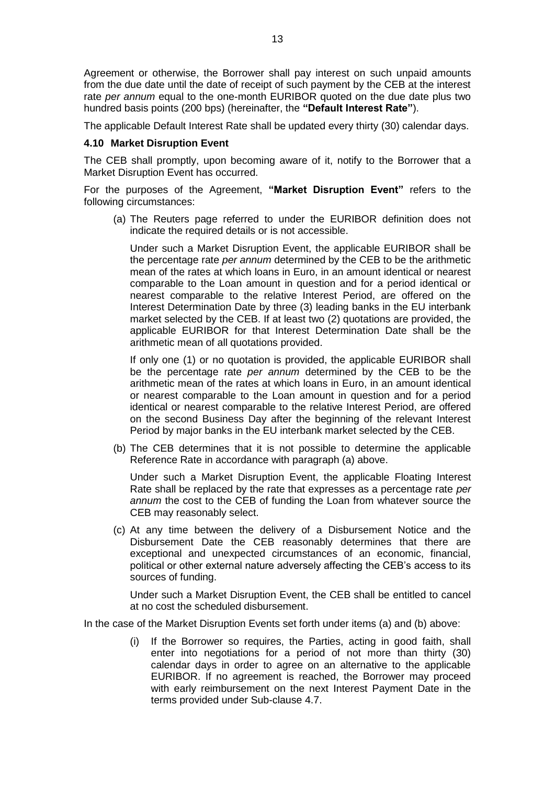Agreement or otherwise, the Borrower shall pay interest on such unpaid amounts from the due date until the date of receipt of such payment by the CEB at the interest rate *per annum* equal to the one-month EURIBOR quoted on the due date plus two hundred basis points (200 bps) (hereinafter, the **"Default Interest Rate"**).

The applicable Default Interest Rate shall be updated every thirty (30) calendar days.

#### <span id="page-12-0"></span>**4.10 Market Disruption Event**

The CEB shall promptly, upon becoming aware of it, notify to the Borrower that a Market Disruption Event has occurred.

For the purposes of the Agreement, **"Market Disruption Event"** refers to the following circumstances:

(a) The Reuters page referred to under the EURIBOR definition does not indicate the required details or is not accessible.

Under such a Market Disruption Event, the applicable EURIBOR shall be the percentage rate *per annum* determined by the CEB to be the arithmetic mean of the rates at which loans in Euro, in an amount identical or nearest comparable to the Loan amount in question and for a period identical or nearest comparable to the relative Interest Period, are offered on the Interest Determination Date by three (3) leading banks in the EU interbank market selected by the CEB. If at least two (2) quotations are provided, the applicable EURIBOR for that Interest Determination Date shall be the arithmetic mean of all quotations provided.

If only one (1) or no quotation is provided, the applicable EURIBOR shall be the percentage rate *per annum* determined by the CEB to be the arithmetic mean of the rates at which loans in Euro, in an amount identical or nearest comparable to the Loan amount in question and for a period identical or nearest comparable to the relative Interest Period, are offered on the second Business Day after the beginning of the relevant Interest Period by major banks in the EU interbank market selected by the CEB.

(b) The CEB determines that it is not possible to determine the applicable Reference Rate in accordance with paragraph (a) above.

Under such a Market Disruption Event, the applicable Floating Interest Rate shall be replaced by the rate that expresses as a percentage rate *per annum* the cost to the CEB of funding the Loan from whatever source the CEB may reasonably select.

(c) At any time between the delivery of a Disbursement Notice and the Disbursement Date the CEB reasonably determines that there are exceptional and unexpected circumstances of an economic, financial, political or other external nature adversely affecting the CEB's access to its sources of funding.

Under such a Market Disruption Event, the CEB shall be entitled to cancel at no cost the scheduled disbursement.

In the case of the Market Disruption Events set forth under items (a) and (b) above:

(i) If the Borrower so requires, the Parties, acting in good faith, shall enter into negotiations for a period of not more than thirty (30) calendar days in order to agree on an alternative to the applicable EURIBOR. If no agreement is reached, the Borrower may proceed with early reimbursement on the next Interest Payment Date in the terms provided under Sub-clause 4.7.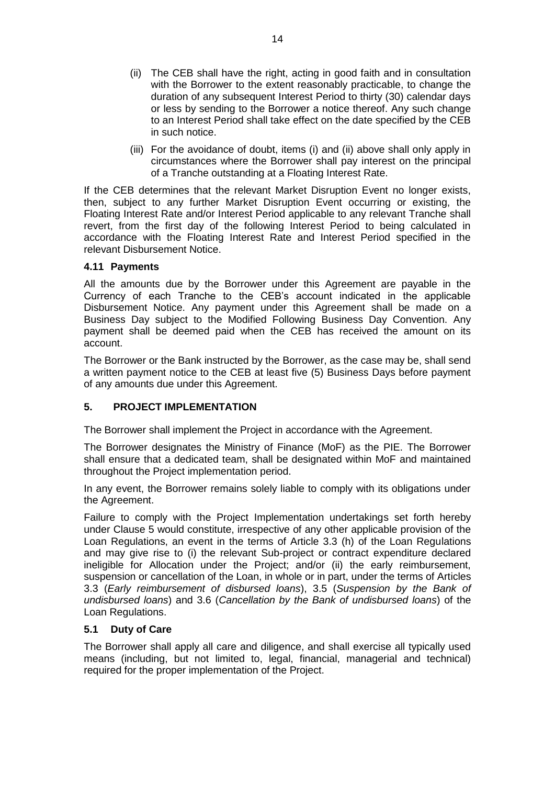- (ii) The CEB shall have the right, acting in good faith and in consultation with the Borrower to the extent reasonably practicable, to change the duration of any subsequent Interest Period to thirty (30) calendar days or less by sending to the Borrower a notice thereof. Any such change to an Interest Period shall take effect on the date specified by the CEB in such notice.
- (iii) For the avoidance of doubt, items (i) and (ii) above shall only apply in circumstances where the Borrower shall pay interest on the principal of a Tranche outstanding at a Floating Interest Rate.

If the CEB determines that the relevant Market Disruption Event no longer exists, then, subject to any further Market Disruption Event occurring or existing, the Floating Interest Rate and/or Interest Period applicable to any relevant Tranche shall revert, from the first day of the following Interest Period to being calculated in accordance with the Floating Interest Rate and Interest Period specified in the relevant Disbursement Notice.

## <span id="page-13-0"></span>**4.11 Payments**

All the amounts due by the Borrower under this Agreement are payable in the Currency of each Tranche to the CEB's account indicated in the applicable Disbursement Notice. Any payment under this Agreement shall be made on a Business Day subject to the Modified Following Business Day Convention. Any payment shall be deemed paid when the CEB has received the amount on its account.

The Borrower or the Bank instructed by the Borrower, as the case may be, shall send a written payment notice to the CEB at least five (5) Business Days before payment of any amounts due under this Agreement.

# <span id="page-13-1"></span>**5. PROJECT IMPLEMENTATION**

The Borrower shall implement the Project in accordance with the Agreement.

The Borrower designates the Ministry of Finance (MoF) as the PIE. The Borrower shall ensure that a dedicated team, shall be designated within MoF and maintained throughout the Project implementation period.

In any event, the Borrower remains solely liable to comply with its obligations under the Agreement.

Failure to comply with the Project Implementation undertakings set forth hereby under Clause 5 would constitute, irrespective of any other applicable provision of the Loan Regulations, an event in the terms of Article 3.3 (h) of the Loan Regulations and may give rise to (i) the relevant Sub-project or contract expenditure declared ineligible for Allocation under the Project; and/or (ii) the early reimbursement, suspension or cancellation of the Loan, in whole or in part, under the terms of Articles 3.3 (*Early reimbursement of disbursed loans*), 3.5 (*Suspension by the Bank of undisbursed loans*) and 3.6 (*Cancellation by the Bank of undisbursed loans*) of the Loan Regulations.

## <span id="page-13-2"></span>**5.1 Duty of Care**

The Borrower shall apply all care and diligence, and shall exercise all typically used means (including, but not limited to, legal, financial, managerial and technical) required for the proper implementation of the Project.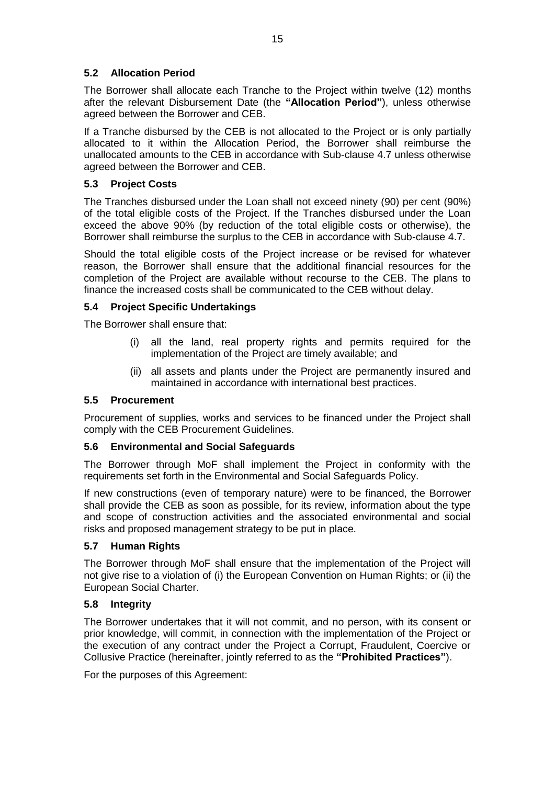# <span id="page-14-0"></span>**5.2 Allocation Period**

The Borrower shall allocate each Tranche to the Project within twelve (12) months after the relevant Disbursement Date (the **"Allocation Period"**), unless otherwise agreed between the Borrower and CEB.

If a Tranche disbursed by the CEB is not allocated to the Project or is only partially allocated to it within the Allocation Period, the Borrower shall reimburse the unallocated amounts to the CEB in accordance with Sub-clause 4.7 unless otherwise agreed between the Borrower and CEB.

# <span id="page-14-1"></span>**5.3 Project Costs**

The Tranches disbursed under the Loan shall not exceed ninety (90) per cent (90%) of the total eligible costs of the Project. If the Tranches disbursed under the Loan exceed the above 90% (by reduction of the total eligible costs or otherwise), the Borrower shall reimburse the surplus to the CEB in accordance with Sub-clause 4.7.

Should the total eligible costs of the Project increase or be revised for whatever reason, the Borrower shall ensure that the additional financial resources for the completion of the Project are available without recourse to the CEB. The plans to finance the increased costs shall be communicated to the CEB without delay.

## <span id="page-14-2"></span>**5.4 Project Specific Undertakings**

The Borrower shall ensure that:

- (i) all the land, real property rights and permits required for the implementation of the Project are timely available; and
- (ii) all assets and plants under the Project are permanently insured and maintained in accordance with international best practices.

## <span id="page-14-3"></span>**5.5 Procurement**

Procurement of supplies, works and services to be financed under the Project shall comply with the CEB Procurement Guidelines.

## <span id="page-14-4"></span>**5.6 Environmental and Social Safeguards**

The Borrower through MoF shall implement the Project in conformity with the requirements set forth in the Environmental and Social Safeguards Policy.

If new constructions (even of temporary nature) were to be financed, the Borrower shall provide the CEB as soon as possible, for its review, information about the type and scope of construction activities and the associated environmental and social risks and proposed management strategy to be put in place.

## <span id="page-14-5"></span>**5.7 Human Rights**

The Borrower through MoF shall ensure that the implementation of the Project will not give rise to a violation of (i) the European Convention on Human Rights; or (ii) the European Social Charter.

## <span id="page-14-6"></span>**5.8 Integrity**

The Borrower undertakes that it will not commit, and no person, with its consent or prior knowledge, will commit, in connection with the implementation of the Project or the execution of any contract under the Project a Corrupt, Fraudulent, Coercive or Collusive Practice (hereinafter, jointly referred to as the **"Prohibited Practices"**).

For the purposes of this Agreement: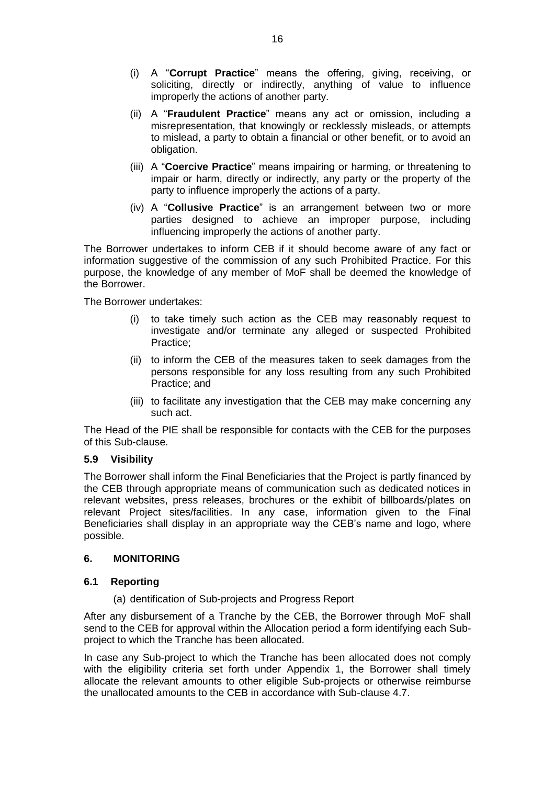- (i) A "**Corrupt Practice**" means the offering, giving, receiving, or soliciting, directly or indirectly, anything of value to influence improperly the actions of another party.
- (ii) A "**Fraudulent Practice**" means any act or omission, including a misrepresentation, that knowingly or recklessly misleads, or attempts to mislead, a party to obtain a financial or other benefit, or to avoid an obligation.
- (iii) A "**Coercive Practice**" means impairing or harming, or threatening to impair or harm, directly or indirectly, any party or the property of the party to influence improperly the actions of a party.
- (iv) A "**Collusive Practice**" is an arrangement between two or more parties designed to achieve an improper purpose, including influencing improperly the actions of another party.

The Borrower undertakes to inform CEB if it should become aware of any fact or information suggestive of the commission of any such Prohibited Practice. For this purpose, the knowledge of any member of MoF shall be deemed the knowledge of the Borrower.

The Borrower undertakes:

- (i) to take timely such action as the CEB may reasonably request to investigate and/or terminate any alleged or suspected Prohibited Practice;
- (ii) to inform the CEB of the measures taken to seek damages from the persons responsible for any loss resulting from any such Prohibited Practice; and
- (iii) to facilitate any investigation that the CEB may make concerning any such act.

The Head of the PIE shall be responsible for contacts with the CEB for the purposes of this Sub-clause.

#### <span id="page-15-0"></span>**5.9 Visibility**

The Borrower shall inform the Final Beneficiaries that the Project is partly financed by the CEB through appropriate means of communication such as dedicated notices in relevant websites, press releases, brochures or the exhibit of billboards/plates on relevant Project sites/facilities. In any case, information given to the Final Beneficiaries shall display in an appropriate way the CEB's name and logo, where possible.

### <span id="page-15-1"></span>**6. MONITORING**

#### <span id="page-15-2"></span>**6.1 Reporting**

(a) dentification of Sub-projects and Progress Report

After any disbursement of a Tranche by the CEB, the Borrower through MoF shall send to the CEB for approval within the Allocation period a form identifying each Subproject to which the Tranche has been allocated.

In case any Sub-project to which the Tranche has been allocated does not comply with the eligibility criteria set forth under Appendix 1, the Borrower shall timely allocate the relevant amounts to other eligible Sub-projects or otherwise reimburse the unallocated amounts to the CEB in accordance with Sub-clause 4.7.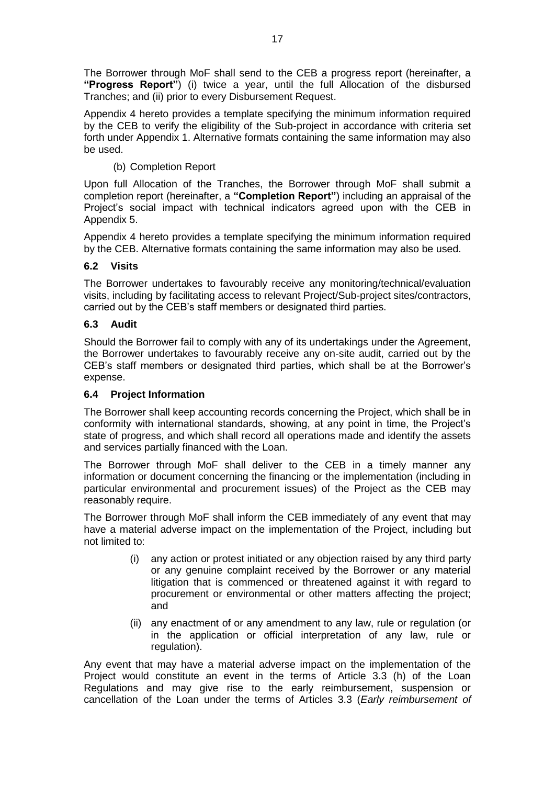The Borrower through MoF shall send to the CEB a progress report (hereinafter, a **"Progress Report"**) (i) twice a year, until the full Allocation of the disbursed Tranches; and (ii) prior to every Disbursement Request.

Appendix 4 hereto provides a template specifying the minimum information required by the CEB to verify the eligibility of the Sub-project in accordance with criteria set forth under Appendix 1. Alternative formats containing the same information may also be used.

# (b) Completion Report

Upon full Allocation of the Tranches, the Borrower through MoF shall submit a completion report (hereinafter, a **"Completion Report"**) including an appraisal of the Project's social impact with technical indicators agreed upon with the CEB in Appendix 5.

Appendix 4 hereto provides a template specifying the minimum information required by the CEB. Alternative formats containing the same information may also be used.

## <span id="page-16-0"></span>**6.2 Visits**

The Borrower undertakes to favourably receive any monitoring/technical/evaluation visits, including by facilitating access to relevant Project/Sub-project sites/contractors, carried out by the CEB's staff members or designated third parties.

## <span id="page-16-1"></span>**6.3 Audit**

Should the Borrower fail to comply with any of its undertakings under the Agreement, the Borrower undertakes to favourably receive any on-site audit, carried out by the CEB's staff members or designated third parties, which shall be at the Borrower's expense.

## <span id="page-16-2"></span>**6.4 Project Information**

The Borrower shall keep accounting records concerning the Project, which shall be in conformity with international standards, showing, at any point in time, the Project's state of progress, and which shall record all operations made and identify the assets and services partially financed with the Loan.

The Borrower through MoF shall deliver to the CEB in a timely manner any information or document concerning the financing or the implementation (including in particular environmental and procurement issues) of the Project as the CEB may reasonably require.

The Borrower through MoF shall inform the CEB immediately of any event that may have a material adverse impact on the implementation of the Project, including but not limited to:

- (i) any action or protest initiated or any objection raised by any third party or any genuine complaint received by the Borrower or any material litigation that is commenced or threatened against it with regard to procurement or environmental or other matters affecting the project; and
- (ii) any enactment of or any amendment to any law, rule or regulation (or in the application or official interpretation of any law, rule or regulation).

Any event that may have a material adverse impact on the implementation of the Project would constitute an event in the terms of Article 3.3 (h) of the Loan Regulations and may give rise to the early reimbursement, suspension or cancellation of the Loan under the terms of Articles 3.3 (*Early reimbursement of*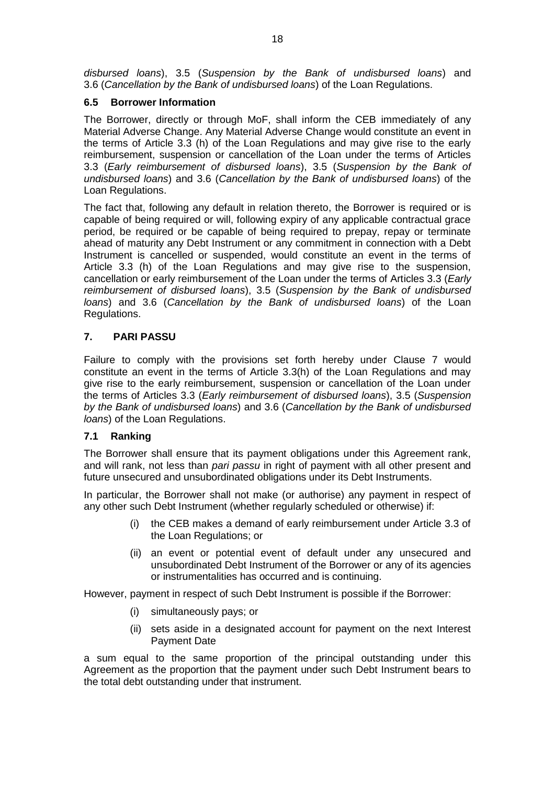*disbursed loans*), 3.5 (*Suspension by the Bank of undisbursed loans*) and 3.6 (*Cancellation by the Bank of undisbursed loans*) of the Loan Regulations.

# <span id="page-17-0"></span>**6.5 Borrower Information**

The Borrower, directly or through MoF, shall inform the CEB immediately of any Material Adverse Change. Any Material Adverse Change would constitute an event in the terms of Article 3.3 (h) of the Loan Regulations and may give rise to the early reimbursement, suspension or cancellation of the Loan under the terms of Articles 3.3 (*Early reimbursement of disbursed loans*), 3.5 (*Suspension by the Bank of undisbursed loans*) and 3.6 (*Cancellation by the Bank of undisbursed loans*) of the Loan Regulations.

The fact that, following any default in relation thereto, the Borrower is required or is capable of being required or will, following expiry of any applicable contractual grace period, be required or be capable of being required to prepay, repay or terminate ahead of maturity any Debt Instrument or any commitment in connection with a Debt Instrument is cancelled or suspended, would constitute an event in the terms of Article 3.3 (h) of the Loan Regulations and may give rise to the suspension, cancellation or early reimbursement of the Loan under the terms of Articles 3.3 (*Early reimbursement of disbursed loans*), 3.5 (*Suspension by the Bank of undisbursed loans*) and 3.6 (*Cancellation by the Bank of undisbursed loans*) of the Loan Regulations.

# <span id="page-17-1"></span>**7. PARI PASSU**

Failure to comply with the provisions set forth hereby under Clause 7 would constitute an event in the terms of Article 3.3(h) of the Loan Regulations and may give rise to the early reimbursement, suspension or cancellation of the Loan under the terms of Articles 3.3 (*Early reimbursement of disbursed loans*), 3.5 (*Suspension by the Bank of undisbursed loans*) and 3.6 (*Cancellation by the Bank of undisbursed loans*) of the Loan Regulations.

## <span id="page-17-2"></span>**7.1 Ranking**

The Borrower shall ensure that its payment obligations under this Agreement rank, and will rank, not less than *pari passu* in right of payment with all other present and future unsecured and unsubordinated obligations under its Debt Instruments.

In particular, the Borrower shall not make (or authorise) any payment in respect of any other such Debt Instrument (whether regularly scheduled or otherwise) if:

- (i) the CEB makes a demand of early reimbursement under Article 3.3 of the Loan Regulations; or
- (ii) an event or potential event of default under any unsecured and unsubordinated Debt Instrument of the Borrower or any of its agencies or instrumentalities has occurred and is continuing.

However, payment in respect of such Debt Instrument is possible if the Borrower:

- (i) simultaneously pays; or
- (ii) sets aside in a designated account for payment on the next Interest Payment Date

a sum equal to the same proportion of the principal outstanding under this Agreement as the proportion that the payment under such Debt Instrument bears to the total debt outstanding under that instrument.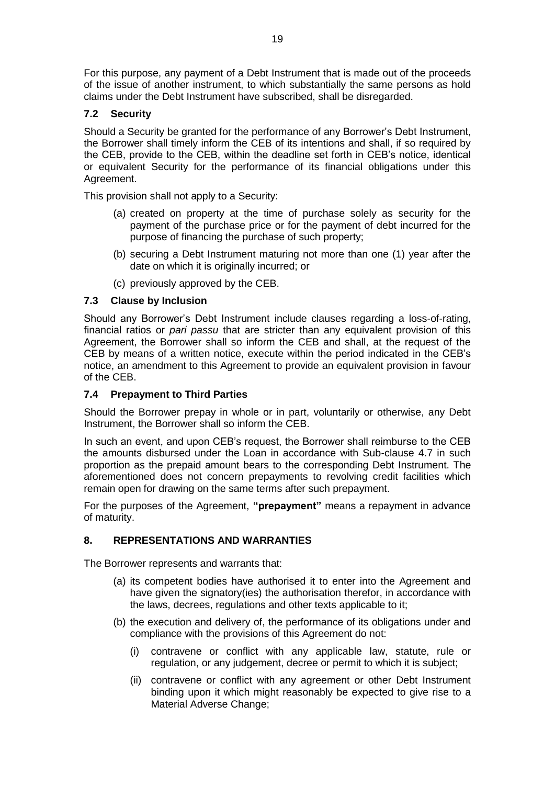For this purpose, any payment of a Debt Instrument that is made out of the proceeds of the issue of another instrument, to which substantially the same persons as hold claims under the Debt Instrument have subscribed, shall be disregarded.

# <span id="page-18-0"></span>**7.2 Security**

Should a Security be granted for the performance of any Borrower's Debt Instrument, the Borrower shall timely inform the CEB of its intentions and shall, if so required by the CEB, provide to the CEB, within the deadline set forth in CEB's notice, identical or equivalent Security for the performance of its financial obligations under this Agreement.

This provision shall not apply to a Security:

- (a) created on property at the time of purchase solely as security for the payment of the purchase price or for the payment of debt incurred for the purpose of financing the purchase of such property;
- (b) securing a Debt Instrument maturing not more than one (1) year after the date on which it is originally incurred; or
- (c) previously approved by the CEB.

# <span id="page-18-1"></span>**7.3 Clause by Inclusion**

Should any Borrower's Debt Instrument include clauses regarding a loss-of-rating, financial ratios or *pari passu* that are stricter than any equivalent provision of this Agreement, the Borrower shall so inform the CEB and shall, at the request of the CEB by means of a written notice, execute within the period indicated in the CEB's notice, an amendment to this Agreement to provide an equivalent provision in favour of the CEB.

# <span id="page-18-2"></span>**7.4 Prepayment to Third Parties**

Should the Borrower prepay in whole or in part, voluntarily or otherwise, any Debt Instrument, the Borrower shall so inform the CEB.

In such an event, and upon CEB's request, the Borrower shall reimburse to the CEB the amounts disbursed under the Loan in accordance with Sub-clause 4.7 in such proportion as the prepaid amount bears to the corresponding Debt Instrument. The aforementioned does not concern prepayments to revolving credit facilities which remain open for drawing on the same terms after such prepayment.

For the purposes of the Agreement, **"prepayment"** means a repayment in advance of maturity.

# <span id="page-18-3"></span>**8. REPRESENTATIONS AND WARRANTIES**

The Borrower represents and warrants that:

- (a) its competent bodies have authorised it to enter into the Agreement and have given the signatory(ies) the authorisation therefor, in accordance with the laws, decrees, regulations and other texts applicable to it;
- (b) the execution and delivery of, the performance of its obligations under and compliance with the provisions of this Agreement do not:
	- (i) contravene or conflict with any applicable law, statute, rule or regulation, or any judgement, decree or permit to which it is subject;
	- (ii) contravene or conflict with any agreement or other Debt Instrument binding upon it which might reasonably be expected to give rise to a Material Adverse Change;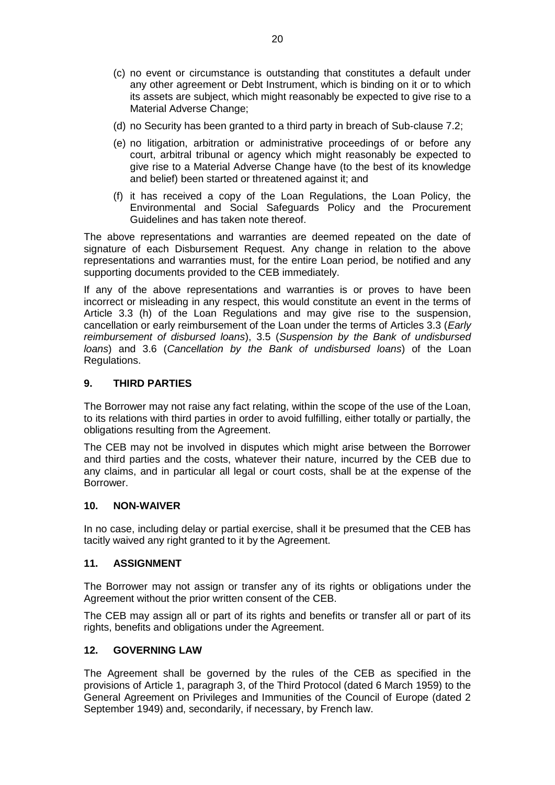- (c) no event or circumstance is outstanding that constitutes a default under any other agreement or Debt Instrument, which is binding on it or to which its assets are subject, which might reasonably be expected to give rise to a Material Adverse Change;
- (d) no Security has been granted to a third party in breach of Sub-clause 7.2;
- (e) no litigation, arbitration or administrative proceedings of or before any court, arbitral tribunal or agency which might reasonably be expected to give rise to a Material Adverse Change have (to the best of its knowledge and belief) been started or threatened against it; and
- (f) it has received a copy of the Loan Regulations, the Loan Policy, the Environmental and Social Safeguards Policy and the Procurement Guidelines and has taken note thereof.

The above representations and warranties are deemed repeated on the date of signature of each Disbursement Request. Any change in relation to the above representations and warranties must, for the entire Loan period, be notified and any supporting documents provided to the CEB immediately.

If any of the above representations and warranties is or proves to have been incorrect or misleading in any respect, this would constitute an event in the terms of Article 3.3 (h) of the Loan Regulations and may give rise to the suspension, cancellation or early reimbursement of the Loan under the terms of Articles 3.3 (*Early reimbursement of disbursed loans*), 3.5 (*Suspension by the Bank of undisbursed loans*) and 3.6 (*Cancellation by the Bank of undisbursed loans*) of the Loan Regulations.

## <span id="page-19-0"></span>**9. THIRD PARTIES**

The Borrower may not raise any fact relating, within the scope of the use of the Loan, to its relations with third parties in order to avoid fulfilling, either totally or partially, the obligations resulting from the Agreement.

The CEB may not be involved in disputes which might arise between the Borrower and third parties and the costs, whatever their nature, incurred by the CEB due to any claims, and in particular all legal or court costs, shall be at the expense of the Borrower.

#### <span id="page-19-1"></span>**10. NON-WAIVER**

In no case, including delay or partial exercise, shall it be presumed that the CEB has tacitly waived any right granted to it by the Agreement.

#### <span id="page-19-2"></span>**11. ASSIGNMENT**

The Borrower may not assign or transfer any of its rights or obligations under the Agreement without the prior written consent of the CEB.

The CEB may assign all or part of its rights and benefits or transfer all or part of its rights, benefits and obligations under the Agreement.

#### <span id="page-19-3"></span>**12. GOVERNING LAW**

The Agreement shall be governed by the rules of the CEB as specified in the provisions of Article 1, paragraph 3, of the Third Protocol (dated 6 March 1959) to the General Agreement on Privileges and Immunities of the Council of Europe (dated 2 September 1949) and, secondarily, if necessary, by French law.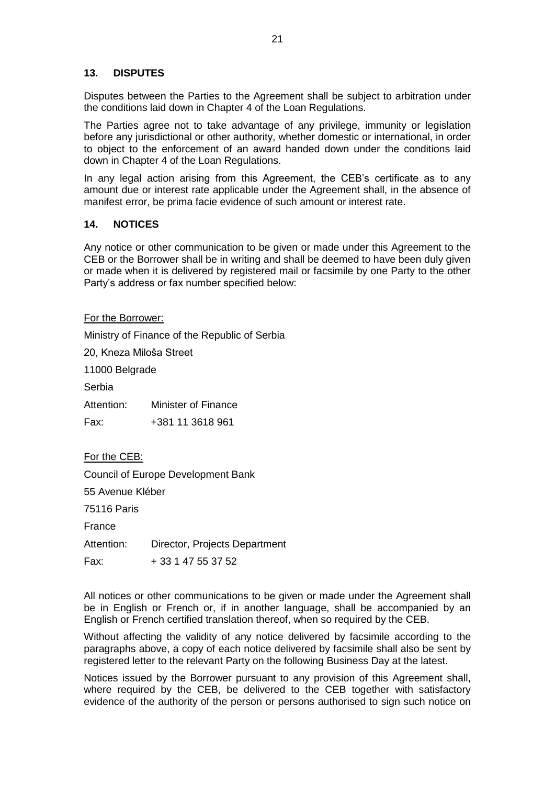#### <span id="page-20-0"></span>**13. DISPUTES**

Disputes between the Parties to the Agreement shall be subject to arbitration under the conditions laid down in Chapter 4 of the Loan Regulations.

The Parties agree not to take advantage of any privilege, immunity or legislation before any jurisdictional or other authority, whether domestic or international, in order to object to the enforcement of an award handed down under the conditions laid down in Chapter 4 of the Loan Regulations.

In any legal action arising from this Agreement, the CEB's certificate as to any amount due or interest rate applicable under the Agreement shall, in the absence of manifest error, be prima facie evidence of such amount or interest rate.

#### <span id="page-20-1"></span>**14. NOTICES**

Any notice or other communication to be given or made under this Agreement to the CEB or the Borrower shall be in writing and shall be deemed to have been duly given or made when it is delivered by registered mail or facsimile by one Party to the other Party's address or fax number specified below:

For the Borrower:

Ministry of Finance of the Republic of Serbia 20, Kneza Miloša Street 11000 Belgrade Serbia Attention: Minister of Finance Fax: +381 11 3618 961

For the CEB:

Council of Europe Development Bank

55 Avenue Kléber

75116 Paris

France

Attention: Director, Projects Department

Fax: + 33 1 47 55 37 52

All notices or other communications to be given or made under the Agreement shall be in English or French or, if in another language, shall be accompanied by an English or French certified translation thereof, when so required by the CEB.

Without affecting the validity of any notice delivered by facsimile according to the paragraphs above, a copy of each notice delivered by facsimile shall also be sent by registered letter to the relevant Party on the following Business Day at the latest.

Notices issued by the Borrower pursuant to any provision of this Agreement shall, where required by the CEB, be delivered to the CEB together with satisfactory evidence of the authority of the person or persons authorised to sign such notice on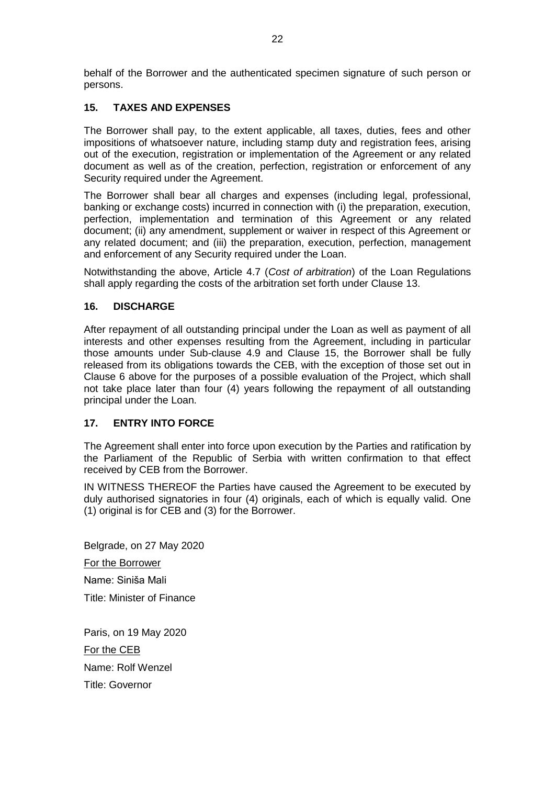behalf of the Borrower and the authenticated specimen signature of such person or persons.

# <span id="page-21-0"></span>**15. TAXES AND EXPENSES**

The Borrower shall pay, to the extent applicable, all taxes, duties, fees and other impositions of whatsoever nature, including stamp duty and registration fees, arising out of the execution, registration or implementation of the Agreement or any related document as well as of the creation, perfection, registration or enforcement of any Security required under the Agreement.

The Borrower shall bear all charges and expenses (including legal, professional, banking or exchange costs) incurred in connection with (i) the preparation, execution, perfection, implementation and termination of this Agreement or any related document; (ii) any amendment, supplement or waiver in respect of this Agreement or any related document; and (iii) the preparation, execution, perfection, management and enforcement of any Security required under the Loan.

Notwithstanding the above, Article 4.7 (*Cost of arbitration*) of the Loan Regulations shall apply regarding the costs of the arbitration set forth under Clause 13.

## <span id="page-21-1"></span>**16. DISCHARGE**

After repayment of all outstanding principal under the Loan as well as payment of all interests and other expenses resulting from the Agreement, including in particular those amounts under Sub-clause 4.9 and Clause 15, the Borrower shall be fully released from its obligations towards the CEB, with the exception of those set out in Clause 6 above for the purposes of a possible evaluation of the Project, which shall not take place later than four (4) years following the repayment of all outstanding principal under the Loan.

# <span id="page-21-2"></span>**17. ENTRY INTO FORCE**

The Agreement shall enter into force upon execution by the Parties and ratification by the Parliament of the Republic of Serbia with written confirmation to that effect received by CEB from the Borrower.

IN WITNESS THEREOF the Parties have caused the Agreement to be executed by duly authorised signatories in four (4) originals, each of which is equally valid. One (1) original is for CEB and (3) for the Borrower.

Belgrade, on 27 May 2020

For the Borrower

Name: Siniša Mali Title: Minister of Finance

Paris, on 19 May 2020 For the CEB Name: Rolf Wenzel Title: Governor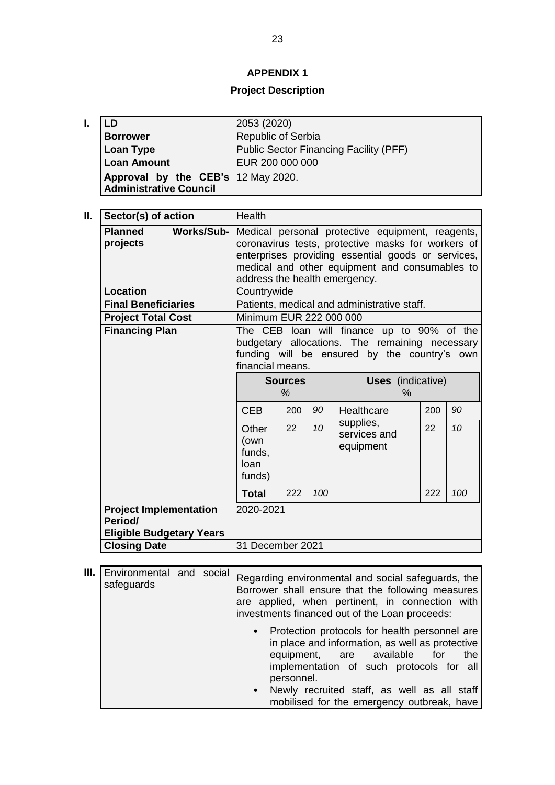# **APPENDIX 1**

# **Project Description**

<span id="page-22-0"></span>

| LD                                 | 2053 (2020)                                   |  |  |  |  |
|------------------------------------|-----------------------------------------------|--|--|--|--|
| <b>Borrower</b>                    | <b>Republic of Serbia</b>                     |  |  |  |  |
| <b>Loan Type</b>                   | <b>Public Sector Financing Facility (PFF)</b> |  |  |  |  |
| <b>Loan Amount</b>                 | EUR 200 000 000                               |  |  |  |  |
| Approval by the CEB's 12 May 2020. |                                               |  |  |  |  |
| <b>Administrative Council</b>      |                                               |  |  |  |  |

| II.<br>Sector(s) of action                                                  | Health                                                                                                                                                                                                                                          |     |     |                                             |     |     |  |
|-----------------------------------------------------------------------------|-------------------------------------------------------------------------------------------------------------------------------------------------------------------------------------------------------------------------------------------------|-----|-----|---------------------------------------------|-----|-----|--|
| <b>Planned</b><br><b>Works/Sub-</b><br>projects                             | Medical personal protective equipment, reagents,<br>coronavirus tests, protective masks for workers of<br>enterprises providing essential goods or services,<br>medical and other equipment and consumables to<br>address the health emergency. |     |     |                                             |     |     |  |
| <b>Location</b>                                                             | Countrywide                                                                                                                                                                                                                                     |     |     |                                             |     |     |  |
| <b>Final Beneficiaries</b>                                                  |                                                                                                                                                                                                                                                 |     |     | Patients, medical and administrative staff. |     |     |  |
| <b>Project Total Cost</b>                                                   | Minimum EUR 222 000 000                                                                                                                                                                                                                         |     |     |                                             |     |     |  |
| <b>Financing Plan</b>                                                       | The CEB loan will finance up to 90% of the<br>budgetary allocations. The remaining necessary<br>funding will be ensured by the country's own<br>financial means.                                                                                |     |     |                                             |     |     |  |
|                                                                             | <b>Sources</b><br>$\%$                                                                                                                                                                                                                          |     |     | <b>Uses</b> (indicative)<br>$\%$            |     |     |  |
|                                                                             | <b>CEB</b>                                                                                                                                                                                                                                      | 200 | 90  | Healthcare                                  | 200 | 90  |  |
|                                                                             | Other<br>(own<br>funds.<br>loan<br>funds)                                                                                                                                                                                                       | 22  | 10  | supplies,<br>services and<br>equipment      | 22  | 10  |  |
|                                                                             | <b>Total</b>                                                                                                                                                                                                                                    | 222 | 100 |                                             | 222 | 100 |  |
| <b>Project Implementation</b><br>Period/<br><b>Eligible Budgetary Years</b> | 2020-2021                                                                                                                                                                                                                                       |     |     |                                             |     |     |  |
| <b>Closing Date</b>                                                         | 31 December 2021                                                                                                                                                                                                                                |     |     |                                             |     |     |  |

| III. | Environmental and social<br>safeguards |  | Regarding environmental and social safeguards, the<br>Borrower shall ensure that the following measures<br>are applied, when pertinent, in connection with<br>investments financed out of the Loan proceeds:                                                                                                     |
|------|----------------------------------------|--|------------------------------------------------------------------------------------------------------------------------------------------------------------------------------------------------------------------------------------------------------------------------------------------------------------------|
|      |                                        |  | • Protection protocols for health personnel are<br>in place and information, as well as protective<br>equipment, are available<br>for<br>the<br>implementation of such protocols for all<br>personnel.<br>Newly recruited staff, as well as all staff<br>$\bullet$<br>mobilised for the emergency outbreak, have |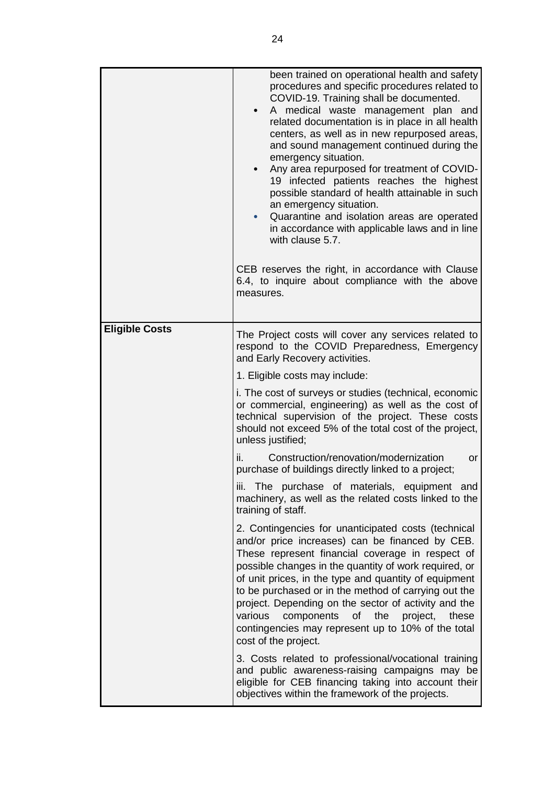|                       | been trained on operational health and safety<br>procedures and specific procedures related to<br>COVID-19. Training shall be documented.<br>A medical waste management plan and<br>related documentation is in place in all health<br>centers, as well as in new repurposed areas,<br>and sound management continued during the<br>emergency situation.<br>Any area repurposed for treatment of COVID-<br>19 infected patients reaches the highest<br>possible standard of health attainable in such<br>an emergency situation.<br>Quarantine and isolation areas are operated<br>in accordance with applicable laws and in line<br>with clause 5.7.<br>CEB reserves the right, in accordance with Clause<br>6.4, to inquire about compliance with the above<br>measures. |  |  |  |  |
|-----------------------|----------------------------------------------------------------------------------------------------------------------------------------------------------------------------------------------------------------------------------------------------------------------------------------------------------------------------------------------------------------------------------------------------------------------------------------------------------------------------------------------------------------------------------------------------------------------------------------------------------------------------------------------------------------------------------------------------------------------------------------------------------------------------|--|--|--|--|
| <b>Eligible Costs</b> | The Project costs will cover any services related to<br>respond to the COVID Preparedness, Emergency<br>and Early Recovery activities.                                                                                                                                                                                                                                                                                                                                                                                                                                                                                                                                                                                                                                     |  |  |  |  |
|                       | 1. Eligible costs may include:<br>i. The cost of surveys or studies (technical, economic<br>or commercial, engineering) as well as the cost of<br>technical supervision of the project. These costs<br>should not exceed 5% of the total cost of the project,<br>unless justified;                                                                                                                                                                                                                                                                                                                                                                                                                                                                                         |  |  |  |  |
|                       | ii.<br>Construction/renovation/modernization<br>or<br>purchase of buildings directly linked to a project;                                                                                                                                                                                                                                                                                                                                                                                                                                                                                                                                                                                                                                                                  |  |  |  |  |
|                       | The purchase of materials, equipment and<br>III.<br>machinery, as well as the related costs linked to the<br>training of staff.                                                                                                                                                                                                                                                                                                                                                                                                                                                                                                                                                                                                                                            |  |  |  |  |
|                       | 2. Contingencies for unanticipated costs (technical<br>and/or price increases) can be financed by CEB.<br>These represent financial coverage in respect of<br>possible changes in the quantity of work required, or<br>of unit prices, in the type and quantity of equipment<br>to be purchased or in the method of carrying out the<br>project. Depending on the sector of activity and the<br>various<br>components<br>of<br>the<br>project,<br>these<br>contingencies may represent up to 10% of the total<br>cost of the project.                                                                                                                                                                                                                                      |  |  |  |  |
|                       | 3. Costs related to professional/vocational training<br>and public awareness-raising campaigns may be<br>eligible for CEB financing taking into account their<br>objectives within the framework of the projects.                                                                                                                                                                                                                                                                                                                                                                                                                                                                                                                                                          |  |  |  |  |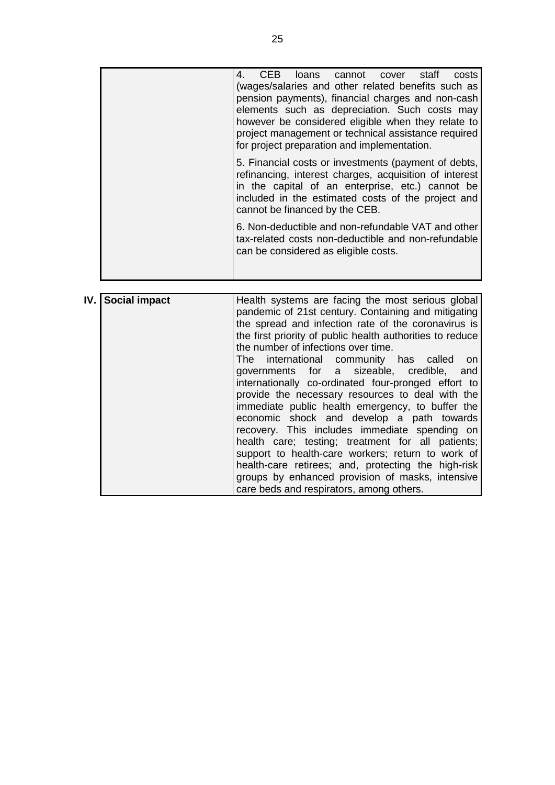| staff<br>CEB<br>loans cannot cover<br>costs<br>4.                                                                                                                                                                                                          |
|------------------------------------------------------------------------------------------------------------------------------------------------------------------------------------------------------------------------------------------------------------|
| (wages/salaries and other related benefits such as                                                                                                                                                                                                         |
| pension payments), financial charges and non-cash                                                                                                                                                                                                          |
| elements such as depreciation. Such costs may                                                                                                                                                                                                              |
| however be considered eligible when they relate to                                                                                                                                                                                                         |
| project management or technical assistance required                                                                                                                                                                                                        |
| for project preparation and implementation.                                                                                                                                                                                                                |
| 5. Financial costs or investments (payment of debts,<br>refinancing, interest charges, acquisition of interest<br>in the capital of an enterprise, etc.) cannot be<br>included in the estimated costs of the project and<br>cannot be financed by the CEB. |
| 6. Non-deductible and non-refundable VAT and other<br>tax-related costs non-deductible and non-refundable<br>can be considered as eligible costs.                                                                                                          |
|                                                                                                                                                                                                                                                            |

| IV. Social impact | Health systems are facing the most serious global         |  |  |  |  |  |  |
|-------------------|-----------------------------------------------------------|--|--|--|--|--|--|
|                   | pandemic of 21st century. Containing and mitigating       |  |  |  |  |  |  |
|                   | the spread and infection rate of the coronavirus is       |  |  |  |  |  |  |
|                   |                                                           |  |  |  |  |  |  |
|                   | the first priority of public health authorities to reduce |  |  |  |  |  |  |
|                   | the number of infections over time.                       |  |  |  |  |  |  |
|                   | The international community has called on                 |  |  |  |  |  |  |
|                   | governments for a sizeable, credible, and                 |  |  |  |  |  |  |
|                   | internationally co-ordinated four-pronged effort to       |  |  |  |  |  |  |
|                   | provide the necessary resources to deal with the          |  |  |  |  |  |  |
|                   | immediate public health emergency, to buffer the          |  |  |  |  |  |  |
|                   | economic shock and develop a path towards                 |  |  |  |  |  |  |
|                   | recovery. This includes immediate spending on             |  |  |  |  |  |  |
|                   | health care; testing; treatment for all patients;         |  |  |  |  |  |  |
|                   | support to health-care workers; return to work of         |  |  |  |  |  |  |
|                   | health-care retirees; and, protecting the high-risk       |  |  |  |  |  |  |
|                   | groups by enhanced provision of masks, intensive          |  |  |  |  |  |  |
|                   | care beds and respirators, among others.                  |  |  |  |  |  |  |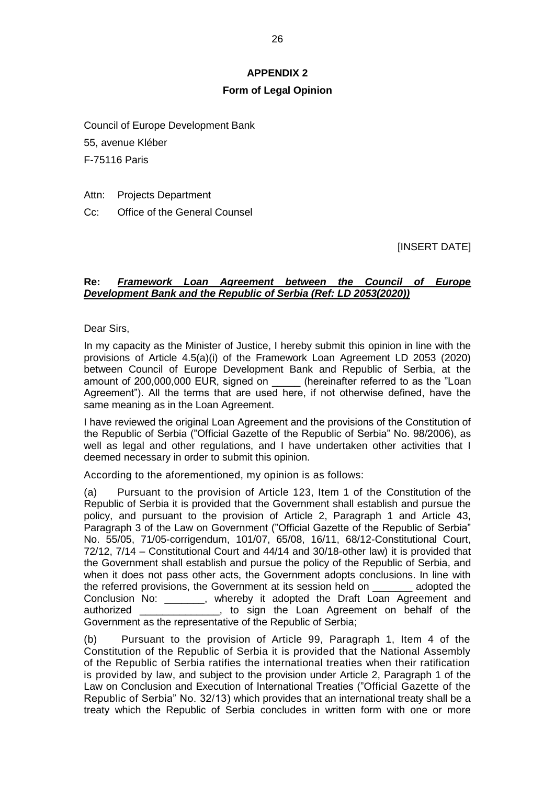# **APPENDIX 2**

# **Form of Legal Opinion**

<span id="page-25-0"></span>Council of Europe Development Bank

55, avenue Kléber

F-75116 Paris

Attn: Projects Department

Cc: Office of the General Counsel

[INSERT DATE]

## **Re:** *Framework Loan Agreement between the Council of Europe Development Bank and the Republic of Serbia (Ref: LD 2053(2020))*

Dear Sirs,

In my capacity as the Minister of Justice, I hereby submit this opinion in line with the provisions of Article 4.5(a)(i) of the Framework Loan Agreement LD 2053 (2020) between Council of Europe Development Bank and Republic of Serbia, at the amount of 200,000,000 EUR, signed on  $\qquad$  (hereinafter referred to as the "Loan Agreement"). All the terms that are used here, if not otherwise defined, have the same meaning as in the Loan Agreement.

I have reviewed the original Loan Agreement and the provisions of the Constitution of the Republic of Serbia ("Official Gazette of the Republic of Serbia" No. 98/2006), as well as legal and other regulations, and I have undertaken other activities that I deemed necessary in order to submit this opinion.

According to the aforementioned, my opinion is as follows:

(a) Pursuant to the provision of Article 123, Item 1 of the Constitution of the Republic of Serbia it is provided that the Government shall establish and pursue the policy, and pursuant to the provision of Article 2, Paragraph 1 and Article 43, Paragraph 3 of the Law on Government ("Official Gazette of the Republic of Serbia" No. 55/05, 71/05-corrigendum, 101/07, 65/08, 16/11, 68/12-Constitutional Court, 72/12, 7/14 – Constitutional Court and 44/14 and 30/18-other law) it is provided that the Government shall establish and pursue the policy of the Republic of Serbia, and when it does not pass other acts, the Government adopts conclusions. In line with the referred provisions, the Government at its session held on \_\_\_\_\_\_\_ adopted the Conclusion No: . . . . . whereby it adopted the Draft Loan Agreement and authorized \_\_\_\_\_\_\_\_\_\_\_\_\_\_, to sign the Loan Agreement on behalf of the Government as the representative of the Republic of Serbia;

(b) Pursuant to the provision of Article 99, Paragraph 1, Item 4 of the Constitution of the Republic of Serbia it is provided that the National Assembly of the Republic of Serbia ratifies the international treaties when their ratification is provided by law, and subject to the provision under Article 2, Paragraph 1 of the Law on Conclusion and Execution of International Treaties ("Official Gazette of the Republic of Serbia" No. 32/13) which provides that an international treaty shall be a treaty which the Republic of Serbia concludes in written form with one or more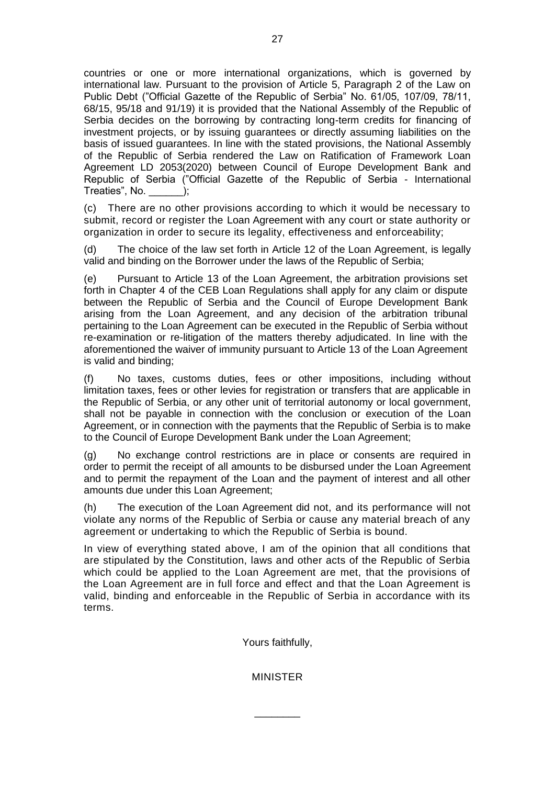countries or one or more international organizations, which is governed by international law. Pursuant to the provision of Article 5, Paragraph 2 of the Law on Public Debt ("Official Gazette of the Republic of Serbia" No. 61/05, 107/09, 78/11, 68/15, 95/18 and 91/19) it is provided that the National Assembly of the Republic of Serbia decides on the borrowing by contracting long-term credits for financing of investment projects, or by issuing guarantees or directly assuming liabilities on the basis of issued guarantees. In line with the stated provisions, the National Assembly of the Republic of Serbia rendered the Law on Ratification of Framework Loan Agreement LD 2053(2020) between Council of Europe Development Bank and Republic of Serbia ("Official Gazette of the Republic of Serbia - International Treaties", No.

(c) There are no other provisions according to which it would be necessary to submit, record or register the Loan Agreement with any court or state authority or organization in order to secure its legality, effectiveness and enforceability;

(d) The choice of the law set forth in Article 12 of the Loan Agreement, is legally valid and binding on the Borrower under the laws of the Republic of Serbia;

(e) Pursuant to Article 13 of the Loan Agreement, the arbitration provisions set forth in Chapter 4 of the CEB Loan Regulations shall apply for any claim or dispute between the Republic of Serbia and the Council of Europe Development Bank arising from the Loan Agreement, and any decision of the arbitration tribunal pertaining to the Loan Agreement can be executed in the Republic of Serbia without re-examination or re-litigation of the matters thereby adjudicated. In line with the aforementioned the waiver of immunity pursuant to Article 13 of the Loan Agreement is valid and binding;

(f) No taxes, customs duties, fees or other impositions, including without limitation taxes, fees or other levies for registration or transfers that are applicable in the Republic of Serbia, or any other unit of territorial autonomy or local government, shall not be payable in connection with the conclusion or execution of the Loan Agreement, or in connection with the payments that the Republic of Serbia is to make to the Council of Europe Development Bank under the Loan Agreement;

(g) No exchange control restrictions are in place or consents are required in order to permit the receipt of all amounts to be disbursed under the Loan Agreement and to permit the repayment of the Loan and the payment of interest and all other amounts due under this Loan Agreement;

(h) The execution of the Loan Agreement did not, and its performance will not violate any norms of the Republic of Serbia or cause any material breach of any agreement or undertaking to which the Republic of Serbia is bound.

In view of everything stated above, I am of the opinion that all conditions that are stipulated by the Constitution, laws and other acts of the Republic of Serbia which could be applied to the Loan Agreement are met, that the provisions of the Loan Agreement are in full force and effect and that the Loan Agreement is valid, binding and enforceable in the Republic of Serbia in accordance with its terms.

Yours faithfully,

MINISTER

\_\_\_\_\_\_\_\_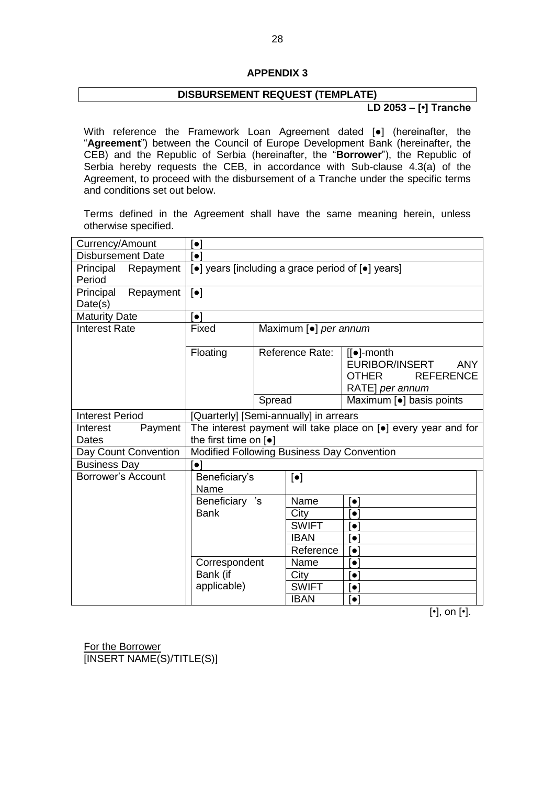### **APPENDIX 3**

# **DISBURSEMENT REQUEST (TEMPLATE)**

**LD 2053 – [•] Tranche**

<span id="page-27-0"></span>With reference the Framework Loan Agreement dated [•] (hereinafter, the "**Agreement**") between the Council of Europe Development Bank (hereinafter, the CEB) and the Republic of Serbia (hereinafter, the "**Borrower**"), the Republic of Serbia hereby requests the CEB, in accordance with Sub-clause 4.3(a) of the Agreement, to proceed with the disbursement of a Tranche under the specific terms and conditions set out below.

Terms defined in the Agreement shall have the same meaning herein, unless otherwise specified.

| Currency/Amount                   | $[\bullet]$                                                                        |                           |              |                                                                                                            |  |  |  |
|-----------------------------------|------------------------------------------------------------------------------------|---------------------------|--------------|------------------------------------------------------------------------------------------------------------|--|--|--|
| <b>Disbursement Date</b>          | $\lceil \bullet \rceil$                                                            |                           |              |                                                                                                            |  |  |  |
| Principal<br>Repayment<br>Period  | [●] years [including a grace period of [●] years]                                  |                           |              |                                                                                                            |  |  |  |
| Principal<br>Repayment<br>Date(s) | $\left[\bullet\right]$                                                             |                           |              |                                                                                                            |  |  |  |
| <b>Maturity Date</b>              | $\lceil \bullet \rceil$                                                            |                           |              |                                                                                                            |  |  |  |
| <b>Interest Rate</b>              | Fixed                                                                              | Maximum [•] per annum     |              |                                                                                                            |  |  |  |
|                                   | Floating                                                                           | Reference Rate:           |              | $[[\bullet]$ -month<br>EURIBOR/INSERT<br><b>ANY</b><br><b>OTHER</b><br><b>REFERENCE</b><br>RATE] per annum |  |  |  |
|                                   |                                                                                    | Spread                    |              | Maximum [•] basis points                                                                                   |  |  |  |
| <b>Interest Period</b>            | [Quarterly] [Semi-annually] in arrears                                             |                           |              |                                                                                                            |  |  |  |
| Payment<br>Interest               | The interest payment will take place on $\lceil \bullet \rceil$ every year and for |                           |              |                                                                                                            |  |  |  |
| Dates                             | the first time on $\lceil \bullet \rceil$                                          |                           |              |                                                                                                            |  |  |  |
| Day Count Convention              | Modified Following Business Day Convention                                         |                           |              |                                                                                                            |  |  |  |
| <b>Business Day</b>               | [●]                                                                                |                           |              |                                                                                                            |  |  |  |
| Borrower's Account                | Beneficiary's<br>Name                                                              | $\lbrack \bullet \rbrack$ |              |                                                                                                            |  |  |  |
|                                   | Beneficiary 's                                                                     |                           | Name         | $\bullet$                                                                                                  |  |  |  |
|                                   | <b>Bank</b>                                                                        |                           | City         | $\bullet$                                                                                                  |  |  |  |
|                                   |                                                                                    |                           | <b>SWIFT</b> | $\bullet$                                                                                                  |  |  |  |
|                                   |                                                                                    |                           | <b>IBAN</b>  | $\bullet$                                                                                                  |  |  |  |
|                                   |                                                                                    |                           | Reference    | $\left  \bullet \right $                                                                                   |  |  |  |
|                                   | Correspondent                                                                      |                           | Name         | $\bullet$                                                                                                  |  |  |  |
|                                   | Bank (if                                                                           |                           | City         | $\bullet$                                                                                                  |  |  |  |
|                                   | applicable)                                                                        |                           | <b>SWIFT</b> | $\bullet$                                                                                                  |  |  |  |
|                                   |                                                                                    |                           | <b>IBAN</b>  | $\bullet$                                                                                                  |  |  |  |

[•], on [•].

For the Borrower [INSERT NAME(S)/TITLE(S)]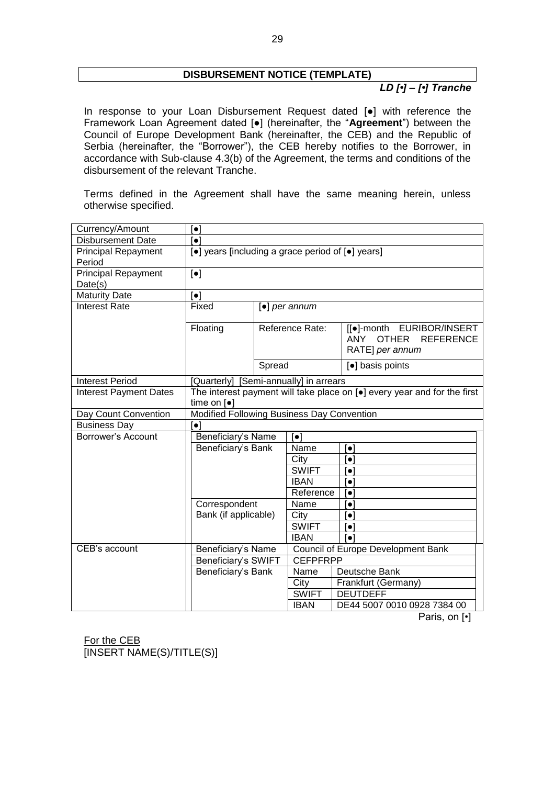# **DISBURSEMENT NOTICE (TEMPLATE)**

# *LD [•] – [•] Tranche*

In response to your Loan Disbursement Request dated [●] with reference the Framework Loan Agreement dated [●] (hereinafter, the "**Agreement**") between the Council of Europe Development Bank (hereinafter, the CEB) and the Republic of Serbia (hereinafter, the "Borrower"), the CEB hereby notifies to the Borrower, in accordance with Sub-clause 4.3(b) of the Agreement, the terms and conditions of the disbursement of the relevant Tranche.

Terms defined in the Agreement shall have the same meaning herein, unless otherwise specified.

| Currency/Amount                       | $\lceil \bullet \rceil$                           |                 |                                   |                                                                                         |  |  |
|---------------------------------------|---------------------------------------------------|-----------------|-----------------------------------|-----------------------------------------------------------------------------------------|--|--|
| <b>Disbursement Date</b>              | $\lceil \bullet \rceil$                           |                 |                                   |                                                                                         |  |  |
| <b>Principal Repayment</b>            | [•] years [including a grace period of [•] years] |                 |                                   |                                                                                         |  |  |
| Period                                |                                                   |                 |                                   |                                                                                         |  |  |
| <b>Principal Repayment</b><br>Date(s) | $[\bullet]$                                       |                 |                                   |                                                                                         |  |  |
| <b>Maturity Date</b>                  | $\lceil \bullet \rceil$                           |                 |                                   |                                                                                         |  |  |
| <b>Interest Rate</b>                  | Fixed                                             |                 | $\lceil \bullet \rceil$ per annum |                                                                                         |  |  |
|                                       | Floating                                          | Reference Rate: |                                   | [[.]-month EURIBOR/INSERT<br><b>OTHER</b><br><b>REFERENCE</b><br>ANY<br>RATE] per annum |  |  |
|                                       |                                                   | Spread          |                                   | [•] basis points                                                                        |  |  |
| <b>Interest Period</b>                | [Quarterly] [Semi-annually] in arrears            |                 |                                   |                                                                                         |  |  |
| <b>Interest Payment Dates</b>         |                                                   |                 |                                   | The interest payment will take place on [.] every year and for the first                |  |  |
|                                       | time on $[e]$                                     |                 |                                   |                                                                                         |  |  |
| Day Count Convention                  | Modified Following Business Day Convention        |                 |                                   |                                                                                         |  |  |
| <b>Business Day</b>                   | $\lceil \bullet \rceil$                           |                 |                                   |                                                                                         |  |  |
| Borrower's Account                    | Beneficiary's Name                                |                 | $\lceil \bullet \rceil$           |                                                                                         |  |  |
|                                       | Beneficiary's Bank                                |                 | Name                              | $\lceil \bullet \rceil$                                                                 |  |  |
|                                       |                                                   |                 | City<br><b>SWIFT</b>              | $\left\lceil \bullet \right\rceil$                                                      |  |  |
|                                       |                                                   |                 |                                   | $\lceil \bullet \rceil$                                                                 |  |  |
|                                       |                                                   |                 | <b>IBAN</b>                       | $\lceil \bullet \rceil$                                                                 |  |  |
|                                       |                                                   |                 | Reference                         | $\left[ \bullet \right]$                                                                |  |  |
|                                       | Correspondent                                     |                 | Name                              | $\left\lceil \bullet \right\rceil$                                                      |  |  |
|                                       | Bank (if applicable)                              |                 | City                              | $\left[ \bullet \right]$                                                                |  |  |
|                                       |                                                   |                 | <b>SWIFT</b>                      | $\lceil \bullet \rceil$                                                                 |  |  |
|                                       |                                                   |                 | <b>IBAN</b>                       | [•]                                                                                     |  |  |
| CEB's account                         | Beneficiary's Name                                |                 |                                   | Council of Europe Development Bank                                                      |  |  |
|                                       | Beneficiary's SWIFT                               |                 | <b>CEFPFRPP</b>                   |                                                                                         |  |  |
| Beneficiary's Bank                    |                                                   | Name            | Deutsche Bank                     |                                                                                         |  |  |
|                                       |                                                   |                 | City                              | Frankfurt (Germany)                                                                     |  |  |
|                                       |                                                   |                 | <b>SWIFT</b>                      | <b>DEUTDEFF</b>                                                                         |  |  |
|                                       |                                                   |                 | <b>IBAN</b>                       | DE44 5007 0010 0928 7384 00                                                             |  |  |

Paris, on [•]

For the CEB [INSERT NAME(S)/TITLE(S)]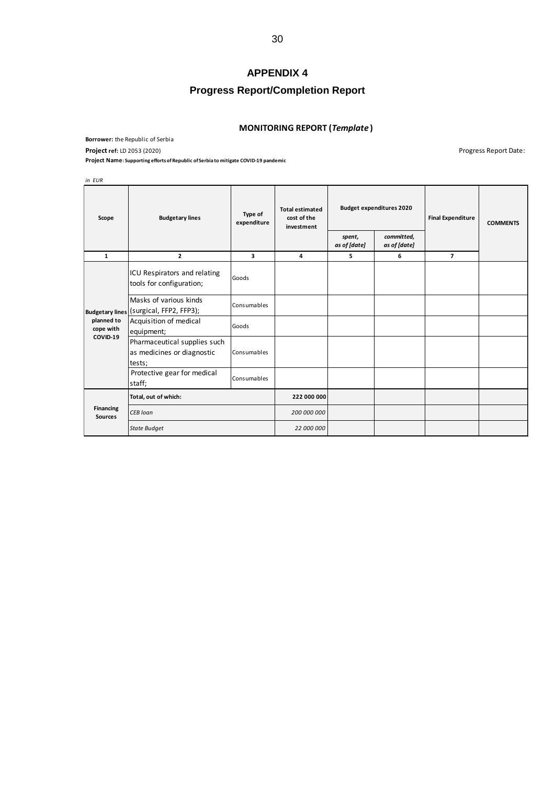# **APPENDIX 4**

# **Progress Report/Completion Report**

#### **MONITORING REPORT (***Template* **)**

<span id="page-29-0"></span>**Borrower:** the Republic of Serbia **Project** ref: LD 2053 (2020) **Project** ref: LD 2053 (2020)

**Project Name: Supporting efforts of Republic of Serbia to mitigate COVID-19 pandemic**

*in EUR*

| Scope                       | <b>Budgetary lines</b>                                               | Type of<br>expenditure | <b>Total estimated</b><br>cost of the<br>investment | <b>Budget expenditures 2020</b><br>committed,<br>spent,<br>as of [date]<br>as of [date] |   | <b>Final Expenditure</b> | <b>COMMENTS</b> |
|-----------------------------|----------------------------------------------------------------------|------------------------|-----------------------------------------------------|-----------------------------------------------------------------------------------------|---|--------------------------|-----------------|
| $\mathbf{1}$                | 2                                                                    | 3                      | 4                                                   | 5                                                                                       | 6 | $\overline{7}$           |                 |
|                             | ICU Respirators and relating<br>tools for configuration;             | Goods                  |                                                     |                                                                                         |   |                          |                 |
|                             | Masks of various kinds<br>Budgetary lines (Surgical, FFP2, FFP3);    | Consumables            |                                                     |                                                                                         |   |                          |                 |
| planned to<br>cope with     | Acquisition of medical<br>equipment;                                 | Goods                  |                                                     |                                                                                         |   |                          |                 |
| COVID-19                    | Pharmaceutical supplies such<br>as medicines or diagnostic<br>tests; | Consumables            |                                                     |                                                                                         |   |                          |                 |
|                             | Protective gear for medical<br>staff;                                | Consumables            |                                                     |                                                                                         |   |                          |                 |
|                             | Total, out of which:                                                 |                        | 222 000 000                                         |                                                                                         |   |                          |                 |
| Financing<br><b>Sources</b> | <b>CEB</b> loan                                                      |                        | 200 000 000                                         |                                                                                         |   |                          |                 |
|                             | <b>State Budget</b>                                                  | 22 000 000             |                                                     |                                                                                         |   |                          |                 |

30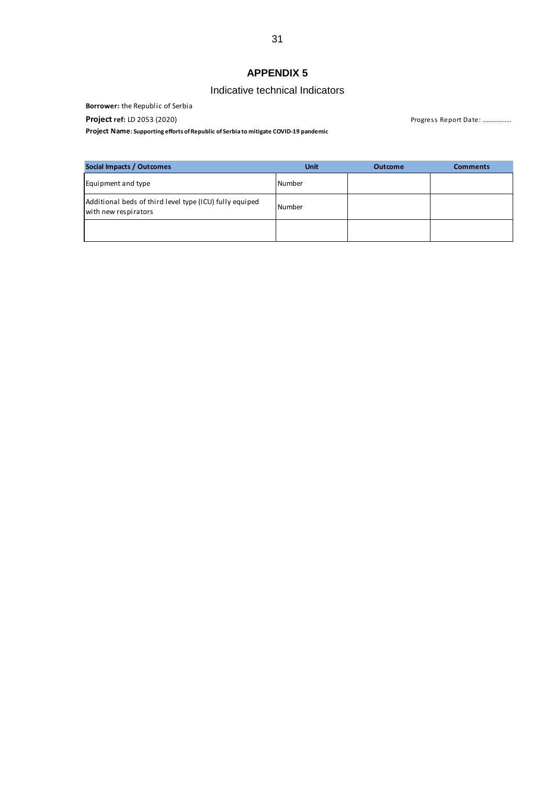# **APPENDIX 5**

# Indicative technical Indicators

<span id="page-30-0"></span>**Borrower:** the Republic of Serbia

**Project Name: Supporting efforts of Republic of Serbia to mitigate COVID-19 pandemic**

**Project ref:** LD 2053 (2020) **Project ref:** LD 2053 (2020)

| Social Impacts / Outcomes                                                       | <b>Unit</b> | <b>Outcome</b> | <b>Comments</b> |
|---------------------------------------------------------------------------------|-------------|----------------|-----------------|
| Equipment and type                                                              | Number      |                |                 |
| Additional beds of third level type (ICU) fully equiped<br>with new respirators | Number      |                |                 |
|                                                                                 |             |                |                 |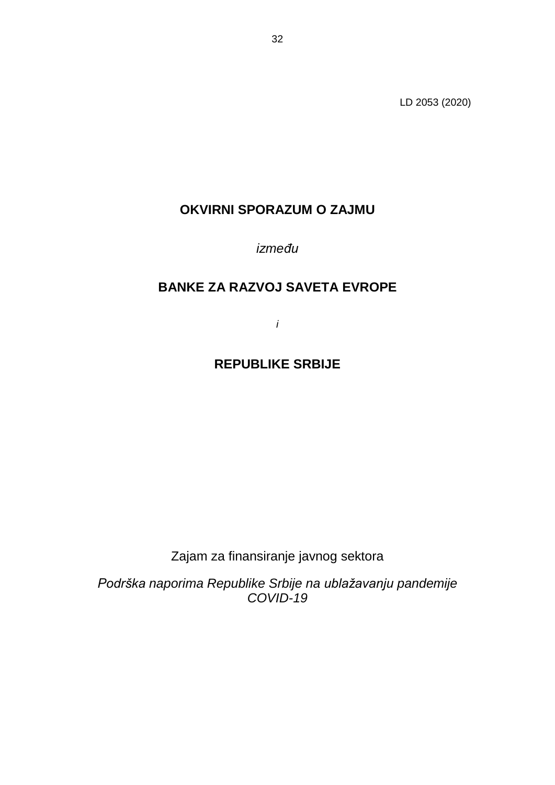LD 2053 (2020)

# **OKVIRNI SPORAZUM O ZAJMU**

*između*

# **BANKE ZA RAZVOJ SAVETA EVROPE**

*i*

# **REPUBLIKE SRBIJE**

Zajam za finansiranje javnog sektora

*Podrška naporima Republike Srbije na ublažavanju pandemije COVID-19*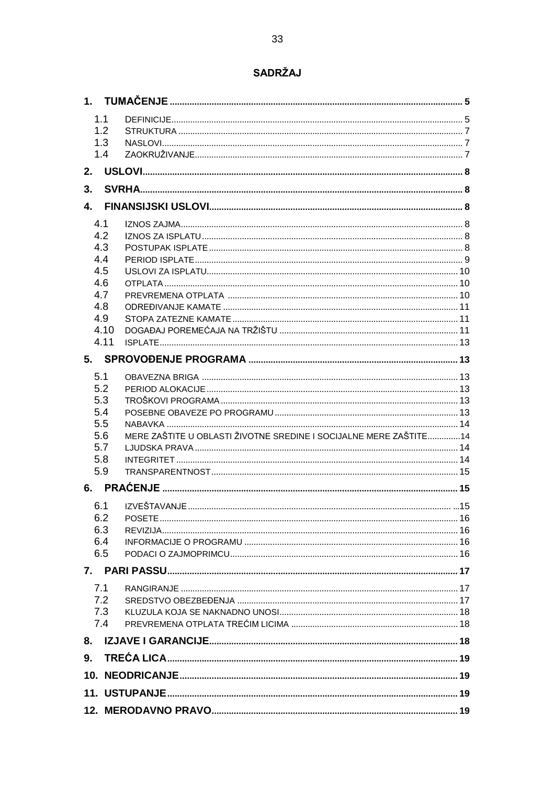# SADRŽAJ

|              | 1.1         |                                                                   |     |
|--------------|-------------|-------------------------------------------------------------------|-----|
|              | 1.2         |                                                                   |     |
|              | 1.3         |                                                                   |     |
|              | 1.4         |                                                                   |     |
| 2.           |             |                                                                   |     |
| 3.           |             |                                                                   |     |
| $\mathbf{4}$ |             |                                                                   |     |
|              | 4.1         |                                                                   |     |
|              | 4.2         |                                                                   |     |
|              | 4.3         |                                                                   |     |
|              | 4.4         |                                                                   |     |
|              | 4.5         |                                                                   |     |
|              | 4.6         |                                                                   |     |
|              | 4.7         |                                                                   |     |
|              | 4.8         |                                                                   |     |
|              | 4.9<br>4.10 |                                                                   |     |
|              | 4.11        |                                                                   |     |
|              |             |                                                                   |     |
|              |             |                                                                   |     |
|              | 5.1         |                                                                   |     |
|              | 5.2         |                                                                   |     |
|              | 5.3         |                                                                   |     |
|              | 5.4<br>5.5  |                                                                   |     |
|              | 5.6         | MERE ZAŠTITE U OBLASTI ŽIVOTNE SREDINE I SOCIJALNE MERE ZAŠTITE14 |     |
|              | 5.7         |                                                                   |     |
|              | 5.8         |                                                                   |     |
|              | 5.9         |                                                                   |     |
|              |             |                                                                   |     |
|              |             | 6.1 IZVEŠTAVANJE                                                  | .15 |
|              | 6.2         |                                                                   |     |
|              | 6.3         |                                                                   |     |
|              | 6.4         |                                                                   |     |
|              | 6.5         |                                                                   |     |
|              |             |                                                                   |     |
|              | 7.1         |                                                                   |     |
|              | 7.2         |                                                                   |     |
|              | 7.3         |                                                                   |     |
|              | 7.4         |                                                                   |     |
|              |             |                                                                   |     |
|              |             |                                                                   |     |
|              |             |                                                                   |     |
|              |             |                                                                   |     |
|              |             |                                                                   |     |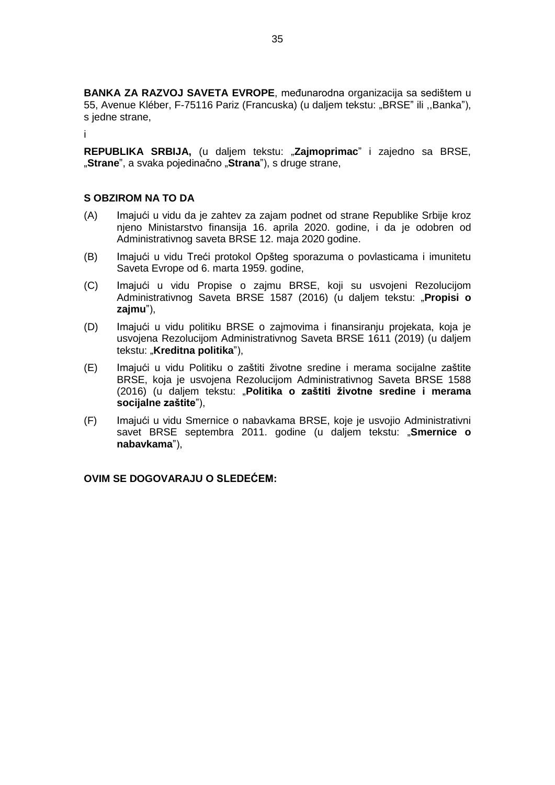**BANKA ZA RAZVOJ SAVETA EVROPE**, međunarodna organizacija sa sedištem u 55, Avenue Kléber, F-75116 Pariz (Francuska) (u daljem tekstu: "BRSE" ili ,,Banka"), s jedne strane,

i

**REPUBLIKA SRBIJA,** (u daljem tekstu: "**Zajmoprimac**" i zajedno sa BRSE, "**Strane**", a svaka pojedinačno "**Strana**"), s druge strane,

### **S OBZIROM NA TO DA**

- (A) Imajući u vidu da je zahtev za zajam podnet od strane Republike Srbije kroz njeno Ministarstvo finansija 16. aprila 2020. godine, i da je odobren od Administrativnog saveta BRSE 12. maja 2020 godine.
- (B) Imajući u vidu Treći protokol Opšteg sporazuma o povlasticama i imunitetu Saveta Evrope od 6. marta 1959. godine,
- (C) Imajući u vidu Propise o zajmu BRSE, koji su usvojeni Rezolucijom Administrativnog Saveta BRSE 1587 (2016) (u daljem tekstu: "**Propisi o zajmu**"),
- (D) Imajući u vidu politiku BRSE o zajmovima i finansiranju projekata, koja je usvojena Rezolucijom Administrativnog Saveta BRSE 1611 (2019) (u daljem tekstu: "**Kreditna politika**"),
- (E) Imajući u vidu Politiku o zaštiti životne sredine i merama socijalne zaštite BRSE, koja je usvojena Rezolucijom Administrativnog Saveta BRSE 1588 (2016) (u daljem tekstu: "**Politika o zaštiti životne sredine i merama socijalne zaštite**"),
- (F) Imajući u vidu Smernice o nabavkama BRSE, koje je usvojio Administrativni savet BRSE septembra 2011. godine (u daljem tekstu: "**Smernice o nabavkama**"),

**OVIM SE DOGOVARAJU O SLEDEĆEM:**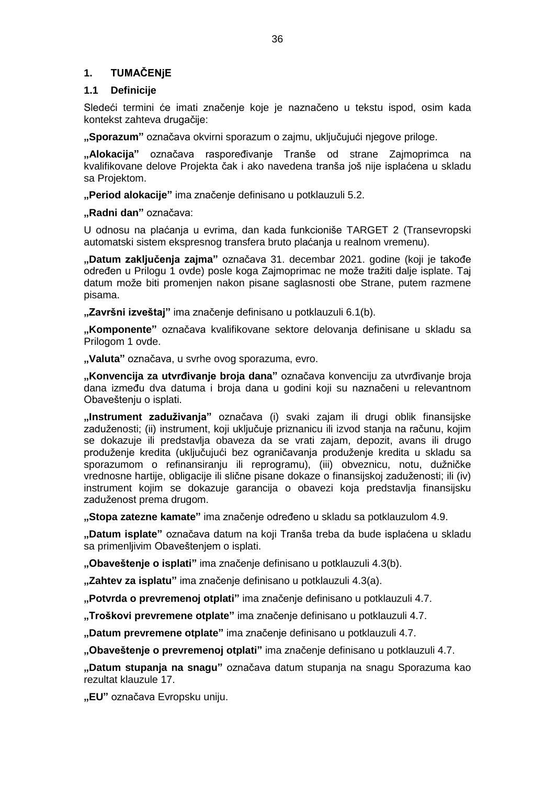# **1. TUMAČENjE**

### **1.1 Definicije**

Sledeći termini će imati značenje koje je naznačeno u tekstu ispod, osim kada kontekst zahteva drugačije:

**"Sporazum"** označava okvirni sporazum o zajmu, uključujući njegove priloge.

**"Alokacija"** označava raspoređivanje Tranše od strane Zajmoprimca na kvalifikovane delove Projekta čak i ako navedena tranša još nije isplaćena u skladu sa Projektom.

**"Period alokacije"** ima značenje definisano u potklauzuli 5.2.

**"Radni dan"** označava:

U odnosu na plaćanja u evrima, dan kada funkcioniše TARGET 2 (Transevropski automatski sistem ekspresnog transfera bruto plaćanja u realnom vremenu).

**"Datum zaključenja zajma"** označava 31. decembar 2021. godine (koji je takođe određen u Prilogu 1 ovde) posle koga Zajmoprimac ne može tražiti dalje isplate. Taj datum može biti promenjen nakon pisane saglasnosti obe Strane, putem razmene pisama.

**"Završni izveštaj"** ima značenje definisano u potklauzuli 6.1(b).

**"Komponente"** označava kvalifikovane sektore delovanja definisane u skladu sa Prilogom 1 ovde.

**"Valuta"** označava, u svrhe ovog sporazuma, evro.

**"Konvencija za utvrđivanje broja dana"** označava konvenciju za utvrđivanje broja dana između dva datuma i broja dana u godini koji su naznačeni u relevantnom Obaveštenju o isplati.

**"Instrument zaduživanja"** označava (i) svaki zajam ili drugi oblik finansijske zaduženosti; (ii) instrument, koji uključuje priznanicu ili izvod stanja na računu, kojim se dokazuje ili predstavlja obaveza da se vrati zajam, depozit, avans ili drugo produženje kredita (uključujući bez ograničavanja produženje kredita u skladu sa sporazumom o refinansiranju ili reprogramu), (iii) obveznicu, notu, dužničke vrednosne hartije, obligacije ili slične pisane dokaze o finansijskoj zaduženosti; ili (iv) instrument kojim se dokazuje garancija o obavezi koja predstavlja finansijsku zaduženost prema drugom.

**"Stopa zatezne kamate"** ima značenje određeno u skladu sa potklauzulom 4.9.

**"Datum isplate"** označava datum na koji Tranša treba da bude isplaćena u skladu sa primenljivim Obaveštenjem o isplati.

**"Obaveštenje o isplati"** ima značenje definisano u potklauzuli 4.3(b).

**"Zahtev za isplatu"** ima značenje definisano u potklauzuli 4.3(a).

**"Potvrda o prevremenoj otplati"** ima značenje definisano u potklauzuli 4.7.

**"Troškovi prevremene otplate"** ima značenje definisano u potklauzuli 4.7.

**"Datum prevremene otplate"** ima značenje definisano u potklauzuli 4.7.

**"Obaveštenje o prevremenoj otplati"** ima značenje definisano u potklauzuli 4.7.

**"Datum stupanja na snagu"** označava datum stupanja na snagu Sporazuma kao rezultat klauzule 17.

**"EU"** označava Evropsku uniju.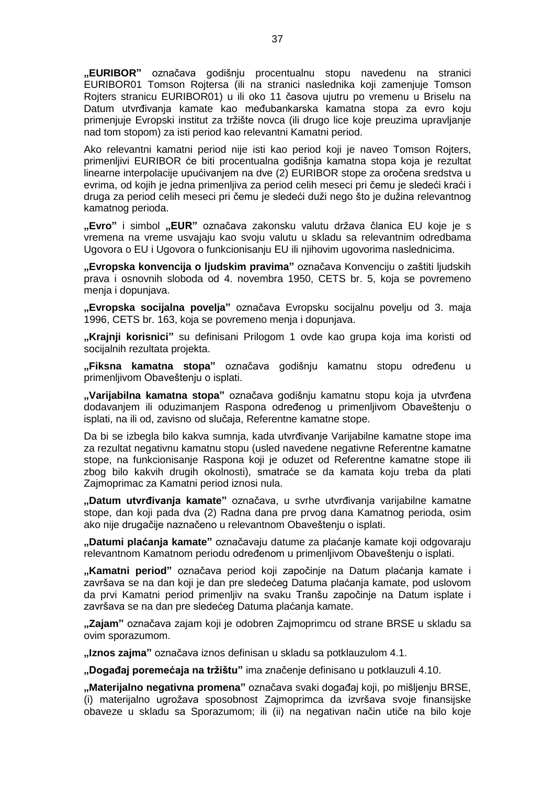**"EURIBOR"** označava godišnju procentualnu stopu navedenu na stranici EURIBOR01 Tomson Rojtersa (ili na stranici naslednika koji zamenjuje Tomson Rojters stranicu EURIBOR01) u ili oko 11 časova ujutru po vremenu u Briselu na Datum utvrđivanja kamate kao međubankarska kamatna stopa za evro koju primenjuje Evropski institut za tržište novca (ili drugo lice koje preuzima upravljanje nad tom stopom) za isti period kao relevantni Kamatni period.

Ako relevantni kamatni period nije isti kao period koji je naveo Tomson Rojters, primenljivi EURIBOR će biti procentualna godišnja kamatna stopa koja je rezultat linearne interpolacije upućivanjem na dve (2) EURIBOR stope za oročena sredstva u evrima, od kojih je jedna primenljiva za period celih meseci pri čemu je sledeći kraći i druga za period celih meseci pri čemu je sledeći duži nego što je dužina relevantnog kamatnog perioda.

**"Evro"** i simbol **"EUR"** označava zakonsku valutu država članica EU koje je s vremena na vreme usvajaju kao svoju valutu u skladu sa relevantnim odredbama Ugovora o EU i Ugovora o funkcionisanju EU ili njihovim ugovorima naslednicima.

**"Evropska konvencija o ljudskim pravima"** označava Konvenciju o zaštiti ljudskih prava i osnovnih sloboda od 4. novembra 1950, CETS br. 5, koja se povremeno menja i dopunjava.

**"Evropska socijalna povelja"** označava Evropsku socijalnu povelju od 3. maja 1996, CETS br. 163, koja se povremeno menja i dopunjava.

**"Krajnji korisnici"** su definisani Prilogom 1 ovde kao grupa koja ima koristi od socijalnih rezultata projekta.

**"Fiksna kamatna stopa"** označava godišnju kamatnu stopu određenu u primenljivom Obaveštenju o isplati.

**"Varijabilna kamatna stopa"** označava godišnju kamatnu stopu koja ja utvrđena dodavanjem ili oduzimanjem Raspona određenog u primenljivom Obaveštenju o isplati, na ili od, zavisno od slučaja, Referentne kamatne stope.

Da bi se izbegla bilo kakva sumnja, kada utvrđivanje Varijabilne kamatne stope ima za rezultat negativnu kamatnu stopu (usled navedene negativne Referentne kamatne stope, na funkcionisanje Raspona koji je oduzet od Referentne kamatne stope ili zbog bilo kakvih drugih okolnosti), smatraće se da kamata koju treba da plati Zajmoprimac za Kamatni period iznosi nula.

**"Datum utvrđivanja kamate"** označava, u svrhe utvrđivanja varijabilne kamatne stope, dan koji pada dva (2) Radna dana pre prvog dana Kamatnog perioda, osim ako nije drugačije naznačeno u relevantnom Obaveštenju o isplati.

**"Datumi plaćanja kamate"** označavaju datume za plaćanje kamate koji odgovaraju relevantnom Kamatnom periodu određenom u primenljivom Obaveštenju o isplati.

**"Kamatni period"** označava period koji započinje na Datum plaćanja kamate i završava se na dan koji je dan pre sledećeg Datuma plaćanja kamate, pod uslovom da prvi Kamatni period primenljiv na svaku Tranšu započinje na Datum isplate i završava se na dan pre sledećeg Datuma plaćanja kamate.

**"Zajam"** označava zajam koji je odobren Zajmoprimcu od strane BRSE u skladu sa ovim sporazumom.

**"Iznos zajma"** označava iznos definisan u skladu sa potklauzulom 4.1.

**"Događaj poremećaja na tržištu"** ima značenje definisano u potklauzuli 4.10.

**"Materijalno negativna promena"** označava svaki događaj koji, po mišljenju BRSE, (i) materijalno ugrožava sposobnost Zajmoprimca da izvršava svoje finansijske obaveze u skladu sa Sporazumom; ili (ii) na negativan način utiče na bilo koje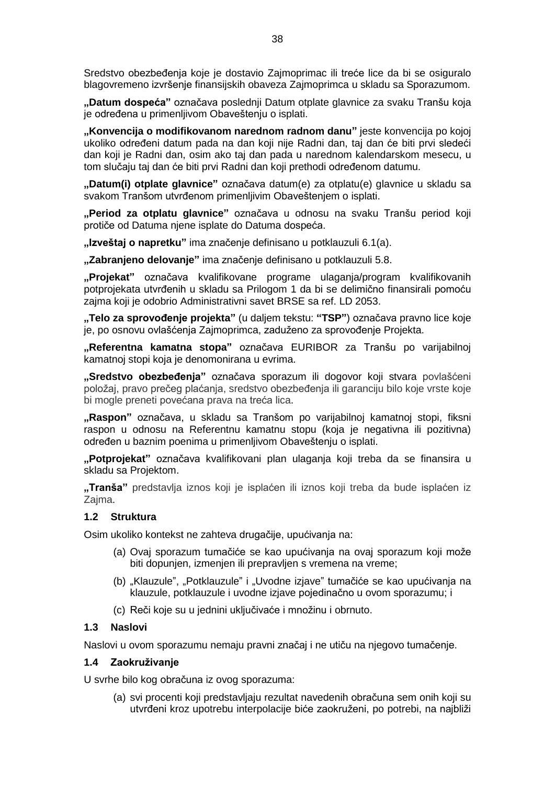Sredstvo obezbeđenja koje je dostavio Zajmoprimac ili treće lice da bi se osiguralo blagovremeno izvršenje finansijskih obaveza Zajmoprimca u skladu sa Sporazumom.

**"Datum dospeća"** označava poslednji Datum otplate glavnice za svaku Tranšu koja je određena u primenlijvom Obaveštenju o isplati.

**"Konvencija o modifikovanom narednom radnom danu"** jeste konvencija po kojoj ukoliko određeni datum pada na dan koji nije Radni dan, taj dan će biti prvi sledeći dan koji je Radni dan, osim ako taj dan pada u narednom kalendarskom mesecu, u tom slučaju taj dan će biti prvi Radni dan koji prethodi određenom datumu.

**"Datum(i) otplate glavnice"** označava datum(e) za otplatu(e) glavnice u skladu sa svakom Tranšom utvrđenom primenljivim Obaveštenjem o isplati.

**"Period za otplatu glavnice"** označava u odnosu na svaku Tranšu period koji protiče od Datuma njene isplate do Datuma dospeća.

**"Izveštaj o napretku"** ima značenje definisano u potklauzuli 6.1(a).

**"Zabranjeno delovanje"** ima značenje definisano u potklauzuli 5.8.

**"Projekat"** označava kvalifikovane programe ulaganja/program kvalifikovanih potprojekata utvrđenih u skladu sa Prilogom 1 da bi se delimično finansirali pomoću zajma koji je odobrio Administrativni savet BRSE sa ref. LD 2053.

**"Telo za sprovođenje projekta"** (u daljem tekstu: **"TSP"**) označava pravno lice koje je, po osnovu ovlašćenja Zajmoprimca, zaduženo za sprovođenje Projekta.

**"Referentna kamatna stopa"** označava EURIBOR za Tranšu po varijabilnoj kamatnoj stopi koja je denomonirana u evrima.

**"Sredstvo obezbeđenja"** označava sporazum ili dogovor koji stvara povlašćeni položaj, pravo prečeg plaćanja, sredstvo obezbeđenja ili garanciju bilo koje vrste koje bi mogle preneti povećana prava na treća lica.

**"Raspon"** označava, u skladu sa Tranšom po varijabilnoj kamatnoj stopi, fiksni raspon u odnosu na Referentnu kamatnu stopu (koja je negativna ili pozitivna) određen u baznim poenima u primenljivom Obaveštenju o isplati.

**"Potprojekat"** označava kvalifikovani plan ulaganja koji treba da se finansira u skladu sa Projektom.

**"Tranša"** predstavlja iznos koji je isplaćen ili iznos koji treba da bude isplaćen iz Zajma.

#### **1.2 Struktura**

Osim ukoliko kontekst ne zahteva drugačije, upućivanja na:

- (a) Ovaj sporazum tumačiće se kao upućivanja na ovaj sporazum koji može biti dopunjen, izmenjen ili prepravljen s vremena na vreme;
- (b) "Klauzule", "Potklauzule" i "Uvodne izjave" tumačiće se kao upućivanja na klauzule, potklauzule i uvodne izjave pojedinačno u ovom sporazumu; i
- (c) Reči koje su u jednini uključivaće i množinu i obrnuto.

#### **1.3 Naslovi**

Naslovi u ovom sporazumu nemaju pravni značaj i ne utiču na njegovo tumačenje.

#### **1.4 Zaokruživanje**

U svrhe bilo kog obračuna iz ovog sporazuma:

(a) svi procenti koji predstavljaju rezultat navedenih obračuna sem onih koji su utvrđeni kroz upotrebu interpolacije biće zaokruženi, po potrebi, na najbliži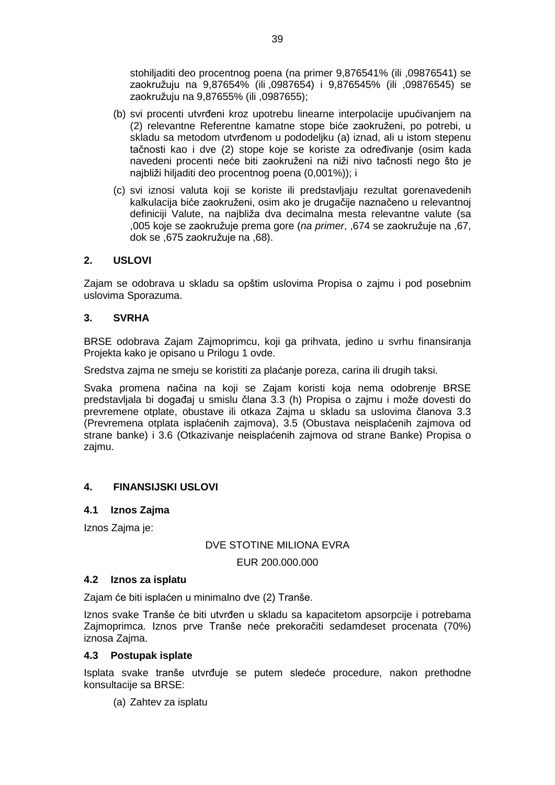stohiljaditi deo procentnog poena (na primer 9,876541% (ili ,09876541) se zaokružuju na 9,87654% (ili ,0987654) i 9,876545% (ili ,09876545) se zaokružuju na 9,87655% (ili ,0987655);

- (b) svi procenti utvrđeni kroz upotrebu linearne interpolacije upućivanjem na (2) relevantne Referentne kamatne stope biće zaokruženi, po potrebi, u skladu sa metodom utvrđenom u pododeljku (a) iznad, ali u istom stepenu tačnosti kao i dve (2) stope koje se koriste za određivanje (osim kada navedeni procenti neće biti zaokruženi na niži nivo tačnosti nego što je najbliži hiljaditi deo procentnog poena (0,001%)); i
- (c) svi iznosi valuta koji se koriste ili predstavljaju rezultat gorenavedenih kalkulacija biće zaokruženi, osim ako je drugačije naznačeno u relevantnoj definiciji Valute, na najbliža dva decimalna mesta relevantne valute (sa ,005 koje se zaokružuje prema gore (*na primer*, ,674 se zaokružuje na ,67, dok se ,675 zaokružuje na ,68).

## **2. USLOVI**

Zajam se odobrava u skladu sa opštim uslovima Propisa o zajmu i pod posebnim uslovima Sporazuma.

#### **3. SVRHA**

BRSE odobrava Zajam Zajmoprimcu, koji ga prihvata, jedino u svrhu finansiranja Projekta kako je opisano u Prilogu 1 ovde.

Sredstva zajma ne smeju se koristiti za plaćanje poreza, carina ili drugih taksi.

Svaka promena načina na koji se Zajam koristi koja nema odobrenje BRSE predstavljala bi događaj u smislu člana 3.3 (h) Propisa o zajmu i može dovesti do prevremene otplate, obustave ili otkaza Zajma u skladu sa uslovima članova 3.3 (Prevremena otplata isplaćenih zajmova), 3.5 (Obustava neisplaćenih zajmova od strane banke) i 3.6 (Otkazivanje neisplaćenih zajmova od strane Banke) Propisa o zajmu.

## <span id="page-38-0"></span>**4. FINANSIJSKI USLOVI**

## **4.1 Iznos Zajma**

Iznos Zajma je:

## DVE STOTINE MILIONA EVRA

EUR 200.000.000

#### <span id="page-38-1"></span>**4.2 Iznos za isplatu**

Zajam će biti isplaćen u minimalno dve (2) Tranše.

Iznos svake Tranše će biti utvrđen u skladu sa kapacitetom apsorpcije i potrebama Zajmoprimca. Iznos prve Tranše neće prekoračiti sedamdeset procenata (70%) iznosa Zajma.

#### **4.3 Postupak isplate**

Isplata svake tranše utvrđuje se putem sledeće procedure, nakon prethodne konsultacije sa BRSE:

(a) Zahtev za isplatu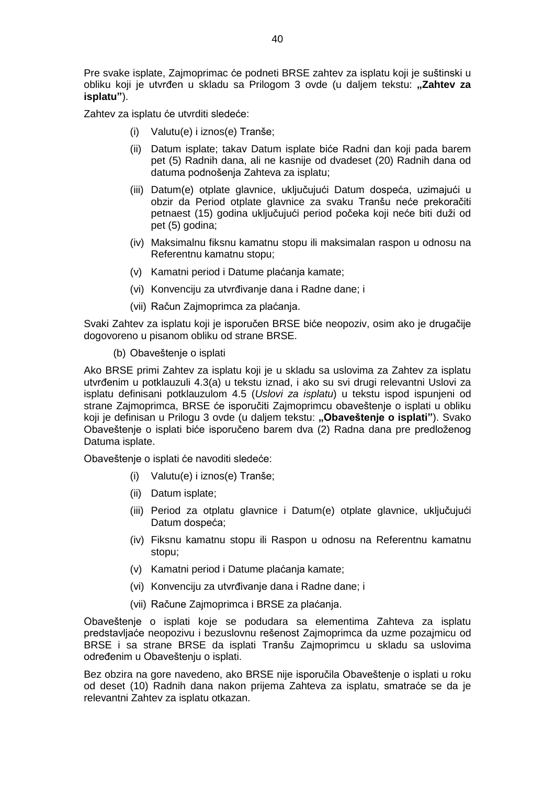Pre svake isplate, Zajmoprimac će podneti BRSE zahtev za isplatu koji je suštinski u obliku koji je utvrđen u skladu sa Prilogom 3 ovde (u daljem tekstu: **"Zahtev za isplatu"**).

Zahtev za isplatu će utvrditi sledeće:

- (i) Valutu(e) i iznos(e) Tranše;
- (ii) Datum isplate; takav Datum isplate biće Radni dan koji pada barem pet (5) Radnih dana, ali ne kasnije od dvadeset (20) Radnih dana od datuma podnošenja Zahteva za isplatu;
- (iii) Datum(e) otplate glavnice, uključujući Datum dospeća, uzimajući u obzir da Period otplate glavnice za svaku Tranšu neće prekoračiti petnaest (15) godina uključujući period počeka koji neće biti duži od pet (5) godina;
- (iv) Maksimalnu fiksnu kamatnu stopu ili maksimalan raspon u odnosu na Referentnu kamatnu stopu;
- (v) Kamatni period i Datume plaćanja kamate;
- (vi) Konvenciju za utvrđivanje dana i Radne dane; i
- (vii) Račun Zajmoprimca za plaćanja.

Svaki Zahtev za isplatu koji je isporučen BRSE biće neopoziv, osim ako je drugačije dogovoreno u pisanom obliku od strane BRSE.

(b) Obaveštenje o isplati

Ako BRSE primi Zahtev za isplatu koji je u skladu sa uslovima za Zahtev za isplatu utvrđenim u potklauzuli 4.3(a) u tekstu iznad, i ako su svi drugi relevantni Uslovi za isplatu definisani potklauzulom 4.5 (*Uslovi za isplatu*) u tekstu ispod ispunjeni od strane Zajmoprimca, BRSE će isporučiti Zajmoprimcu obaveštenje o isplati u obliku koji je definisan u Prilogu 3 ovde (u daljem tekstu: **"Obaveštenje o isplati"**). Svako Obaveštenje o isplati biće isporučeno barem dva (2) Radna dana pre predloženog Datuma isplate.

Obaveštenje o isplati će navoditi sledeće:

- (i) Valutu(e) i iznos(e) Tranše;
- (ii) Datum isplate;
- (iii) Period za otplatu glavnice i Datum(e) otplate glavnice, uključujući Datum dospeća;
- (iv) Fiksnu kamatnu stopu ili Raspon u odnosu na Referentnu kamatnu stopu;
- (v) Kamatni period i Datume plaćanja kamate;
- (vi) Konvenciju za utvrđivanje dana i Radne dane; i
- (vii) Račune Zajmoprimca i BRSE za plaćanja.

Obaveštenje o isplati koje se podudara sa elementima Zahteva za isplatu predstavljaće neopozivu i bezuslovnu rešenost Zajmoprimca da uzme pozajmicu od BRSE i sa strane BRSE da isplati Tranšu Zajmoprimcu u skladu sa uslovima određenim u Obaveštenju o isplati.

Bez obzira na gore navedeno, ako BRSE nije isporučila Obaveštenje o isplati u roku od deset (10) Radnih dana nakon prijema Zahteva za isplatu, smatraće se da je relevantni Zahtev za isplatu otkazan.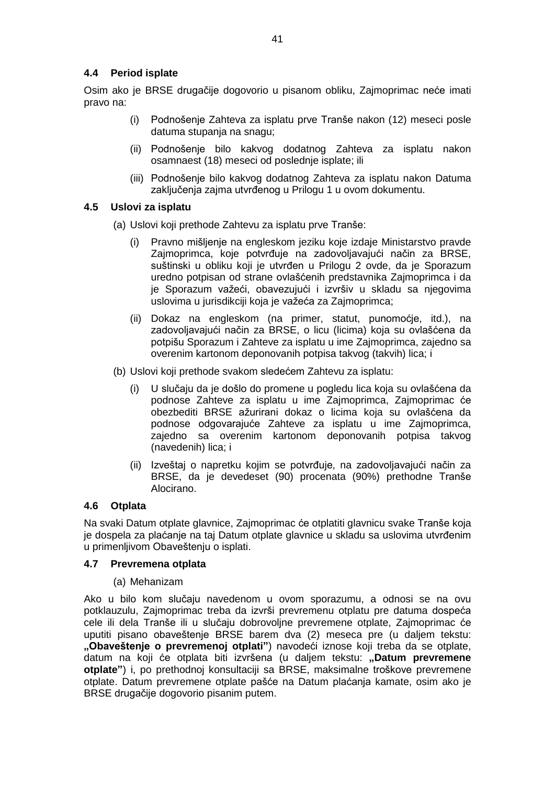# <span id="page-40-0"></span>**4.4 Period isplate**

Osim ako je BRSE drugačije dogovorio u pisanom obliku, Zajmoprimac neće imati pravo na:

- (i) Podnošenje Zahteva za isplatu prve Tranše nakon (12) meseci posle datuma stupanja na snagu;
- (ii) Podnošenje bilo kakvog dodatnog Zahteva za isplatu nakon osamnaest (18) meseci od poslednje isplate; ili
- (iii) Podnošenje bilo kakvog dodatnog Zahteva za isplatu nakon Datuma zaključenja zajma utvrđenog u Prilogu 1 u ovom dokumentu.

## <span id="page-40-1"></span>**4.5 Uslovi za isplatu**

- (a) Uslovi koji prethode Zahtevu za isplatu prve Tranše:
	- (i) Pravno mišljenje na engleskom jeziku koje izdaje Ministarstvo pravde Zajmoprimca, koje potvrđuje na zadovoljavajući način za BRSE, suštinski u obliku koji je utvrđen u Prilogu 2 ovde, da je Sporazum uredno potpisan od strane ovlašćenih predstavnika Zajmoprimca i da je Sporazum važeći, obavezujući i izvršiv u skladu sa njegovima uslovima u jurisdikciji koja je važeća za Zajmoprimca;
	- (ii) Dokaz na engleskom (na primer, statut, punomoćje, itd.), na zadovoljavajući način za BRSE, o licu (licima) koja su ovlašćena da potpišu Sporazum i Zahteve za isplatu u ime Zajmoprimca, zajedno sa overenim kartonom deponovanih potpisa takvog (takvih) lica; i
- (b) Uslovi koji prethode svakom sledećem Zahtevu za isplatu:
	- (i) U slučaju da je došlo do promene u pogledu lica koja su ovlašćena da podnose Zahteve za isplatu u ime Zajmoprimca, Zajmoprimac će obezbediti BRSE ažurirani dokaz o licima koja su ovlašćena da podnose odgovarajuće Zahteve za isplatu u ime Zajmoprimca, zajedno sa overenim kartonom deponovanih potpisa takvog (navedenih) lica; i
	- (ii) Izveštaj o napretku kojim se potvrđuje, na zadovoljavajući način za BRSE, da je devedeset (90) procenata (90%) prethodne Tranše Alocirano.

#### **4.6 Otplata**

Na svaki Datum otplate glavnice, Zajmoprimac će otplatiti glavnicu svake Tranše koja je dospela za plaćanje na taj Datum otplate glavnice u skladu sa uslovima utvrđenim u primenljivom Obaveštenju o isplati.

#### <span id="page-40-2"></span>**4.7 Prevremena otplata**

#### (a) Mehanizam

Ako u bilo kom slučaju navedenom u ovom sporazumu, a odnosi se na ovu potklauzulu, Zajmoprimac treba da izvrši prevremenu otplatu pre datuma dospeća cele ili dela Tranše ili u slučaju dobrovoljne prevremene otplate, Zajmoprimac će uputiti pisano obaveštenje BRSE barem dva (2) meseca pre (u daljem tekstu: **"Obaveštenje o prevremenoj otplati"**) navodeći iznose koji treba da se otplate, datum na koji će otplata biti izvršena (u daljem tekstu: **"Datum prevremene otplate"**) i, po prethodnoj konsultaciji sa BRSE, maksimalne troškove prevremene otplate. Datum prevremene otplate pašće na Datum plaćanja kamate, osim ako je BRSE drugačije dogovorio pisanim putem.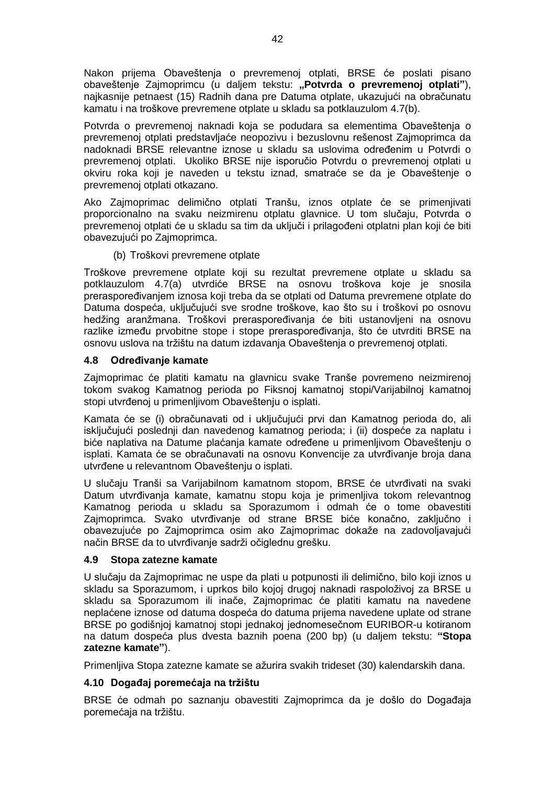Nakon prijema Obaveštenja o prevremenoj otplati, BRSE će poslati pisano obaveštenje Zajmoprimcu (u daljem tekstu: **"Potvrda o prevremenoj otplati"**), najkasnije petnaest (15) Radnih dana pre Datuma otplate, ukazujući na obračunatu kamatu i na troškove prevremene otplate u skladu sa potklauzulom 4.7(b).

Potvrda o prevremenoj naknadi koja se podudara sa elementima Obaveštenja o prevremenoj otplati predstavljaće neopozivu i bezuslovnu rešenost Zajmoprimca da nadoknadi BRSE relevantne iznose u skladu sa uslovima određenim u Potvrdi o prevremenoj otplati. Ukoliko BRSE nije isporučio Potvrdu o prevremenoj otplati u okviru roka koji je naveden u tekstu iznad, smatraće se da je Obaveštenje o prevremenoj otplati otkazano.

Ako Zajmoprimac delimično otplati Tranšu, iznos otplate će se primenjivati proporcionalno na svaku neizmirenu otplatu glavnice. U tom slučaju, Potvrda o prevremenoj otplati će u skladu sa tim da uključi i prilagođeni otplatni plan koji će biti obavezujući po Zajmoprimca.

(b) Troškovi prevremene otplate

Troškove prevremene otplate koji su rezultat prevremene otplate u skladu sa potklauzulom 4.7(a) utvrdiće BRSE na osnovu troškova koje je snosila preraspoređivanjem iznosa koji treba da se otplati od Datuma prevremene otplate do Datuma dospeća, uključujući sve srodne troškove, kao što su i troškovi po osnovu hedžing aranžmana. Troškovi preraspoređivanja će biti ustanovljeni na osnovu razlike između prvobitne stope i stope preraspoređivanja, što će utvrditi BRSE na osnovu uslova na tržištu na datum izdavanja Obaveštenja o prevremenoj otplati.

# <span id="page-41-0"></span>**4.8 Određivanje kamate**

Zajmoprimac će platiti kamatu na glavnicu svake Tranše povremeno neizmirenoj tokom svakog Kamatnog perioda po Fiksnoj kamatnoj stopi/Varijabilnoj kamatnoj stopi utvrđenoj u primenljivom Obaveštenju o isplati.

Kamata će se (i) obračunavati od i uključujući prvi dan Kamatnog perioda do, ali isključujući poslednji dan navedenog kamatnog perioda; i (ii) dospeće za naplatu i biće naplativa na Datume plaćanja kamate određene u primenljivom Obaveštenju o isplati. Kamata će se obračunavati na osnovu Konvencije za utvrđivanje broja dana utvrđene u relevantnom Obaveštenju o isplati.

U slučaju Tranši sa Varijabilnom kamatnom stopom, BRSE će utvrđivati na svaki Datum utvrđivanja kamate, kamatnu stopu koja je primenljiva tokom relevantnog Kamatnog perioda u skladu sa Sporazumom i odmah će o tome obavestiti Zajmoprimca. Svako utvrđivanje od strane BRSE biće konačno, zaključno i obavezujuće po Zajmoprimca osim ako Zajmoprimac dokaže na zadovoljavajući način BRSE da to utvrđivanje sadrži očiglednu grešku.

# **4.9 Stopa zatezne kamate**

U slučaju da Zajmoprimac ne uspe da plati u potpunosti ili delimično, bilo koji iznos u skladu sa Sporazumom, i uprkos bilo kojoj drugoj naknadi raspoloživoj za BRSE u skladu sa Sporazumom ili inače, Zajmoprimac će platiti kamatu na navedene neplaćene iznose od datuma dospeća do datuma prijema navedene uplate od strane BRSE po godišnjoj kamatnoj stopi jednakoj jednomesečnom EURIBOR-u kotiranom na datum dospeća plus dvesta baznih poena (200 bp) (u daljem tekstu: **"Stopa zatezne kamate"**).

Primenljiva Stopa zatezne kamate se ažurira svakih trideset (30) kalendarskih dana.

# **4.10 Događaj poremećaja na tržištu**

BRSE će odmah po saznanju obavestiti Zajmoprimca da je došlo do Događaja poremećaja na tržištu.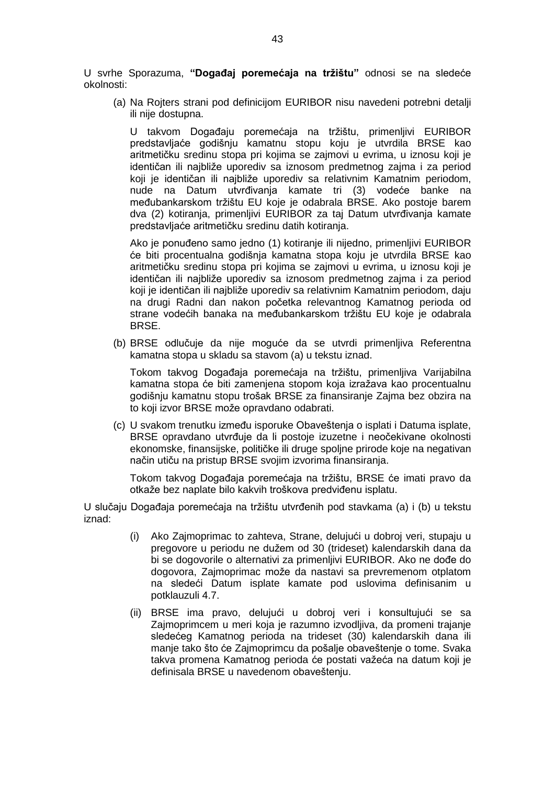U svrhe Sporazuma, **"Događaj poremećaja na tržištu"** odnosi se na sledeće okolnosti:

(a) Na Rojters strani pod definicijom EURIBOR nisu navedeni potrebni detalji ili nije dostupna.

U takvom Događaju poremećaja na tržištu, primenljivi EURIBOR predstavljaće godišnju kamatnu stopu koju je utvrdila BRSE kao aritmetičku sredinu stopa pri kojima se zajmovi u evrima, u iznosu koji je identičan ili najbliže uporediv sa iznosom predmetnog zajma i za period koji je identičan ili najbliže uporediv sa relativnim Kamatnim periodom, nude na Datum utvrđivanja kamate tri (3) vodeće banke na međubankarskom tržištu EU koje je odabrala BRSE. Ako postoje barem dva (2) kotiranja, primenljivi EURIBOR za taj Datum utvrđivanja kamate predstavljaće aritmetičku sredinu datih kotiranja.

Ako je ponuđeno samo jedno (1) kotiranje ili nijedno, primenljivi EURIBOR će biti procentualna godišnja kamatna stopa koju je utvrdila BRSE kao aritmetičku sredinu stopa pri kojima se zajmovi u evrima, u iznosu koji je identičan ili najbliže uporediv sa iznosom predmetnog zajma i za period koji je identičan ili najbliže uporediv sa relativnim Kamatnim periodom, daju na drugi Radni dan nakon početka relevantnog Kamatnog perioda od strane vodećih banaka na međubankarskom tržištu EU koje je odabrala BRSE.

(b) BRSE odlučuje da nije moguće da se utvrdi primenljiva Referentna kamatna stopa u skladu sa stavom (a) u tekstu iznad.

Tokom takvog Događaja poremećaja na tržištu, primenljiva Varijabilna kamatna stopa će biti zamenjena stopom koja izražava kao procentualnu godišnju kamatnu stopu trošak BRSE za finansiranje Zajma bez obzira na to koji izvor BRSE može opravdano odabrati.

(c) U svakom trenutku između isporuke Obaveštenja o isplati i Datuma isplate, BRSE opravdano utvrđuje da li postoje izuzetne i neočekivane okolnosti ekonomske, finansijske, političke ili druge spoljne prirode koje na negativan način utiču na pristup BRSE svojim izvorima finansiranja.

Tokom takvog Događaja poremećaja na tržištu, BRSE će imati pravo da otkaže bez naplate bilo kakvih troškova predviđenu isplatu.

U slučaju Događaja poremećaja na tržištu utvrđenih pod stavkama (a) i (b) u tekstu iznad:

- (i) Ako Zajmoprimac to zahteva, Strane, delujući u dobroj veri, stupaju u pregovore u periodu ne dužem od 30 (trideset) kalendarskih dana da bi se dogovorile o alternativi za primenljivi EURIBOR. Ako ne dođe do dogovora, Zajmoprimac može da nastavi sa prevremenom otplatom na sledeći Datum isplate kamate pod uslovima definisanim u potklauzuli 4.7.
- (ii) BRSE ima pravo, delujući u dobroj veri i konsultujući se sa Zajmoprimcem u meri koja je razumno izvodljiva, da promeni trajanje sledećeg Kamatnog perioda na trideset (30) kalendarskih dana ili manje tako što će Zajmoprimcu da pošalje obaveštenje o tome. Svaka takva promena Kamatnog perioda će postati važeća na datum koji je definisala BRSE u navedenom obaveštenju.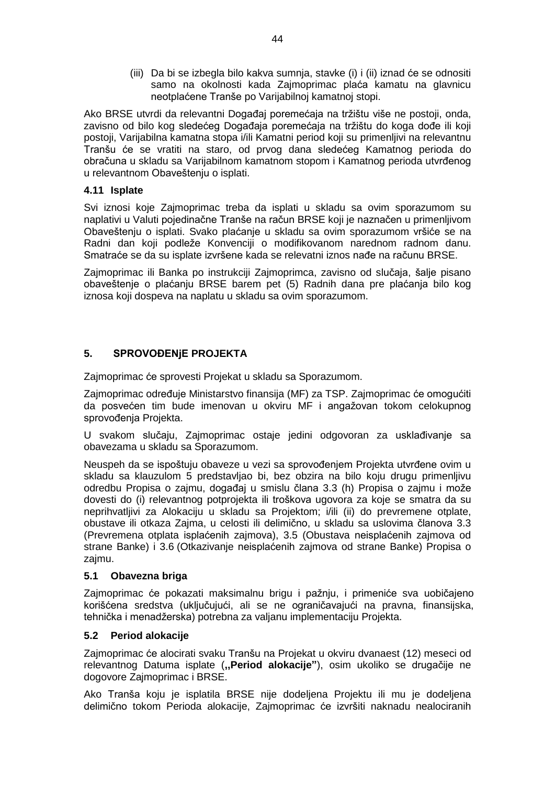(iii) Da bi se izbegla bilo kakva sumnja, stavke (i) i (ii) iznad će se odnositi samo na okolnosti kada Zajmoprimac plaća kamatu na glavnicu neotplaćene Tranše po Varijabilnoj kamatnoj stopi.

Ako BRSE utvrdi da relevantni Događaj poremećaja na tržištu više ne postoji, onda, zavisno od bilo kog sledećeg Događaja poremećaja na tržištu do koga dođe ili koji postoji, Varijabilna kamatna stopa i/ili Kamatni period koji su primenljivi na relevantnu Tranšu će se vratiti na staro, od prvog dana sledećeg Kamatnog perioda do obračuna u skladu sa Varijabilnom kamatnom stopom i Kamatnog perioda utvrđenog u relevantnom Obaveštenju o isplati.

# <span id="page-43-0"></span>**4.11 Isplate**

Svi iznosi koje Zajmoprimac treba da isplati u skladu sa ovim sporazumom su naplativi u Valuti pojedinačne Tranše na račun BRSE koji je naznačen u primenljivom Obaveštenju o isplati. Svako plaćanje u skladu sa ovim sporazumom vršiće se na Radni dan koji podleže Konvenciji o modifikovanom narednom radnom danu. Smatraće se da su isplate izvršene kada se relevatni iznos nađe na računu BRSE.

Zajmoprimac ili Banka po instrukciji Zajmoprimca, zavisno od slučaja, šalje pisano obaveštenje o plaćanju BRSE barem pet (5) Radnih dana pre plaćanja bilo kog iznosa koji dospeva na naplatu u skladu sa ovim sporazumom.

# <span id="page-43-1"></span>**5. SPROVOĐENjE PROJEKTA**

Zajmoprimac će sprovesti Projekat u skladu sa Sporazumom.

Zajmoprimac određuje Ministarstvo finansija (MF) za TSP. Zajmoprimac će omogućiti da posvećen tim bude imenovan u okviru MF i angažovan tokom celokupnog sprovođenja Projekta.

U svakom slučaju, Zajmoprimac ostaje jedini odgovoran za usklađivanje sa obavezama u skladu sa Sporazumom.

Neuspeh da se ispoštuju obaveze u vezi sa sprovođenjem Projekta utvrđene ovim u skladu sa klauzulom 5 predstavljao bi, bez obzira na bilo koju drugu primenljivu odredbu Propisa o zajmu, događaj u smislu člana 3.3 (h) Propisa o zajmu i može dovesti do (i) relevantnog potprojekta ili troškova ugovora za koje se smatra da su neprihvatljivi za Alokaciju u skladu sa Projektom; i/ili (ii) do prevremene otplate, obustave ili otkaza Zajma, u celosti ili delimično, u skladu sa uslovima članova 3.3 (Prevremena otplata isplaćenih zajmova), 3.5 (Obustava neisplaćenih zajmova od strane Banke) i 3.6 (Otkazivanje neisplaćenih zajmova od strane Banke) Propisa o zajmu.

# **5.1 Obavezna briga**

Zajmoprimac će pokazati maksimalnu brigu i pažnju, i primeniće sva uobičajeno korišćena sredstva (uključujući, ali se ne ograničavajući na pravna, finansijska, tehnička i menadžerska) potrebna za valjanu implementaciju Projekta.

# **5.2 Period alokacije**

Zajmoprimac će alocirati svaku Tranšu na Projekat u okviru dvanaest (12) meseci od relevantnog Datuma isplate (**,,Period alokacije"**), osim ukoliko se drugačije ne dogovore Zajmoprimac i BRSE.

Ako Tranša koju je isplatila BRSE nije dodeljena Projektu ili mu je dodeljena delimično tokom Perioda alokacije, Zajmoprimac će izvršiti naknadu nealociranih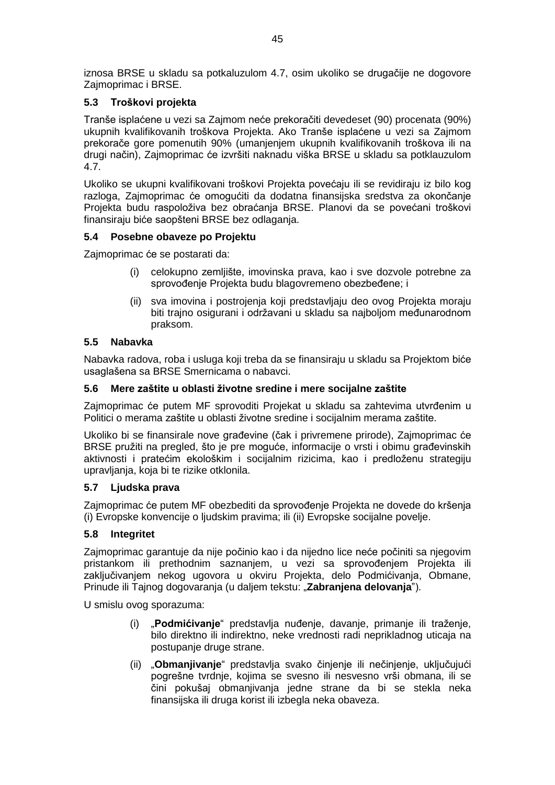iznosa BRSE u skladu sa potkaluzulom 4.7, osim ukoliko se drugačije ne dogovore Zajmoprimac i BRSE.

# <span id="page-44-0"></span>**5.3 Troškovi projekta**

Tranše isplaćene u vezi sa Zajmom neće prekoračiti devedeset (90) procenata (90%) ukupnih kvalifikovanih troškova Projekta. Ako Tranše isplaćene u vezi sa Zajmom prekorače gore pomenutih 90% (umanjenjem ukupnih kvalifikovanih troškova ili na drugi način), Zajmoprimac će izvršiti naknadu viška BRSE u skladu sa potklauzulom 4.7.

Ukoliko se ukupni kvalifikovani troškovi Projekta povećaju ili se revidiraju iz bilo kog razloga, Zajmoprimac će omogućiti da dodatna finansijska sredstva za okončanje Projekta budu raspoloživa bez obraćanja BRSE. Planovi da se povećani troškovi finansiraju biće saopšteni BRSE bez odlaganja.

# <span id="page-44-1"></span>**5.4 Posebne obaveze po Projektu**

Zajmoprimac će se postarati da:

- (i) celokupno zemljište, imovinska prava, kao i sve dozvole potrebne za sprovođenje Projekta budu blagovremeno obezbeđene; i
- (ii) sva imovina i postrojenja koji predstavljaju deo ovog Projekta moraju biti trajno osigurani i održavani u skladu sa najboljom međunarodnom praksom.

# **5.5 Nabavka**

Nabavka radova, roba i usluga koji treba da se finansiraju u skladu sa Projektom biće usaglašena sa BRSE Smernicama o nabavci.

# <span id="page-44-2"></span>**5.6 Mere zaštite u oblasti životne sredine i mere socijalne zaštite**

Zajmoprimac će putem MF sprovoditi Projekat u skladu sa zahtevima utvrđenim u Politici o merama zaštite u oblasti životne sredine i socijalnim merama zaštite.

Ukoliko bi se finansirale nove građevine (čak i privremene prirode), Zajmoprimac će BRSE pružiti na pregled, što je pre moguće, informacije o vrsti i obimu građevinskih aktivnosti i pratećim ekološkim i socijalnim rizicima, kao i predloženu strategiju upravljanja, koja bi te rizike otklonila.

## <span id="page-44-3"></span>**5.7 Ljudska prava**

Zajmoprimac će putem MF obezbediti da sprovođenje Projekta ne dovede do kršenja (i) Evropske konvencije o ljudskim pravima; ili (ii) Evropske socijalne povelje.

## **5.8 Integritet**

Zajmoprimac garantuje da nije počinio kao i da nijedno lice neće počiniti sa njegovim pristankom ili prethodnim saznanjem, u vezi sa sprovođenjem Projekta ili zaključivanjem nekog ugovora u okviru Projekta, delo Podmićivanja, Obmane, Prinude ili Tajnog dogovaranja (u daljem tekstu: "**Zabranjena delovanja**").

U smislu ovog sporazuma:

- (i) "**Podmićivanje**" predstavlja nuđenje, davanje, primanje ili traženje, bilo direktno ili indirektno, neke vrednosti radi neprikladnog uticaja na postupanje druge strane.
- (ii) "**Obmanjivanje**" predstavlja svako činjenje ili nečinjenje, uključujući pogrešne tvrdnje, kojima se svesno ili nesvesno vrši obmana, ili se čini pokušaj obmanjivanja jedne strane da bi se stekla neka finansijska ili druga korist ili izbegla neka obaveza.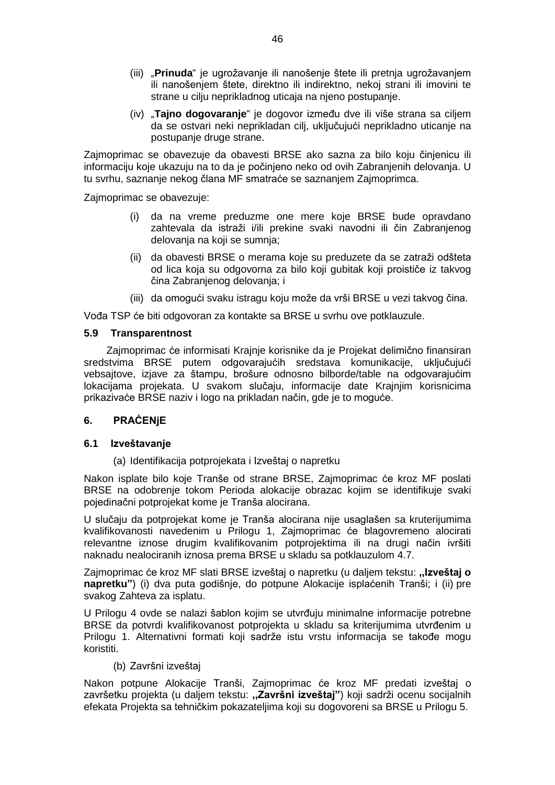- (iii) "**Prinuda**" je ugrožavanje ili nanošenje štete ili pretnja ugrožavanjem ili nanošenjem štete, direktno ili indirektno, nekoj strani ili imovini te strane u cilju neprikladnog uticaja na njeno postupanje.
- (iv) "**Tajno dogovaranje**" je dogovor između dve ili više strana sa ciljem da se ostvari neki neprikladan cilj, uključujući neprikladno uticanje na postupanje druge strane.

Zajmoprimac se obavezuje da obavesti BRSE ako sazna za bilo koju činjenicu ili informaciju koje ukazuju na to da je počinjeno neko od ovih Zabranjenih delovanja. U tu svrhu, saznanje nekog člana MF smatraće se saznanjem Zajmoprimca.

Zajmoprimac se obavezuje:

- (i) da na vreme preduzme one mere koje BRSE bude opravdano zahtevala da istraži i/ili prekine svaki navodni ili čin Zabranjenog delovanja na koji se sumnja;
- (ii) da obavesti BRSE o merama koje su preduzete da se zatraži odšteta od lica koja su odgovorna za bilo koji gubitak koji proističe iz takvog čina Zabranjenog delovanja; i
- (iii) da omogući svaku istragu koju može da vrši BRSE u vezi takvog čina.

Vođa TSP će biti odgovoran za kontakte sa BRSE u svrhu ove potklauzule.

#### **5.9 Transparentnost**

Zajmoprimac će informisati Krajnje korisnike da je Projekat delimično finansiran sredstvima BRSE putem odgovarajućih sredstava komunikacije, uključujući vebsajtove, izjave za štampu, brošure odnosno bilborde/table na odgovarajućim lokacijama projekata. U svakom slučaju, informacije date Krajnjim korisnicima prikazivaće BRSE naziv i logo na prikladan način, gde je to moguće.

## <span id="page-45-0"></span>**6. PRAĆENjE**

## **6.1 Izveštavanje**

(a) Identifikacija potprojekata i Izveštaj o napretku

Nakon isplate bilo koje Tranše od strane BRSE, Zajmoprimac će kroz MF poslati BRSE na odobrenje tokom Perioda alokacije obrazac kojim se identifikuje svaki pojedinačni potprojekat kome je Tranša alocirana.

U slučaju da potprojekat kome je Tranša alocirana nije usaglašen sa kruterijumima kvalifikovanosti navedenim u Prilogu 1, Zajmoprimac će blagovremeno alocirati relevantne iznose drugim kvalifikovanim potprojektima ili na drugi način ivršiti naknadu nealociranih iznosa prema BRSE u skladu sa potklauzulom 4.7.

Zajmoprimac će kroz MF slati BRSE izveštaj o napretku (u daljem tekstu: **,,Izveštaj o napretku"**) (i) dva puta godišnje, do potpune Alokacije isplaćenih Tranši; i (ii) pre svakog Zahteva za isplatu.

U Prilogu 4 ovde se nalazi šablon kojim se utvrđuju minimalne informacije potrebne BRSE da potvrdi kvalifikovanost potprojekta u skladu sa kriterijumima utvrđenim u Prilogu 1. Alternativni formati koji sadrže istu vrstu informacija se takođe mogu koristiti.

## (b) Završni izveštaj

Nakon potpune Alokacije Tranši, Zajmoprimac će kroz MF predati izveštaj o završetku projekta (u daljem tekstu: **,,Završni izveštaj"**) koji sadrži ocenu socijalnih efekata Projekta sa tehničkim pokazateljima koji su dogovoreni sa BRSE u Prilogu 5.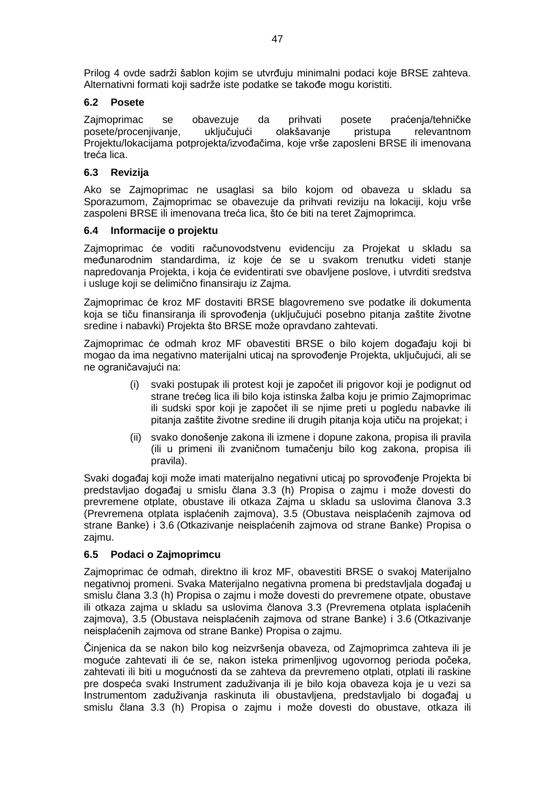Prilog 4 ovde sadrži šablon kojim se utvrđuju minimalni podaci koje BRSE zahteva. Alternativni formati koji sadrže iste podatke se takođe mogu koristiti.

# **6.2 Posete**

Zajmoprimac se obavezuje da prihvati posete praćenja/tehničke posete/procenjivanje, uključujući olakšavanje pristupa relevantnom Projektu/lokacijama potprojekta/izvođačima, koje vrše zaposleni BRSE ili imenovana treća lica.

# **6.3 Revizija**

Ako se Zajmoprimac ne usaglasi sa bilo kojom od obaveza u skladu sa Sporazumom, Zajmoprimac se obavezuje da prihvati reviziju na lokaciji, koju vrše zaspoleni BRSE ili imenovana treća lica, što će biti na teret Zajmoprimca.

## <span id="page-46-0"></span>**6.4 Informacije o projektu**

Zajmoprimac će voditi računovodstvenu evidenciju za Projekat u skladu sa međunarodnim standardima, iz koje će se u svakom trenutku videti stanje napredovanja Projekta, i koja će evidentirati sve obavljene poslove, i utvrditi sredstva i usluge koji se delimično finansiraju iz Zajma.

Zajmoprimac će kroz MF dostaviti BRSE blagovremeno sve podatke ili dokumenta koja se tiču finansiranja ili sprovođenja (uključujući posebno pitanja zaštite životne sredine i nabavki) Projekta što BRSE može opravdano zahtevati.

Zajmoprimac će odmah kroz MF obavestiti BRSE o bilo kojem događaju koji bi mogao da ima negativno materijalni uticaj na sprovođenje Projekta, uključujući, ali se ne ograničavajući na:

- (i) svaki postupak ili protest koji je započet ili prigovor koji je podignut od strane trećeg lica ili bilo koja istinska žalba koju je primio Zajmoprimac ili sudski spor koji je započet ili se njime preti u pogledu nabavke ili pitanja zaštite životne sredine ili drugih pitanja koja utiču na projekat; i
- (ii) svako donošenje zakona ili izmene i dopune zakona, propisa ili pravila (ili u primeni ili zvaničnom tumačenju bilo kog zakona, propisa ili pravila).

Svaki događaj koji može imati materijalno negativni uticaj po sprovođenje Projekta bi predstavljao događaj u smislu člana 3.3 (h) Propisa o zajmu i može dovesti do prevremene otplate, obustave ili otkaza Zajma u skladu sa uslovima članova 3.3 (Prevremena otplata isplaćenih zajmova), 3.5 (Obustava neisplaćenih zajmova od strane Banke) i 3.6 (Otkazivanje neisplaćenih zajmova od strane Banke) Propisa o zajmu.

## <span id="page-46-1"></span>**6.5 Podaci o Zajmoprimcu**

Zajmoprimac će odmah, direktno ili kroz MF, obavestiti BRSE o svakoj Materijalno negativnoj promeni. Svaka Materijalno negativna promena bi predstavljala događaj u smislu člana 3.3 (h) Propisa o zajmu i može dovesti do prevremene otpate, obustave ili otkaza zajma u skladu sa uslovima članova 3.3 (Prevremena otplata isplaćenih zajmova), 3.5 (Obustava neisplaćenih zajmova od strane Banke) i 3.6 (Otkazivanje neisplaćenih zajmova od strane Banke) Propisa o zajmu.

Činjenica da se nakon bilo kog neizvršenja obaveza, od Zajmoprimca zahteva ili je moguće zahtevati ili će se, nakon isteka primenljivog ugovornog perioda počeka, zahtevati ili biti u mogućnosti da se zahteva da prevremeno otplati, otplati ili raskine pre dospeća svaki Instrument zaduživanja ili je bilo koja obaveza koja je u vezi sa Instrumentom zaduživanja raskinuta ili obustavljena, predstavljalo bi događaj u smislu člana 3.3 (h) Propisa o zajmu i može dovesti do obustave, otkaza ili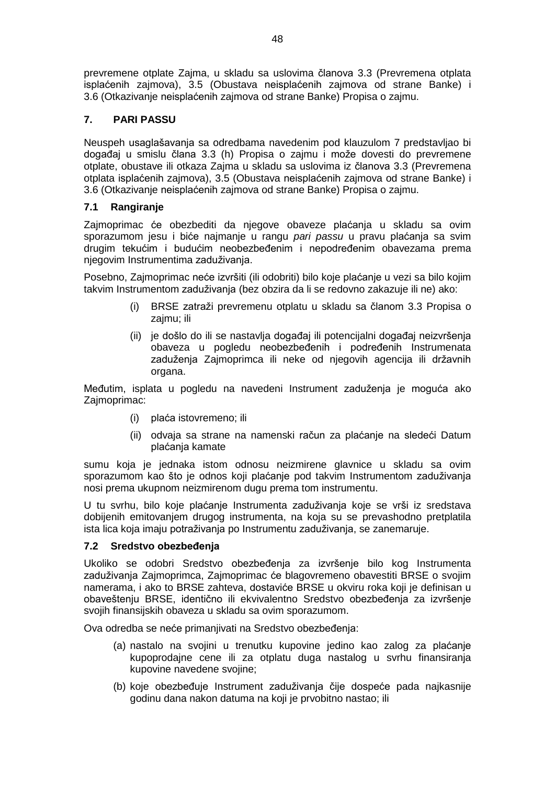prevremene otplate Zajma, u skladu sa uslovima članova 3.3 (Prevremena otplata isplaćenih zajmova), 3.5 (Obustava neisplaćenih zajmova od strane Banke) i 3.6 (Otkazivanje neisplaćenih zajmova od strane Banke) Propisa o zajmu.

# <span id="page-47-0"></span>**7. PARI PASSU**

Neuspeh usaglašavanja sa odredbama navedenim pod klauzulom 7 predstavljao bi događaj u smislu člana 3.3 (h) Propisa o zajmu i može dovesti do prevremene otplate, obustave ili otkaza Zajma u skladu sa uslovima iz članova 3.3 (Prevremena otplata isplaćenih zajmova), 3.5 (Obustava neisplaćenih zajmova od strane Banke) i 3.6 (Otkazivanje neisplaćenih zajmova od strane Banke) Propisa o zajmu.

# **7.1 Rangiranje**

Zajmoprimac će obezbediti da njegove obaveze plaćanja u skladu sa ovim sporazumom jesu i biće najmanje u rangu *pari passu* u pravu plaćanja sa svim drugim tekućim i budućim neobezbeđenim i nepodređenim obavezama prema njegovim Instrumentima zaduživanja.

Posebno, Zajmoprimac neće izvršiti (ili odobriti) bilo koje plaćanje u vezi sa bilo kojim takvim Instrumentom zaduživanja (bez obzira da li se redovno zakazuje ili ne) ako:

- (i) BRSE zatraži prevremenu otplatu u skladu sa članom 3.3 Propisa o zajmu; ili
- (ii) je došlo do ili se nastavlja događaj ili potencijalni događaj neizvršenja obaveza u pogledu neobezbeđenih i podređenih Instrumenata zaduženja Zajmoprimca ili neke od njegovih agencija ili državnih organa.

Međutim, isplata u pogledu na navedeni Instrument zaduženja je moguća ako Zajmoprimac:

- (i) plaća istovremeno; ili
- (ii) odvaja sa strane na namenski račun za plaćanje na sledeći Datum plaćanja kamate

sumu koja je jednaka istom odnosu neizmirene glavnice u skladu sa ovim sporazumom kao što je odnos koji plaćanje pod takvim Instrumentom zaduživanja nosi prema ukupnom neizmirenom dugu prema tom instrumentu.

U tu svrhu, bilo koje plaćanje Instrumenta zaduživanja koje se vrši iz sredstava dobijenih emitovanjem drugog instrumenta, na koja su se prevashodno pretplatila ista lica koja imaju potraživanja po Instrumentu zaduživanja, se zanemaruje.

# <span id="page-47-1"></span>**7.2 Sredstvo obezbeđenja**

Ukoliko se odobri Sredstvo obezbeđenja za izvršenje bilo kog Instrumenta zaduživanja Zajmoprimca, Zajmoprimac će blagovremeno obavestiti BRSE o svojim namerama, i ako to BRSE zahteva, dostaviće BRSE u okviru roka koji je definisan u obaveštenju BRSE, identično ili ekvivalentno Sredstvo obezbeđenja za izvršenje svojih finansijskih obaveza u skladu sa ovim sporazumom.

Ova odredba se neće primanjivati na Sredstvo obezbeđenja:

- (a) nastalo na svojini u trenutku kupovine jedino kao zalog za plaćanje kupoprodajne cene ili za otplatu duga nastalog u svrhu finansiranja kupovine navedene svojine;
- (b) koje obezbeđuje Instrument zaduživanja čije dospeće pada najkasnije godinu dana nakon datuma na koji je prvobitno nastao; ili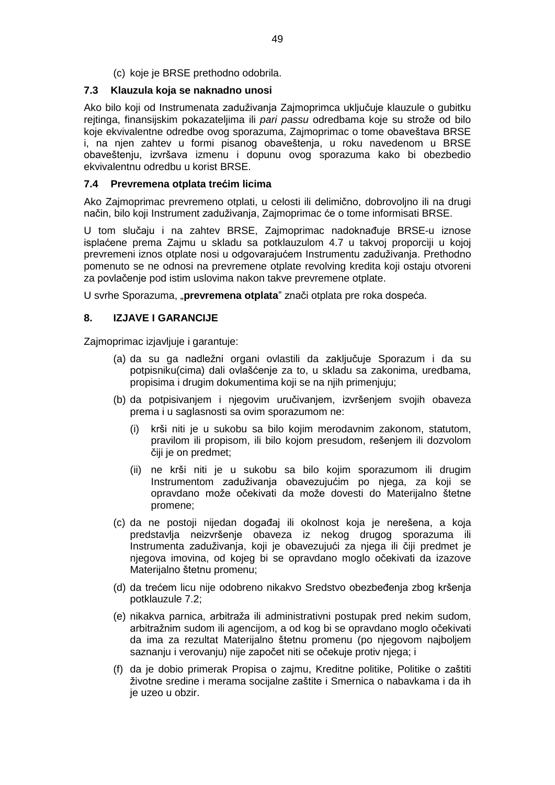(c) koje je BRSE prethodno odobrila.

# **7.3 Klauzula koja se naknadno unosi**

Ako bilo koji od Instrumenata zaduživanja Zajmoprimca uključuje klauzule o gubitku rejtinga, finansijskim pokazateljima ili *pari passu* odredbama koje su strože od bilo koje ekvivalentne odredbe ovog sporazuma, Zajmoprimac o tome obaveštava BRSE i, na njen zahtev u formi pisanog obaveštenja, u roku navedenom u BRSE obaveštenju, izvršava izmenu i dopunu ovog sporazuma kako bi obezbedio ekvivalentnu odredbu u korist BRSE.

## <span id="page-48-0"></span>**7.4 Prevremena otplata trećim licima**

Ako Zajmoprimac prevremeno otplati, u celosti ili delimično, dobrovoljno ili na drugi način, bilo koji Instrument zaduživanja, Zajmoprimac će o tome informisati BRSE.

U tom slučaju i na zahtev BRSE, Zajmoprimac nadoknađuje BRSE-u iznose isplaćene prema Zajmu u skladu sa potklauzulom 4.7 u takvoj proporciji u kojoj prevremeni iznos otplate nosi u odgovarajućem Instrumentu zaduživanja. Prethodno pomenuto se ne odnosi na prevremene otplate revolving kredita koji ostaju otvoreni za povlačenje pod istim uslovima nakon takve prevremene otplate.

U svrhe Sporazuma, "**prevremena otplata**ˮ znači otplata pre roka dospeća.

# **8. IZJAVE I GARANCIJE**

Zajmoprimac izjavljuje i garantuje:

- (a) da su ga nadležni organi ovlastili da zaključuje Sporazum i da su potpisniku(cima) dali ovlašćenje za to, u skladu sa zakonima, uredbama, propisima i drugim dokumentima koji se na njih primenjuju;
- (b) da potpisivanjem i njegovim uručivanjem, izvršenjem svojih obaveza prema i u saglasnosti sa ovim sporazumom ne:
	- krši niti je u sukobu sa bilo kojim merodavnim zakonom, statutom, pravilom ili propisom, ili bilo kojom presudom, rešenjem ili dozvolom čiji je on predmet;
	- (ii) ne krši niti je u sukobu sa bilo kojim sporazumom ili drugim Instrumentom zaduživanja obavezujućim po njega, za koji se opravdano može očekivati da može dovesti do Materijalno štetne promene;
- (c) da ne postoji nijedan događaj ili okolnost koja je nerešena, a koja predstavlja neizvršenje obaveza iz nekog drugog sporazuma ili Instrumenta zaduživanja, koji je obavezujući za njega ili čiji predmet je njegova imovina, od kojeg bi se opravdano moglo očekivati da izazove Materijalno štetnu promenu;
- (d) da trećem licu nije odobreno nikakvo Sredstvo obezbeđenja zbog kršenja potklauzule 7.2;
- (e) nikakva parnica, arbitraža ili administrativni postupak pred nekim sudom, arbitražnim sudom ili agencijom, a od kog bi se opravdano moglo očekivati da ima za rezultat Materijalno štetnu promenu (po njegovom najboljem saznanju i verovanju) nije započet niti se očekuje protiv njega; i
- (f) da je dobio primerak Propisa o zajmu, Kreditne politike, Politike o zaštiti životne sredine i merama socijalne zaštite i Smernica o nabavkama i da ih je uzeo u obzir.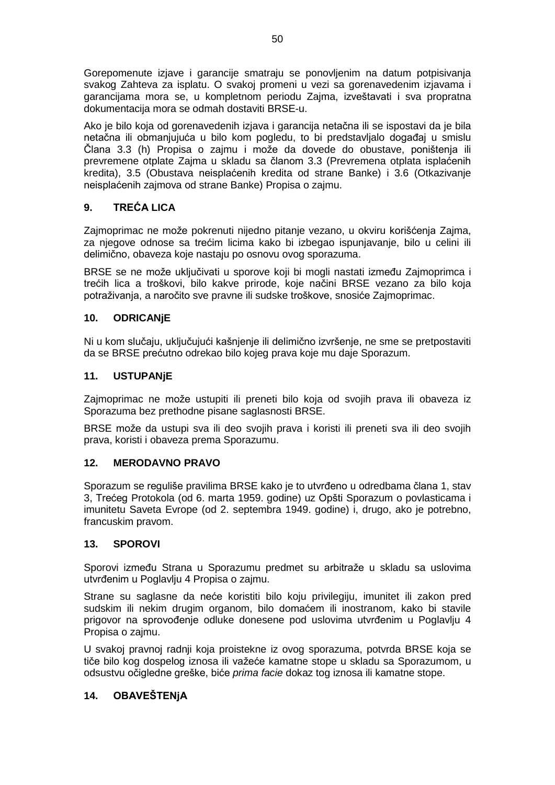Gorepomenute izjave i garancije smatraju se ponovljenim na datum potpisivanja svakog Zahteva za isplatu. O svakoj promeni u vezi sa gorenavedenim izjavama i garancijama mora se, u kompletnom periodu Zajma, izveštavati i sva propratna dokumentacija mora se odmah dostaviti BRSE-u.

Ako je bilo koja od gorenavedenih izjava i garancija netačna ili se ispostavi da je bila netačna ili obmanjujuća u bilo kom pogledu, to bi predstavljalo događaj u smislu Člana 3.3 (h) Propisa o zajmu i može da dovede do obustave, poništenja ili prevremene otplate Zajma u skladu sa članom 3.3 (Prevremena otplata isplaćenih kredita), 3.5 (Obustava neisplaćenih kredita od strane Banke) i 3.6 (Otkazivanje neisplaćenih zajmova od strane Banke) Propisa o zajmu.

# <span id="page-49-0"></span>**9. TREĆA LICA**

Zajmoprimac ne može pokrenuti nijedno pitanje vezano, u okviru korišćenja Zajma, za njegove odnose sa trećim licima kako bi izbegao ispunjavanje, bilo u celini ili delimično, obaveza koje nastaju po osnovu ovog sporazuma.

BRSE se ne može uključivati u sporove koji bi mogli nastati između Zajmoprimca i trećih lica a troškovi, bilo kakve prirode, koje načini BRSE vezano za bilo koja potraživanja, a naročito sve pravne ili sudske troškove, snosiće Zajmoprimac.

# <span id="page-49-1"></span>**10. ODRICANjE**

Ni u kom slučaju, uključujući kašnjenje ili delimično izvršenje, ne sme se pretpostaviti da se BRSE prećutno odrekao bilo kojeg prava koje mu daje Sporazum.

# **11. USTUPANjE**

Zajmoprimac ne može ustupiti ili preneti bilo koja od svojih prava ili obaveza iz Sporazuma bez prethodne pisane saglasnosti BRSE.

BRSE može da ustupi sva ili deo svojih prava i koristi ili preneti sva ili deo svojih prava, koristi i obaveza prema Sporazumu.

# <span id="page-49-2"></span>**12. MERODAVNO PRAVO**

Sporazum se reguliše pravilima BRSE kako je to utvrđeno u odredbama člana 1, stav 3, Trećeg Protokola (od 6. marta 1959. godine) uz Opšti Sporazum o povlasticama i imunitetu Saveta Evrope (od 2. septembra 1949. godine) i, drugo, ako je potrebno, francuskim pravom.

## <span id="page-49-3"></span>**13. SPOROVI**

Sporovi između Strana u Sporazumu predmet su arbitraže u skladu sa uslovima utvrđenim u Poglavlju 4 Propisa o zajmu.

Strane su saglasne da neće koristiti bilo koju privilegiju, imunitet ili zakon pred sudskim ili nekim drugim organom, bilo domaćem ili inostranom, kako bi stavile prigovor na sprovođenje odluke donesene pod uslovima utvrđenim u Poglavlju 4 Propisa o zajmu.

U svakoj pravnoj radnji koja proistekne iz ovog sporazuma, potvrda BRSE koja se tiče bilo kog dospelog iznosa ili važeće kamatne stope u skladu sa Sporazumom, u odsustvu očigledne greške, biće *prima facie* dokaz tog iznosa ili kamatne stope.

# <span id="page-49-4"></span>**14. OBAVEŠTENjA**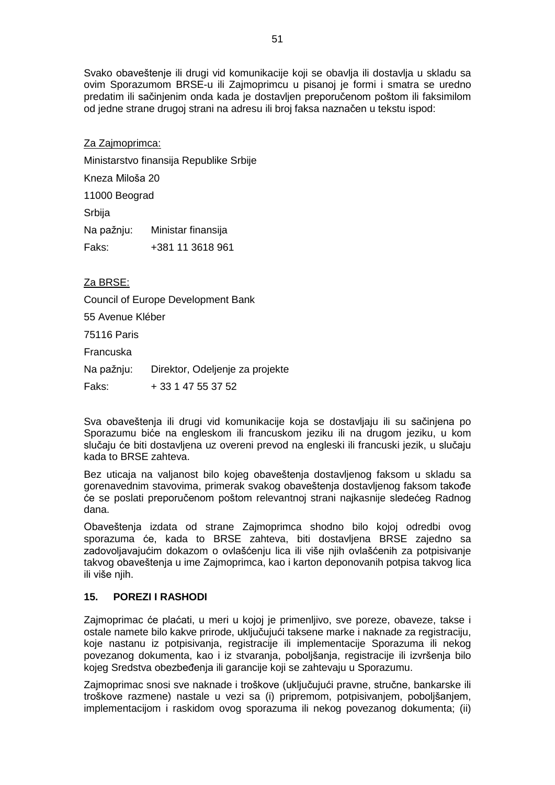Svako obaveštenje ili drugi vid komunikacije koji se obavlja ili dostavlja u skladu sa ovim Sporazumom BRSE-u ili Zajmoprimcu u pisanoj je formi i smatra se uredno predatim ili sačinjenim onda kada je dostavljen preporučenom poštom ili faksimilom od jedne strane drugoj strani na adresu ili broj faksa naznačen u tekstu ispod:

# Za Zajmoprimca:

Ministarstvo finansija Republike Srbije

Kneza Miloša 20

11000 Beograd

Srbija

Na pažnju: Ministar finansija

Faks: +381 11 3618 961

# Za BRSE:

Council of Europe Development Bank

55 Avenue Kléber

75116 Paris

Francuska

Na pažnju: Direktor, Odeljenje za projekte

Faks: + 33 1 47 55 37 52

Sva obaveštenja ili drugi vid komunikacije koja se dostavljaju ili su sačinjena po Sporazumu biće na engleskom ili francuskom jeziku ili na drugom jeziku, u kom slučaju će biti dostavljena uz overeni prevod na engleski ili francuski jezik, u slučaju kada to BRSE zahteva.

Bez uticaja na valjanost bilo kojeg obaveštenja dostavljenog faksom u skladu sa gorenavednim stavovima, primerak svakog obaveštenja dostavljenog faksom takođe će se poslati preporučenom poštom relevantnoj strani najkasnije sledećeg Radnog dana.

Obaveštenja izdata od strane Zajmoprimca shodno bilo kojoj odredbi ovog sporazuma će, kada to BRSE zahteva, biti dostavljena BRSE zajedno sa zadovoljavajućim dokazom o ovlašćenju lica ili više njih ovlašćenih za potpisivanje takvog obaveštenja u ime Zajmoprimca, kao i karton deponovanih potpisa takvog lica ili više njih.

# <span id="page-50-0"></span>**15. POREZI I RASHODI**

Zajmoprimac će plaćati, u meri u kojoj je primenljivo, sve poreze, obaveze, takse i ostale namete bilo kakve prirode, uključujući taksene marke i naknade za registraciju, koje nastanu iz potpisivanja, registracije ili implementacije Sporazuma ili nekog povezanog dokumenta, kao i iz stvaranja, poboljšanja, registracije ili izvršenja bilo kojeg Sredstva obezbeđenja ili garancije koji se zahtevaju u Sporazumu.

Zajmoprimac snosi sve naknade i troškove (uključujući pravne, stručne, bankarske ili troškove razmene) nastale u vezi sa (i) pripremom, potpisivanjem, poboljšanjem, implementacijom i raskidom ovog sporazuma ili nekog povezanog dokumenta; (ii)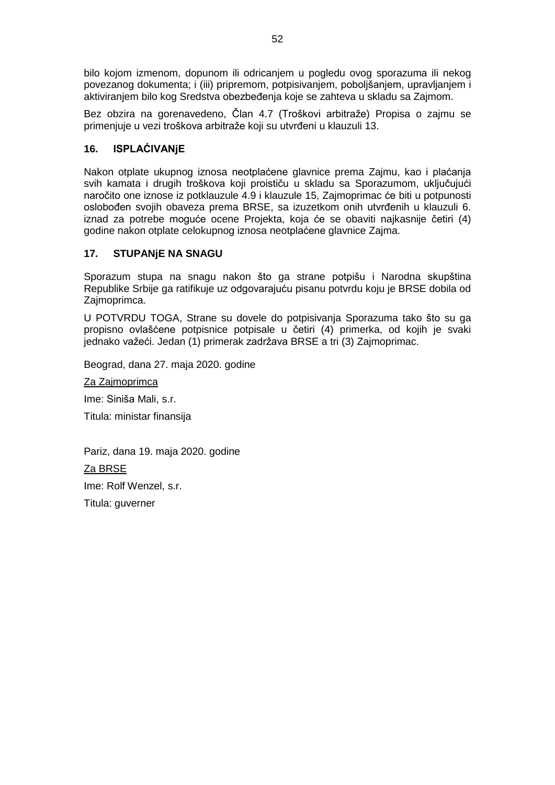bilo kojom izmenom, dopunom ili odricanjem u pogledu ovog sporazuma ili nekog povezanog dokumenta; i (iii) pripremom, potpisivanjem, poboljšanjem, upravljanjem i aktiviranjem bilo kog Sredstva obezbeđenja koje se zahteva u skladu sa Zajmom.

Bez obzira na gorenavedeno, Član 4.7 (Troškovi arbitraže) Propisa o zajmu se primenjuje u vezi troškova arbitraže koji su utvrđeni u klauzuli 13.

# <span id="page-51-0"></span>**16. ISPLAĆIVANjE**

Nakon otplate ukupnog iznosa neotplaćene glavnice prema Zajmu, kao i plaćanja svih kamata i drugih troškova koji proističu u skladu sa Sporazumom, uključujući naročito one iznose iz potklauzule 4.9 i klauzule 15, Zajmoprimac će biti u potpunosti oslobođen svojih obaveza prema BRSE, sa izuzetkom onih utvrđenih u klauzuli 6. iznad za potrebe moguće ocene Projekta, koja će se obaviti najkasnije četiri (4) godine nakon otplate celokupnog iznosa neotplaćene glavnice Zajma.

# <span id="page-51-1"></span>**17. STUPANjE NA SNAGU**

Sporazum stupa na snagu nakon što ga strane potpišu i Narodna skupština Republike Srbije ga ratifikuje uz odgovarajuću pisanu potvrdu koju je BRSE dobila od Zajmoprimca.

U POTVRDU TOGA, Strane su dovele do potpisivanja Sporazuma tako što su ga propisno ovlašćene potpisnice potpisale u četiri (4) primerka, od kojih je svaki jednako važeći. Jedan (1) primerak zadržava BRSE a tri (3) Zajmoprimac.

Beograd, dana 27. maja 2020. godine

Za Zajmoprimca

Ime: Siniša Mali, s.r.

Titula: ministar finansija

Pariz, dana 19. maja 2020. godine

Za BRSE

Ime: Rolf Wenzel, s.r.

Titula: guverner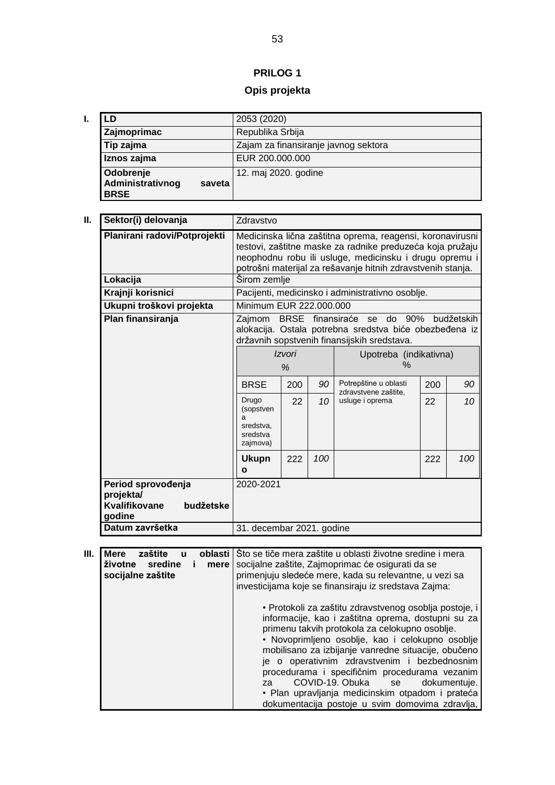# **PRILOG 1**

# **Opis projekta**

<span id="page-52-0"></span>

| LD                                                     | 2053 (2020)                          |  |  |  |  |
|--------------------------------------------------------|--------------------------------------|--|--|--|--|
| Zajmoprimac                                            | Republika Srbija                     |  |  |  |  |
| Tip zajma                                              | Zajam za finansiranje javnog sektora |  |  |  |  |
| Iznos zajma                                            | EUR 200.000.000                      |  |  |  |  |
| Odobrenje<br>Administrativnog<br>saveta<br><b>BRSE</b> | 12. maj 2020. godine                 |  |  |  |  |

| Sektor(i) delovanja                                                     | Zdravstvo                                                                                                                                                                                                                                       |     |    |                                                  |     |    |
|-------------------------------------------------------------------------|-------------------------------------------------------------------------------------------------------------------------------------------------------------------------------------------------------------------------------------------------|-----|----|--------------------------------------------------|-----|----|
| Planirani radovi/Potprojekti                                            | Medicinska lična zaštitna oprema, reagensi, koronavirusni<br>testovi, zaštitne maske za radnike preduzeća koja pružaju<br>neophodnu robu ili usluge, medicinsku i drugu opremu i<br>potrošni materijal za rešavanje hitnih zdravstvenih stanja. |     |    |                                                  |     |    |
| Lokacija                                                                | Širom zemlje                                                                                                                                                                                                                                    |     |    |                                                  |     |    |
| Krajnji korisnici                                                       |                                                                                                                                                                                                                                                 |     |    | Pacijenti, medicinsko i administrativno osoblje. |     |    |
| Ukupni troškovi projekta                                                | Minimum EUR 222.000.000                                                                                                                                                                                                                         |     |    |                                                  |     |    |
| Plan finansiranja                                                       | BRSE finansiraće se do 90%<br>budžetskih<br>Zajmom<br>alokacija. Ostala potrebna sredstva biće obezbeđena iz<br>državnih sopstvenih finansijskih sredstava.                                                                                     |     |    |                                                  |     |    |
|                                                                         | Izvori<br>%                                                                                                                                                                                                                                     |     |    | Upotreba (indikativna)<br>$\%$                   |     |    |
|                                                                         | <b>BRSE</b>                                                                                                                                                                                                                                     | 200 | 90 | Potrepštine u oblasti<br>zdravstvene zaštite.    | 200 | 90 |
|                                                                         | Drugo<br>(sopstven<br>a<br>sredstva,<br>sredstva<br>zajmova)                                                                                                                                                                                    | 22  | 10 | usluge i oprema                                  | 22  | 10 |
|                                                                         | 222<br>100<br>222<br>100<br><b>Ukupn</b><br>Ο                                                                                                                                                                                                   |     |    |                                                  |     |    |
| Period sprovođenja<br>projekta/<br>Kvalifikovane<br>budžetske<br>godine | 2020-2021                                                                                                                                                                                                                                       |     |    |                                                  |     |    |
| Datum završetka                                                         | 31. decembar 2021. godine                                                                                                                                                                                                                       |     |    |                                                  |     |    |

| Ш. | zaštite<br><b>Mere</b><br>oblasti<br>u<br>životne<br>sredine<br>mere<br>socijalne zaštite | Sto se tiče mera zaštite u oblasti životne sredine i mera<br>socijalne zaštite, Zajmoprimac će osigurati da se<br>primenjuju sledeće mere, kada su relevantne, u vezi sa<br>investicijama koje se finansiraju iz sredstava Zajma:                                                                                                                                                                                                                                                                                              |
|----|-------------------------------------------------------------------------------------------|--------------------------------------------------------------------------------------------------------------------------------------------------------------------------------------------------------------------------------------------------------------------------------------------------------------------------------------------------------------------------------------------------------------------------------------------------------------------------------------------------------------------------------|
|    |                                                                                           | • Protokoli za zaštitu zdravstvenog osoblja postoje, i<br>informacije, kao i zaštitna oprema, dostupni su za<br>primenu takvih protokola za celokupno osoblje.<br>· Novoprimljeno osoblje, kao i celokupno osoblje<br>mobilisano za izbijanje vanredne situacije, obučeno<br>je o operativnim zdravstvenim i bezbednosnim<br>procedurama i specifičnim procedurama vezanim<br>COVID-19. Obuka se<br>dokumentuie.<br>za.<br>· Plan upravljanja medicinskim otpadom i prateća<br>dokumentacija postoje u svim domovima zdravlja, |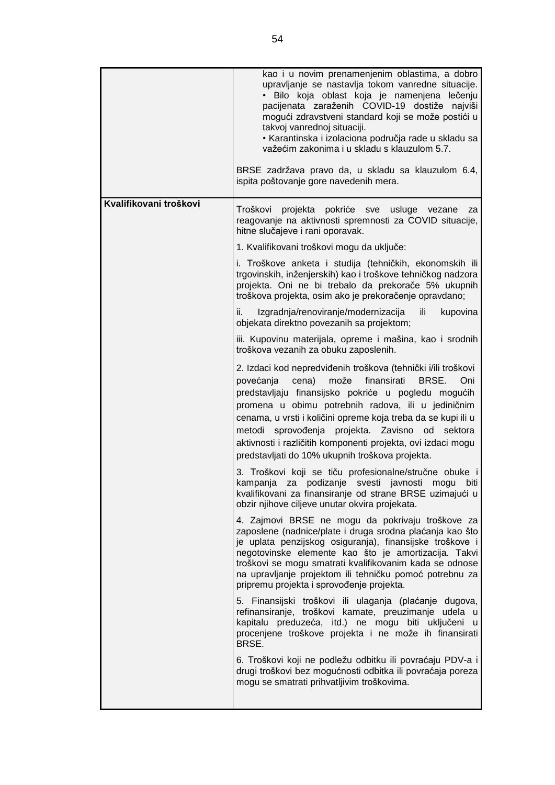|                        | kao i u novim prenamenjenim oblastima, a dobro<br>upravljanje se nastavlja tokom vanredne situacije.<br>· Bilo koja oblast koja je namenjena lečenju<br>pacijenata zaraženih COVID-19 dostiže najviši<br>mogući zdravstveni standard koji se može postići u<br>takvoj vanrednoj situaciji.<br>· Karantinska i izolaciona područja rade u skladu sa<br>važećim zakonima i u skladu s klauzulom 5.7.<br>BRSE zadržava pravo da, u skladu sa klauzulom 6.4,<br>ispita poštovanje gore navedenih mera. |
|------------------------|----------------------------------------------------------------------------------------------------------------------------------------------------------------------------------------------------------------------------------------------------------------------------------------------------------------------------------------------------------------------------------------------------------------------------------------------------------------------------------------------------|
| Kvalifikovani troškovi | Troškovi projekta pokriće sve<br>usluge vezane<br>za<br>reagovanje na aktivnosti spremnosti za COVID situacije,<br>hitne slučajeve i rani oporavak.                                                                                                                                                                                                                                                                                                                                                |
|                        | 1. Kvalifikovani troškovi mogu da uključe:                                                                                                                                                                                                                                                                                                                                                                                                                                                         |
|                        | i. Troškove anketa i studija (tehničkih, ekonomskih ili<br>trgovinskih, inženjerskih) kao i troškove tehničkog nadzora<br>projekta. Oni ne bi trebalo da prekorače 5% ukupnih<br>troškova projekta, osim ako je prekoračenje opravdano;                                                                                                                                                                                                                                                            |
|                        | ii.<br>Izgradnja/renoviranje/modernizacija<br>ili<br>kupovina<br>objekata direktno povezanih sa projektom;                                                                                                                                                                                                                                                                                                                                                                                         |
|                        | iii. Kupovinu materijala, opreme i mašina, kao i srodnih<br>troškova vezanih za obuku zaposlenih.                                                                                                                                                                                                                                                                                                                                                                                                  |
|                        | 2. Izdaci kod nepredviđenih troškova (tehnički i/ili troškovi<br>finansirati<br>povećanja<br>cena)<br>može<br>BRSE.<br>Oni<br>predstavljaju finansijsko pokriće u pogledu mogućih<br>promena u obimu potrebnih radova, ili u jediničnim<br>cenama, u vrsti i količini opreme koja treba da se kupi ili u<br>sprovođenja projekta. Zavisno od<br>metodi<br>sektora<br>aktivnosti i različitih komponenti projekta, ovi izdaci mogu<br>predstavljati do 10% ukupnih troškova projekta.               |
|                        | 3. Troškovi koji se tiču profesionalne/stručne obuke i<br>kampanja za podizanje svesti javnosti mogu biti<br>kvalifikovani za finansiranje od strane BRSE uzimajući u<br>obzir njihove ciljeve unutar okvira projekata.                                                                                                                                                                                                                                                                            |
|                        | 4. Zajmovi BRSE ne mogu da pokrivaju troškove za<br>zaposlene (nadnice/plate i druga srodna plaćanja kao što<br>je uplata penzijskog osiguranja), finansijske troškove i<br>negotovinske elemente kao što je amortizacija. Takvi<br>troškovi se mogu smatrati kvalifikovanim kada se odnose<br>na upravljanje projektom ili tehničku pomoć potrebnu za<br>pripremu projekta i sprovođenje projekta.                                                                                                |
|                        | 5. Finansijski troškovi ili ulaganja (plaćanje dugova,<br>refinansiranje, troškovi kamate, preuzimanje udela u<br>kapitalu preduzeća, itd.) ne mogu biti uključeni u<br>procenjene troškove projekta i ne može ih finansirati<br>BRSE.                                                                                                                                                                                                                                                             |
|                        | 6. Troškovi koji ne podležu odbitku ili povraćaju PDV-a i<br>drugi troškovi bez mogućnosti odbitka ili povraćaja poreza<br>mogu se smatrati prihvatljivim troškovima.                                                                                                                                                                                                                                                                                                                              |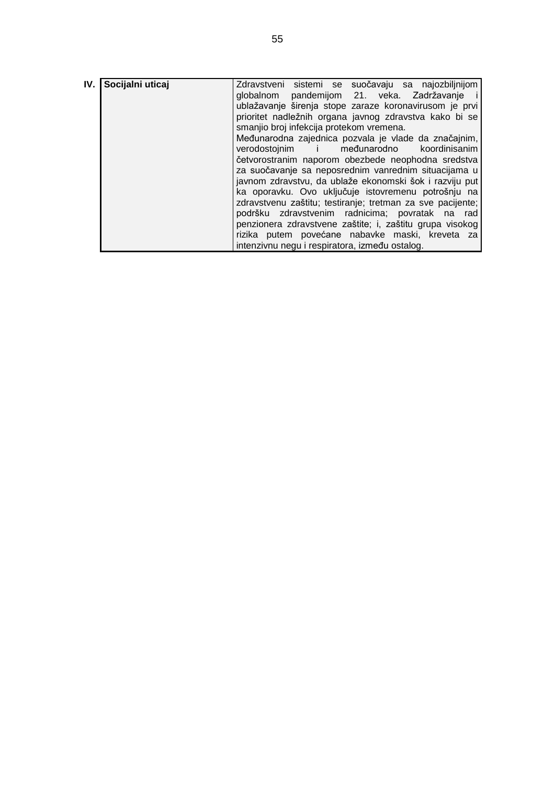| IV. | Socijalni uticaj | Zdravstveni sistemi se suočavaju sa najozbiljnijom         |
|-----|------------------|------------------------------------------------------------|
|     |                  |                                                            |
|     |                  | globalnom pandemijom 21. veka. Zadržavanje i               |
|     |                  | ublažavanje širenja stope zaraze koronavirusom je prvi     |
|     |                  | prioritet nadležnih organa javnog zdravstva kako bi se     |
|     |                  | smanjio broj infekcija protekom vremena.                   |
|     |                  | Međunarodna zajednica pozvala je vlade da značajnim,       |
|     |                  | verodostojnim i međunarodno koordinisanim                  |
|     |                  | četvorostranim naporom obezbede neophodna sredstva         |
|     |                  | za suočavanje sa neposrednim vanrednim situacijama u       |
|     |                  | javnom zdravstvu, da ublaže ekonomski šok i razviju put    |
|     |                  | ka oporavku. Ovo uključuje istovremenu potrošnju na        |
|     |                  | zdravstvenu zaštitu; testiranje; tretman za sve pacijente; |
|     |                  | podršku zdravstvenim radnicima; povratak na rad            |
|     |                  | penzionera zdravstvene zaštite; i, zaštitu grupa visokog   |
|     |                  | rizika putem povećane nabavke maski, kreveta za            |
|     |                  | intenzivnu negu i respiratora, između ostalog.             |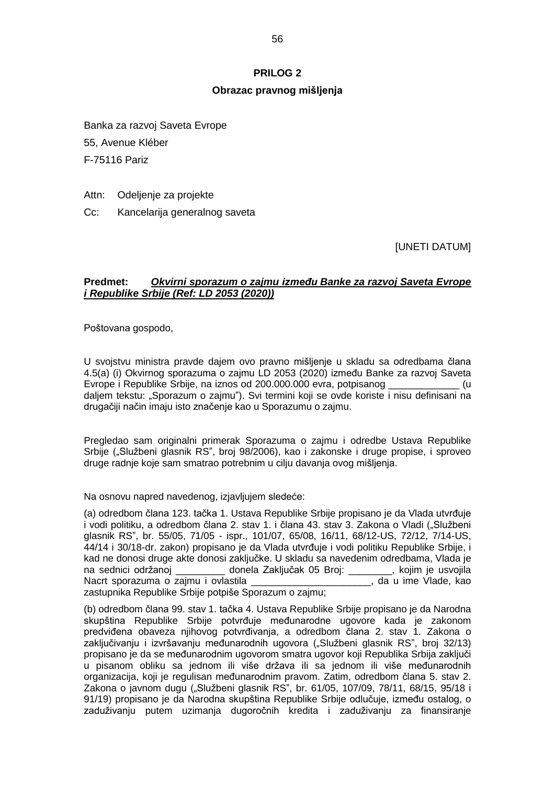#### **PRILOG 2**

#### **Obrazac pravnog mišljenja**

<span id="page-55-0"></span>Banka za razvoj Saveta Evrope 55, Avenue Kléber

F-75116 Pariz

- Attn: Odeljenje za projekte
- Cc: Kancelarija generalnog saveta

[UNETI DATUM]

#### **Predmet:** *Okvirni sporazum o zajmu između Banke za razvoj Saveta Evrope i Republike Srbije (Ref: LD 2053 (2020))*

Poštovana gospodo,

U svojstvu ministra pravde dajem ovo pravno mišljenje u skladu sa odredbama člana 4.5(a) (i) Okvirnog sporazuma o zajmu LD 2053 (2020) između Banke za razvoj Saveta Evrope i Republike Srbije, na iznos od 200.000.000 evra, potpisanog \_\_\_\_\_\_\_\_\_\_\_\_\_ (u daljem tekstu: "Sporazum o zajmu"). Svi termini koji se ovde koriste i nisu definisani na drugačiji način imaju isto značenje kao u Sporazumu o zajmu.

Pregledao sam originalni primerak Sporazuma o zajmu i odredbe Ustava Republike Srbije ("Službeni glasnik RS", broj 98/2006), kao i zakonske i druge propise, i sproveo druge radnje koje sam smatrao potrebnim u cilju davanja ovog mišljenja.

Na osnovu napred navedenog, izjavljujem sledeće:

(a) odredbom člana 123. tačka 1. Ustava Republike Srbije propisano je da Vlada utvrđuje i vodi politiku, a odredbom člana 2. stav 1. i člana 43. stav 3. Zakona o Vladi ("Službeni glasnik RS", br. 55/05, 71/05 - ispr., 101/07, 65/08, 16/11, 68/12-US, 72/12, 7/14-US, 44/14 i 30/18-dr. zakon) propisano je da Vlada utvrđuje i vodi politiku Republike Srbije, i kad ne donosi druge akte donosi zaključke. U skladu sa navedenim odredbama, Vlada je na sednici održanoj \_\_\_\_\_\_\_\_\_ donela Zaključak 05 Broj: \_\_\_\_\_\_\_, kojim je usvojila<br>Nacrt sporazuma o zajmu i ovlastila de standardi da u ime Vlade. kao Nacrt sporazuma o zajmu i ovlastila zastupnika Republike Srbije potpiše Sporazum o zajmu;

(b) odredbom člana 99. stav 1. tačka 4. Ustava Republike Srbije propisano je da Narodna skupština Republike Srbije potvrđuje međunarodne ugovore kada je zakonom predviđena obaveza njihovog potvrđivanja, a odredbom člana 2. stav 1. Zakona o zaključivanju i izvršavanju međunarodnih ugovora ("Službeni glasnik RS", broj 32/13) propisano je da se međunarodnim ugovorom smatra ugovor koji Republika Srbija zaključi u pisanom obliku sa jednom ili više država ili sa jednom ili više međunarodnih organizacija, koji je regulisan međunarodnim pravom. Zatim, odredbom člana 5. stav 2. Zakona o javnom dugu ("Službeni glasnik RS", br. 61/05, 107/09, 78/11, 68/15, 95/18 i 91/19) propisano je da Narodna skupština Republike Srbije odlučuje, između ostalog, o zaduživanju putem uzimanja dugoročnih kredita i zaduživanju za finansiranje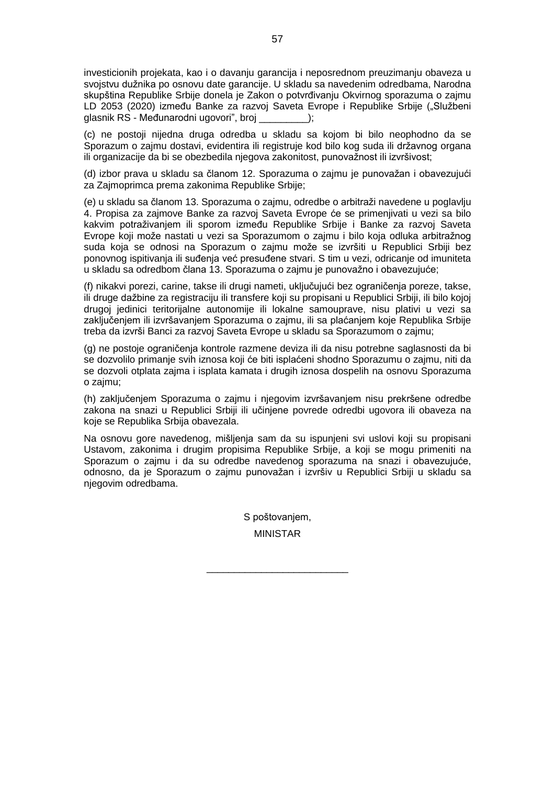investicionih projekata, kao i o davanju garancija i neposrednom preuzimanju obaveza u svojstvu dužnika po osnovu date garancije. U skladu sa navedenim odredbama, Narodna skupština Republike Srbije donela je Zakon o potvrđivanju Okvirnog sporazuma o zajmu LD 2053 (2020) između Banke za razvoj Saveta Evrope i Republike Srbije ("Službeni glasnik RS - Međunarodni ugovori", broj \_\_\_\_\_\_\_\_\_);

(c) ne postoji nijedna druga odredba u skladu sa kojom bi bilo neophodno da se Sporazum o zajmu dostavi, evidentira ili registruje kod bilo kog suda ili državnog organa ili organizacije da bi se obezbedila njegova zakonitost, punovažnost ili izvršivost;

(d) izbor prava u skladu sa članom 12. Sporazuma o zajmu je punovažan i obavezujući za Zajmoprimca prema zakonima Republike Srbije;

(e) u skladu sa članom 13. Sporazuma o zajmu, odredbe o arbitraži navedene u poglavlju 4. Propisa za zajmove Banke za razvoj Saveta Evrope će se primenjivati u vezi sa bilo kakvim potraživanjem ili sporom između Republike Srbije i Banke za razvoj Saveta Evrope koji može nastati u vezi sa Sporazumom o zajmu i bilo koja odluka arbitražnog suda koja se odnosi na Sporazum o zajmu može se izvršiti u Republici Srbiji bez ponovnog ispitivanja ili suđenja već presuđene stvari. S tim u vezi, odricanje od imuniteta u skladu sa odredbom člana 13. Sporazuma o zajmu je punovažno i obavezujuće;

(f) nikakvi porezi, carine, takse ili drugi nameti, uključujući bez ograničenja poreze, takse, ili druge dažbine za registraciju ili transfere koji su propisani u Republici Srbiji, ili bilo kojoj drugoj jedinici teritorijalne autonomije ili lokalne samouprave, nisu plativi u vezi sa zaključenjem ili izvršavanjem Sporazuma o zajmu, ili sa plaćanjem koje Republika Srbije treba da izvrši Banci za razvoj Saveta Evrope u skladu sa Sporazumom o zajmu;

(g) ne postoje ograničenja kontrole razmene deviza ili da nisu potrebne saglasnosti da bi se dozvolilo primanje svih iznosa koji će biti isplaćeni shodno Sporazumu o zajmu, niti da se dozvoli otplata zajma i isplata kamata i drugih iznosa dospelih na osnovu Sporazuma o zajmu;

(h) zaključenjem Sporazuma o zajmu i njegovim izvršavanjem nisu prekršene odredbe zakona na snazi u Republici Srbiji ili učinjene povrede odredbi ugovora ili obaveza na koje se Republika Srbija obavezala.

Na osnovu gore navedenog, mišljenja sam da su ispunjeni svi uslovi koji su propisani Ustavom, zakonima i drugim propisima Republike Srbije, a koji se mogu primeniti na Sporazum o zajmu i da su odredbe navedenog sporazuma na snazi i obavezujuće, odnosno, da je Sporazum o zajmu punovažan i izvršiv u Republici Srbiji u skladu sa njegovim odredbama.

> S poštovanjem, MINISTAR

\_\_\_\_\_\_\_\_\_\_\_\_\_\_\_\_\_\_\_\_\_\_\_\_\_\_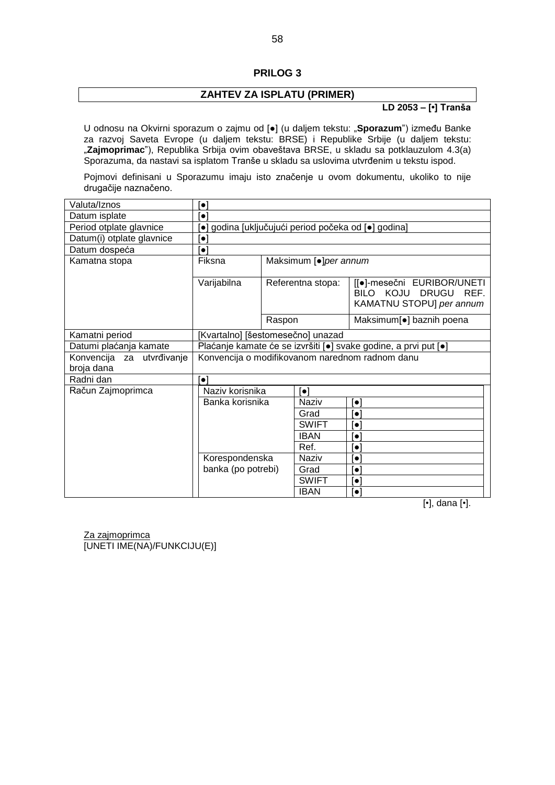#### **PRILOG 3**

## **ZAHTEV ZA ISPLATU (PRIMER)**

#### **LD 2053 – [•] Tranša**

<span id="page-57-0"></span>U odnosu na Okvirni sporazum o zajmu od [●] (u daljem tekstu: "**Sporazum**") između Banke za razvoj Saveta Evrope (u daljem tekstu: BRSE) i Republike Srbije (u daljem tekstu: "Zajmoprimac"), Republika Srbija ovim obaveštava BRSE, u skladu sa potklauzulom 4.3(a) Sporazuma, da nastavi sa isplatom Tranše u skladu sa uslovima utvrđenim u tekstu ispod.

Pojmovi definisani u Sporazumu imaju isto značenje u ovom dokumentu, ukoliko to nije drugačije naznačeno.

| Valuta/Iznos              | [●]                                                             |                                  |                          |                                                                                   |  |  |
|---------------------------|-----------------------------------------------------------------|----------------------------------|--------------------------|-----------------------------------------------------------------------------------|--|--|
| Datum isplate             | $\left[ \bullet \right]$                                        |                                  |                          |                                                                                   |  |  |
| Period otplate glavnice   | o] godina [uključujući period počeka od [o] godina]             |                                  |                          |                                                                                   |  |  |
| Datum(i) otplate glavnice | $\left[ \bullet \right]$                                        |                                  |                          |                                                                                   |  |  |
| Datum dospeća             | $ \bullet $                                                     |                                  |                          |                                                                                   |  |  |
| Kamatna stopa             |                                                                 | Fiksna<br>Maksimum [.] per annum |                          |                                                                                   |  |  |
|                           | Varijabilna                                                     | Referentna stopa:                |                          | [[●]-mesečni EURIBOR/UNETI<br>BILO KOJU DRUGU<br>REF.<br>KAMATNU STOPU] per annum |  |  |
|                           |                                                                 | Raspon                           |                          | Maksimum[•] baznih poena                                                          |  |  |
| Kamatni period            | [Kvartalno] [šestomesečno] unazad                               |                                  |                          |                                                                                   |  |  |
| Datumi plaćanja kamate    | Plaćanje kamate će se izvršiti [·] svake godine, a prvi put [·] |                                  |                          |                                                                                   |  |  |
| Konvencija za utvrđivanje | Konvencija o modifikovanom narednom radnom danu                 |                                  |                          |                                                                                   |  |  |
| broja dana                |                                                                 |                                  |                          |                                                                                   |  |  |
| Radni dan                 | $\bullet$                                                       |                                  |                          |                                                                                   |  |  |
| Račun Zajmoprimca         | Naziv korisnika                                                 |                                  | $\left[ \bullet \right]$ |                                                                                   |  |  |
|                           | Banka korisnika                                                 |                                  | Naziv                    | $\lceil \bullet \rceil$                                                           |  |  |
|                           |                                                                 |                                  | Grad                     | $ \bullet $                                                                       |  |  |
|                           |                                                                 |                                  | <b>SWIFT</b>             | $\left\vert \bullet\right\vert$                                                   |  |  |
|                           |                                                                 |                                  | <b>IBAN</b>              | $\left[ \bullet \right]$                                                          |  |  |
|                           |                                                                 |                                  | Ref.                     | $\left\lceil \bullet \right\rceil$                                                |  |  |
|                           | Korespondenska                                                  |                                  | Naziv                    | $\left\lceil \bullet \right\rceil$                                                |  |  |
|                           | banka (po potrebi)                                              |                                  | Grad                     | $\left[ \bullet \right]$                                                          |  |  |
|                           |                                                                 |                                  | <b>SWIFT</b>             | $ \bullet $                                                                       |  |  |
|                           |                                                                 |                                  | <b>IBAN</b>              | $ \bullet $                                                                       |  |  |

[•], dana [•].

Za zajmoprimca [UNETI IME(NA)/FUNKCIJU(E)]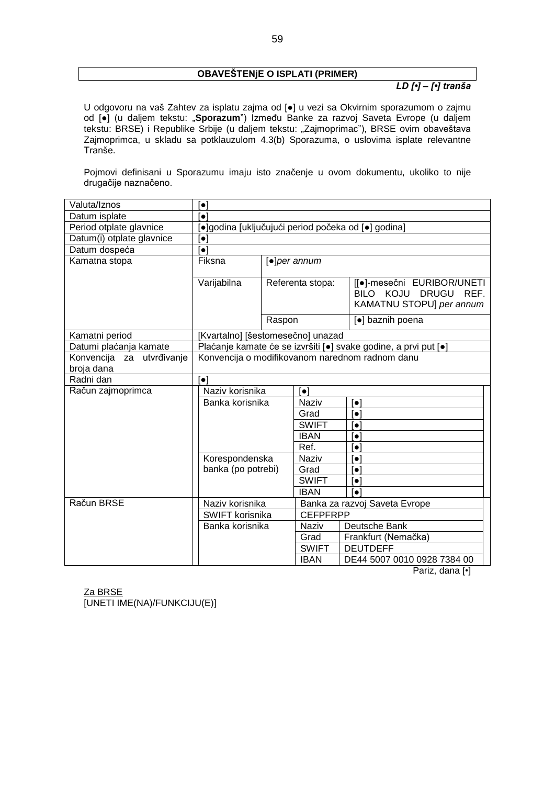#### **OBAVEŠTENjE O ISPLATI (PRIMER)**

#### *LD [•] – [•] tranša*

U odgovoru na vaš Zahtev za isplatu zajma od [●] u vezi sa Okvirnim sporazumom o zajmu od [●] (u daljem tekstu: "**Sporazum**") Između Banke za razvoj Saveta Evrope (u daljem tekstu: BRSE) i Republike Srbije (u daljem tekstu: "Zajmoprimac"), BRSE ovim obaveštava Zajmoprimca, u skladu sa potklauzulom 4.3(b) Sporazuma, o uslovima isplate relevantne Tranše.

Pojmovi definisani u Sporazumu imaju isto značenje u ovom dokumentu, ukoliko to nije drugačije naznačeno.

| Valuta/Iznos                            | $\lceil \bullet \rceil$                             |                  |                         |                                                                                   |  |  |  |
|-----------------------------------------|-----------------------------------------------------|------------------|-------------------------|-----------------------------------------------------------------------------------|--|--|--|
| Datum isplate                           | [•]                                                 |                  |                         |                                                                                   |  |  |  |
| Period otplate glavnice                 | [•]godina [uključujući period počeka od [•] godina] |                  |                         |                                                                                   |  |  |  |
| Datum(i) otplate glavnice               | $\left[\bullet\right]$                              |                  |                         |                                                                                   |  |  |  |
| Datum dospeća                           | $\lceil \bullet \rceil$                             |                  |                         |                                                                                   |  |  |  |
| Kamatna stopa                           | Fiksna                                              |                  | $[•]$ per annum         |                                                                                   |  |  |  |
|                                         | Varijabilna                                         | Referenta stopa: |                         | [[·]-mesečni EURIBOR/UNETI<br>BILO KOJU DRUGU<br>REF.<br>KAMATNU STOPU] per annum |  |  |  |
|                                         |                                                     | Raspon           |                         | [•] baznih poena                                                                  |  |  |  |
| Kamatni period                          | [Kvartalno] [šestomesečno] unazad                   |                  |                         |                                                                                   |  |  |  |
| Datumi plaćanja kamate                  |                                                     |                  |                         | Plaćanje kamate će se izvršiti [·] svake godine, a prvi put [·]                   |  |  |  |
| Konvencija za utvrđivanje<br>broja dana | Konvencija o modifikovanom narednom radnom danu     |                  |                         |                                                                                   |  |  |  |
| Radni dan                               | $\lceil \bullet \rceil$                             |                  |                         |                                                                                   |  |  |  |
| Račun zajmoprimca                       | Naziv korisnika                                     |                  | $\lceil \bullet \rceil$ |                                                                                   |  |  |  |
|                                         | Banka korisnika                                     |                  | <b>Naziv</b>            | $\lceil \bullet \rceil$                                                           |  |  |  |
|                                         |                                                     |                  | Grad                    | $\left\lceil \bullet \right\rceil$                                                |  |  |  |
|                                         |                                                     |                  | <b>SWIFT</b>            | $\left\lceil \bullet \right\rceil$                                                |  |  |  |
|                                         | <b>IBAN</b>                                         |                  |                         | $\lceil \bullet \rceil$                                                           |  |  |  |
|                                         |                                                     |                  | Ref.                    | $\lceil \bullet \rceil$                                                           |  |  |  |
|                                         | Korespondenska                                      |                  | Naziv                   | $\lceil \bullet \rceil$                                                           |  |  |  |
|                                         | banka (po potrebi)                                  |                  | Grad                    | $\left\lceil \bullet \right\rceil$                                                |  |  |  |
|                                         |                                                     |                  | <b>SWIFT</b>            | $\lceil \bullet \rceil$                                                           |  |  |  |
|                                         |                                                     |                  | <b>IBAN</b>             | $\lceil \bullet \rceil$                                                           |  |  |  |
| Račun BRSE                              | Naziv korisnika                                     |                  |                         | Banka za razvoj Saveta Evrope                                                     |  |  |  |
|                                         | SWIFT korisnika                                     |                  | <b>CEFPFRPP</b>         |                                                                                   |  |  |  |
|                                         | Banka korisnika                                     |                  | Naziv                   | Deutsche Bank                                                                     |  |  |  |
|                                         |                                                     |                  | Grad                    | Frankfurt (Nemačka)                                                               |  |  |  |
|                                         |                                                     |                  | <b>SWIFT</b>            | <b>DEUTDEFF</b>                                                                   |  |  |  |
|                                         |                                                     |                  | <b>IBAN</b>             | DE44 5007 0010 0928 7384 00                                                       |  |  |  |

Pariz, dana [•]

Za BRSE

[UNETI IME(NA)/FUNKCIJU(E)]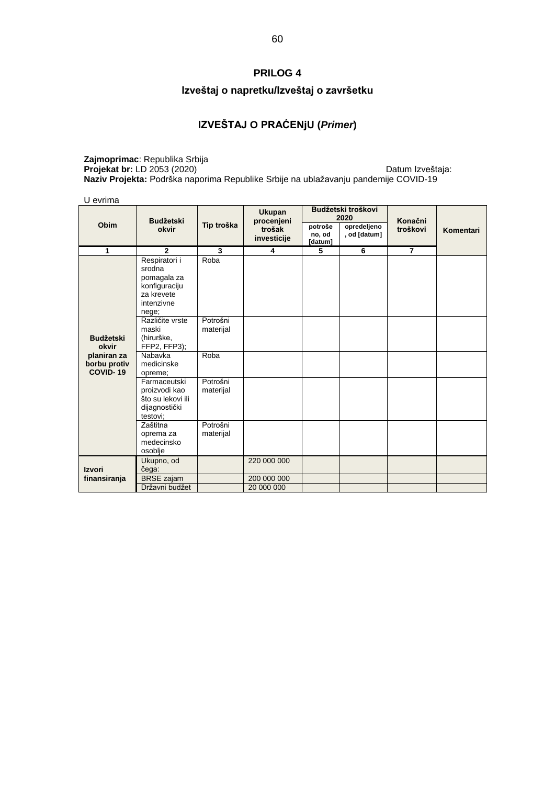# **PRILOG 4**

# **Izveštaj o napretku/Izveštaj o završetku**

# **IZVEŠTAJ O PRAĆENjU (***Primer***)**

**Zajmoprimac**: Republika Srbija **Projekat br:** LD 2053 (2020) **Datum Izveštaja: Datum Izveštaja**: **Datum Izveštaja**: **Naziv Projekta:** Podrška naporima Republike Srbije na ublažavanju pandemije COVID-19

U evrima

|                                                |                                                                                              | <b>Ukupan</b>         |                                     | Budžetski troškovi<br>2020   |                             |                     |           |
|------------------------------------------------|----------------------------------------------------------------------------------------------|-----------------------|-------------------------------------|------------------------------|-----------------------------|---------------------|-----------|
| Obim                                           | <b>Budžetski</b><br>okvir                                                                    | Tip troška            | procenjeni<br>trošak<br>investicije | potroše<br>no, od<br>[datum] | opredeljeno<br>, od [datum] | Konačni<br>troškovi | Komentari |
| 1                                              | $\mathbf{2}$                                                                                 | 3                     | 4                                   | 5                            | 6                           | $\overline{7}$      |           |
|                                                | Respiratori i<br>srodna<br>pomagala za<br>konfiguraciju<br>za krevete<br>intenzivne<br>nege; | Roba                  |                                     |                              |                             |                     |           |
| <b>Budžetski</b><br>okvir                      | Različite vrste<br>maski<br>(hirurške,<br>FFP2, FFP3);                                       | Potrošni<br>materijal |                                     |                              |                             |                     |           |
| planiran za<br>borbu protiv<br><b>COVID-19</b> | Nabavka<br>medicinske<br>opreme;                                                             | Roba                  |                                     |                              |                             |                     |           |
|                                                | Farmaceutski<br>proizvodi kao<br>što su lekovi ili<br>dijagnostički<br>testovi:              | Potrošni<br>materijal |                                     |                              |                             |                     |           |
|                                                | Zaštitna<br>oprema za<br>medecinsko<br>osoblje                                               | Potrošni<br>materijal |                                     |                              |                             |                     |           |
| <b>Izvori</b>                                  | Ukupno, od<br>čega:                                                                          |                       | 220 000 000                         |                              |                             |                     |           |
| finansiranja                                   | <b>BRSE</b> zajam<br>Državni budžet                                                          |                       | 200 000 000<br>20 000 000           |                              |                             |                     |           |
|                                                |                                                                                              |                       |                                     |                              |                             |                     |           |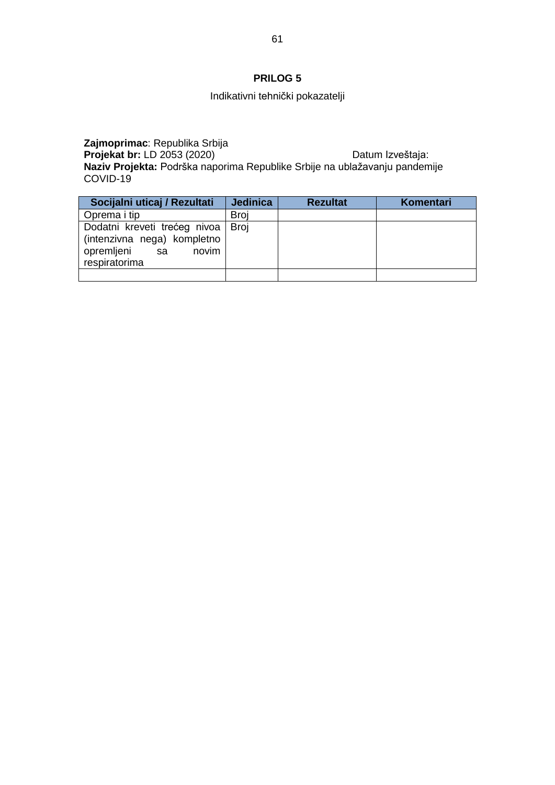# **PRILOG 5**

# Indikativni tehnički pokazatelji

**Zajmoprimac**: Republika Srbija **Projekat br:** LD 2053 (2020) Datum Izveštaja: **Naziv Projekta:** Podrška naporima Republike Srbije na ublažavanju pandemije COVID-19

| Socijalni uticaj / Rezultati                                                                              | <b>Jedinica</b> | <b>Rezultat</b> | Komentari |
|-----------------------------------------------------------------------------------------------------------|-----------------|-----------------|-----------|
| Oprema i tip                                                                                              | <b>Broi</b>     |                 |           |
| Dodatni kreveti trećeg nivoa<br>(intenzivna nega) kompletno<br>opremljeni<br>sa<br>novim<br>respiratorima | <b>Broi</b>     |                 |           |
|                                                                                                           |                 |                 |           |